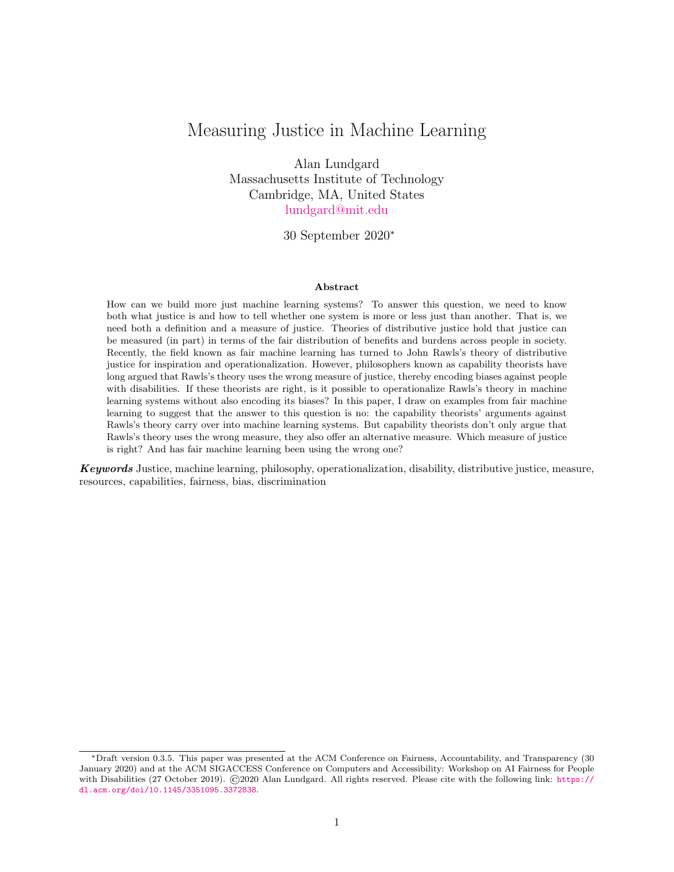# Measuring Justice in Machine Learning

Alan Lundgard Massachusetts Institute of Technology Cambridge, MA, United States [lundgard@mit.edu](mailto:lundgard@mit.edu)

## 30 September 2020<sup>∗</sup>

#### Abstract

How can we build more just machine learning systems? To answer this question, we need to know both what justice is and how to tell whether one system is more or less just than another. That is, we need both a definition and a measure of justice. Theories of distributive justice hold that justice can be measured (in part) in terms of the fair distribution of benefits and burdens across people in society. Recently, the field known as fair machine learning has turned to John Rawls's theory of distributive justice for inspiration and operationalization. However, philosophers known as capability theorists have long argued that Rawls's theory uses the wrong measure of justice, thereby encoding biases against people with disabilities. If these theorists are right, is it possible to operationalize Rawls's theory in machine learning systems without also encoding its biases? In this paper, I draw on examples from fair machine learning to suggest that the answer to this question is no: the capability theorists' arguments against Rawls's theory carry over into machine learning systems. But capability theorists don't only argue that Rawls's theory uses the wrong measure, they also offer an alternative measure. Which measure of justice is right? And has fair machine learning been using the wrong one?

Keywords Justice, machine learning, philosophy, operationalization, disability, distributive justice, measure, resources, capabilities, fairness, bias, discrimination

<sup>∗</sup>Draft version 0.3.5. This paper was presented at the ACM Conference on Fairness, Accountability, and Transparency (30 January 2020) and at the ACM SIGACCESS Conference on Computers and Accessibility: Workshop on AI Fairness for People with Disabilities (27 October 2019). ©2020 Alan Lundgard. All rights reserved. Please cite with the following link: [https://](https://dl.acm.org/doi/10.1145/3351095.3372838) [dl.acm.org/doi/10.1145/3351095.3372838](https://dl.acm.org/doi/10.1145/3351095.3372838).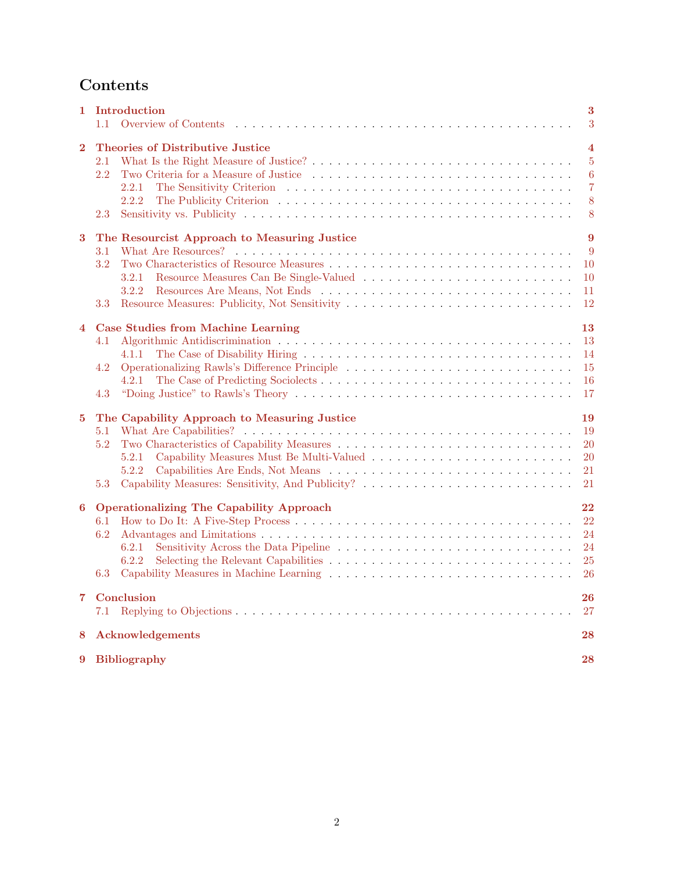# Contents

| 1        | Introduction<br>Overview of Contents<br>1.1                                                                                             | 3<br>3                                                                |  |  |  |  |
|----------|-----------------------------------------------------------------------------------------------------------------------------------------|-----------------------------------------------------------------------|--|--|--|--|
| $\bf{2}$ | <b>Theories of Distributive Justice</b><br>2.1<br>$2.2\,$<br>2.2.1<br>2.2.2<br>2.3                                                      | $\overline{\bf 4}$<br>$\overline{5}$<br>6<br>$\overline{7}$<br>8<br>8 |  |  |  |  |
| 3        | The Resourcist Approach to Measuring Justice<br>3.1<br>3.2<br>3.2.1<br>3.2.2<br>3.3                                                     | 9<br>9<br>10<br><sup>10</sup><br>11<br>12                             |  |  |  |  |
| 4        | <b>Case Studies from Machine Learning</b><br>4.1<br>4.1.1<br>4.2<br>4.2.1<br>4.3                                                        | 13<br>13<br>14<br>15<br>16<br>17                                      |  |  |  |  |
| 5        | The Capability Approach to Measuring Justice<br>5.1<br>5.2<br>5.2.1<br>5.2.2<br>Capability Measures: Sensitivity, And Publicity?<br>5.3 | 19<br>19<br>20<br>20<br>21<br>21                                      |  |  |  |  |
| 6        | <b>Operationalizing The Capability Approach</b><br>6.1<br>6.2<br>6.2.1<br>6.2.2<br>6.3                                                  | 22<br>22<br>24<br>24<br>25<br>26                                      |  |  |  |  |
| 7        | Conclusion<br>26<br>27<br>7.1                                                                                                           |                                                                       |  |  |  |  |
| 8        | Acknowledgements<br>28                                                                                                                  |                                                                       |  |  |  |  |
| 9        | Bibliography<br>28                                                                                                                      |                                                                       |  |  |  |  |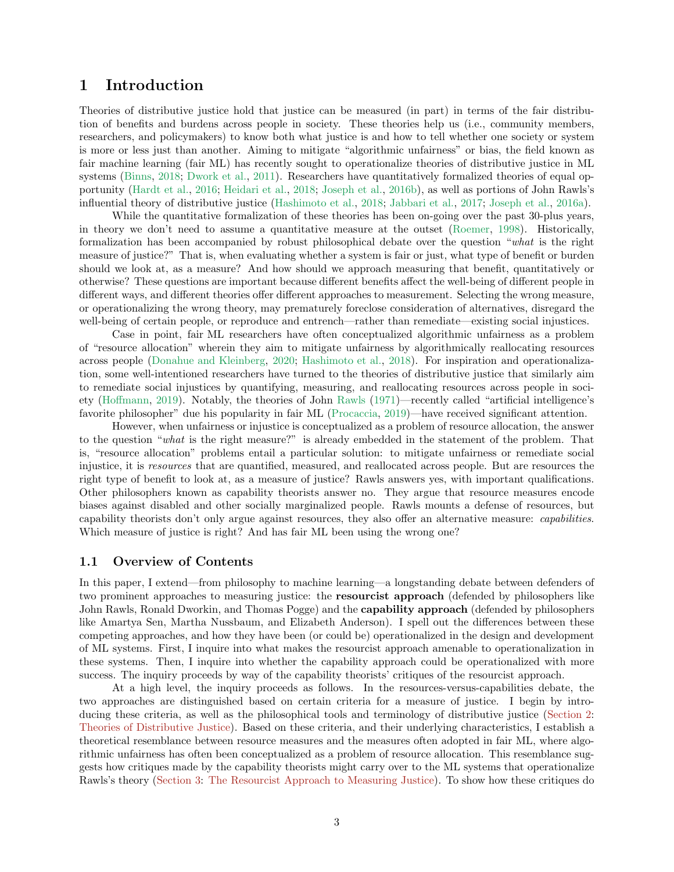# <span id="page-2-0"></span>1 Introduction

Theories of distributive justice hold that justice can be measured (in part) in terms of the fair distribution of benefits and burdens across people in society. These theories help us (i.e., community members, researchers, and policymakers) to know both what justice is and how to tell whether one society or system is more or less just than another. Aiming to mitigate "algorithmic unfairness" or bias, the field known as fair machine learning (fair ML) has recently sought to operationalize theories of distributive justice in ML systems [\(Binns,](#page-28-0) [2018;](#page-28-0) [Dwork et al.](#page-29-0), [2011](#page-29-0)). Researchers have quantitatively formalized theories of equal opportunity [\(Hardt et al.,](#page-30-0) [2016](#page-30-0); [Heidari et al.,](#page-30-1) [2018](#page-30-1); [Joseph et al.](#page-31-0), [2016b\)](#page-31-0), as well as portions of John Rawls's influential theory of distributive justice [\(Hashimoto et al.](#page-30-2), [2018](#page-30-2); [Jabbari et al.](#page-30-3), [2017](#page-30-3); [Joseph et al.,](#page-30-4) [2016a\)](#page-30-4).

While the quantitative formalization of these theories has been on-going over the past 30-plus years, in theory we don't need to assume a quantitative measure at the outset [\(Roemer](#page-33-0), [1998\)](#page-33-0). Historically, formalization has been accompanied by robust philosophical debate over the question "*what* is the right measure of justice?" That is, when evaluating whether a system is fair or just, what type of benefit or burden should we look at, as a measure? And how should we approach measuring that benefit, quantitatively or otherwise? These questions are important because different benefits affect the well-being of different people in different ways, and different theories offer different approaches to measurement. Selecting the wrong measure, or operationalizing the wrong theory, may prematurely foreclose consideration of alternatives, disregard the well-being of certain people, or reproduce and entrench—rather than remediate—existing social injustices.

Case in point, fair ML researchers have often conceptualized algorithmic unfairness as a problem of "resource allocation" wherein they aim to mitigate unfairness by algorithmically reallocating resources across people [\(Donahue and Kleinberg](#page-29-1), [2020;](#page-29-1) [Hashimoto et al.,](#page-30-2) [2018](#page-30-2)). For inspiration and operationalization, some well-intentioned researchers have turned to the theories of distributive justice that similarly aim to remediate social injustices by quantifying, measuring, and reallocating resources across people in society [\(Hoffmann](#page-30-5), [2019\)](#page-30-5). Notably, the theories of John [Rawls](#page-32-0) [\(1971\)](#page-32-0)—recently called "artificial intelligence's favorite philosopher" due his popularity in fair ML [\(Procaccia](#page-32-1), [2019](#page-32-1))—have received significant attention.

However, when unfairness or injustice is conceptualized as a problem of resource allocation, the answer to the question "*what* is the right measure?" is already embedded in the statement of the problem. That is, "resource allocation" problems entail a particular solution: to mitigate unfairness or remediate social injustice, it is *resources* that are quantified, measured, and reallocated across people. But are resources the right type of benefit to look at, as a measure of justice? Rawls answers yes, with important qualifications. Other philosophers known as capability theorists answer no. They argue that resource measures encode biases against disabled and other socially marginalized people. Rawls mounts a defense of resources, but capability theorists don't only argue against resources, they also offer an alternative measure: *capabilities*. Which measure of justice is right? And has fair ML been using the wrong one?

#### <span id="page-2-1"></span>1.1 Overview of Contents

In this paper, I extend—from philosophy to machine learning—a longstanding debate between defenders of two prominent approaches to measuring justice: the resourcist approach (defended by philosophers like John Rawls, Ronald Dworkin, and Thomas Pogge) and the **capability approach** (defended by philosophers like Amartya Sen, Martha Nussbaum, and Elizabeth Anderson). I spell out the differences between these competing approaches, and how they have been (or could be) operationalized in the design and development of ML systems. First, I inquire into what makes the resourcist approach amenable to operationalization in these systems. Then, I inquire into whether the capability approach could be operationalized with more success. The inquiry proceeds by way of the capability theorists' critiques of the resourcist approach.

At a high level, the inquiry proceeds as follows. In the resources-versus-capabilities debate, the two approaches are distinguished based on certain criteria for a measure of justice. I begin by introducing these criteria, as well as the philosophical tools and terminology of distributive justice [\(Section 2:](#page-3-0) [Theories of Distributive Justice\)](#page-3-0). Based on these criteria, and their underlying characteristics, I establish a theoretical resemblance between resource measures and the measures often adopted in fair ML, where algorithmic unfairness has often been conceptualized as a problem of resource allocation. This resemblance suggests how critiques made by the capability theorists might carry over to the ML systems that operationalize Rawls's theory [\(Section 3:](#page-8-0) [The Resourcist Approach to Measuring Justice\)](#page-8-0). To show how these critiques do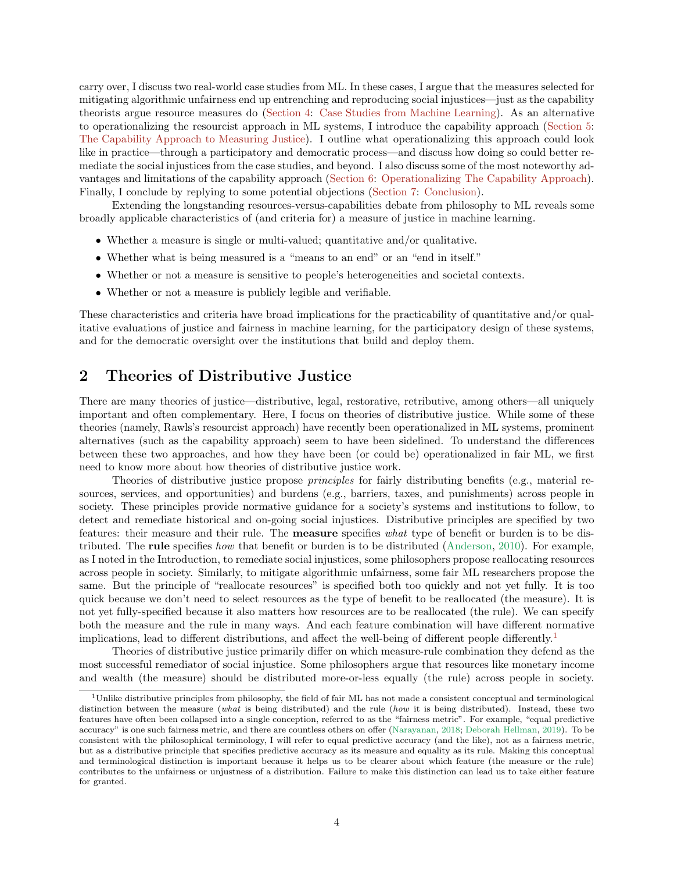carry over, I discuss two real-world case studies from ML. In these cases, I argue that the measures selected for mitigating algorithmic unfairness end up entrenching and reproducing social injustices—just as the capability theorists argue resource measures do [\(Section 4:](#page-12-0) [Case Studies from Machine Learning\)](#page-12-0). As an alternative to operationalizing the resourcist approach in ML systems, I introduce the capability approach [\(Section 5:](#page-18-0) [The Capability Approach to Measuring Justice\)](#page-18-0). I outline what operationalizing this approach could look like in practice—through a participatory and democratic process—and discuss how doing so could better remediate the social injustices from the case studies, and beyond. I also discuss some of the most noteworthy advantages and limitations of the capability approach [\(Section 6:](#page-21-0) [Operationalizing The Capability Approach\)](#page-21-0). Finally, I conclude by replying to some potential objections [\(Section 7:](#page-25-1) [Conclusion\)](#page-25-1).

Extending the longstanding resources-versus-capabilities debate from philosophy to ML reveals some broadly applicable characteristics of (and criteria for) a measure of justice in machine learning.

- Whether a measure is single or multi-valued; quantitative and/or qualitative.
- Whether what is being measured is a "means to an end" or an "end in itself."
- Whether or not a measure is sensitive to people's heterogeneities and societal contexts.
- Whether or not a measure is publicly legible and verifiable.

These characteristics and criteria have broad implications for the practicability of quantitative and/or qualitative evaluations of justice and fairness in machine learning, for the participatory design of these systems, and for the democratic oversight over the institutions that build and deploy them.

# <span id="page-3-0"></span>2 Theories of Distributive Justice

There are many theories of justice—distributive, legal, restorative, retributive, among others—all uniquely important and often complementary. Here, I focus on theories of distributive justice. While some of these theories (namely, Rawls's resourcist approach) have recently been operationalized in ML systems, prominent alternatives (such as the capability approach) seem to have been sidelined. To understand the differences between these two approaches, and how they have been (or could be) operationalized in fair ML, we first need to know more about how theories of distributive justice work.

Theories of distributive justice propose *principles* for fairly distributing benefits (e.g., material resources, services, and opportunities) and burdens (e.g., barriers, taxes, and punishments) across people in society. These principles provide normative guidance for a society's systems and institutions to follow, to detect and remediate historical and on-going social injustices. Distributive principles are specified by two features: their measure and their rule. The measure specifies *what* type of benefit or burden is to be distributed. The rule specifies *how* that benefit or burden is to be distributed [\(Anderson](#page-27-2), [2010\)](#page-27-2). For example, as I noted in the Introduction, to remediate social injustices, some philosophers propose reallocating resources across people in society. Similarly, to mitigate algorithmic unfairness, some fair ML researchers propose the same. But the principle of "reallocate resources" is specified both too quickly and not yet fully. It is too quick because we don't need to select resources as the type of benefit to be reallocated (the measure). It is not yet fully-specified because it also matters how resources are to be reallocated (the rule). We can specify both the measure and the rule in many ways. And each feature combination will have different normative implications, lead to different distributions, and affect the well-being of different people differently.[1](#page-3-1)

Theories of distributive justice primarily differ on which measure-rule combination they defend as the most successful remediator of social injustice. Some philosophers argue that resources like monetary income and wealth (the measure) should be distributed more-or-less equally (the rule) across people in society.

<span id="page-3-1"></span> $1$ Unlike distributive principles from philosophy, the field of fair ML has not made a consistent conceptual and terminological distinction between the measure (what is being distributed) and the rule (how it is being distributed). Instead, these two features have often been collapsed into a single conception, referred to as the "fairness metric". For example, "equal predictive accuracy" is one such fairness metric, and there are countless others on offer [\(Narayanan](#page-31-1), [2018](#page-31-1); [Deborah Hellman](#page-29-2), [2019\)](#page-29-2). To be consistent with the philosophical terminology, I will refer to equal predictive accuracy (and the like), not as a fairness metric, but as a distributive principle that specifies predictive accuracy as its measure and equality as its rule. Making this conceptual and terminological distinction is important because it helps us to be clearer about which feature (the measure or the rule) contributes to the unfairness or unjustness of a distribution. Failure to make this distinction can lead us to take either feature for granted.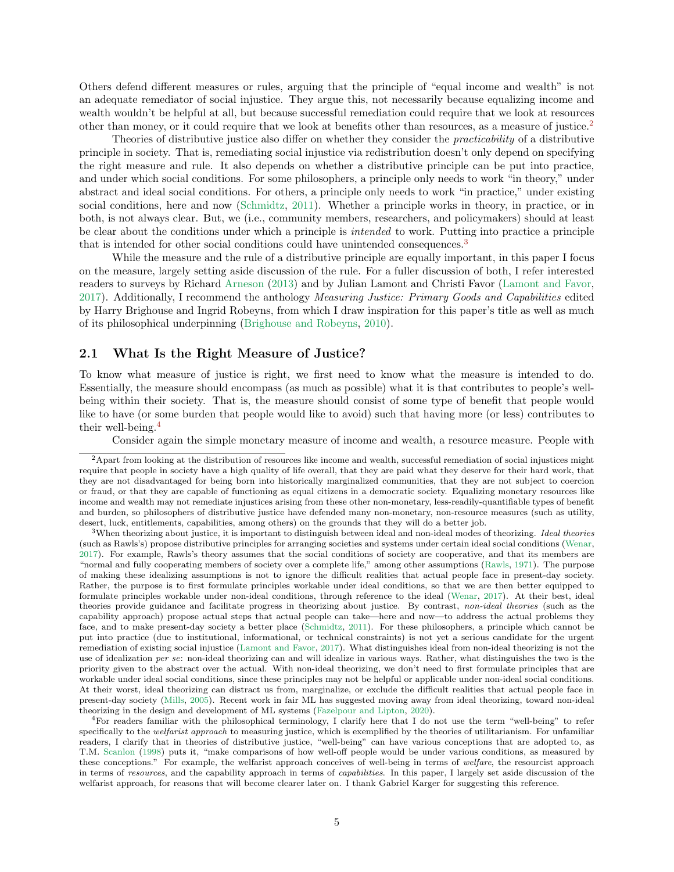Others defend different measures or rules, arguing that the principle of "equal income and wealth" is not an adequate remediator of social injustice. They argue this, not necessarily because equalizing income and wealth wouldn't be helpful at all, but because successful remediation could require that we look at resources other than money, or it could require that we look at benefits other than resources, as a measure of justice.[2](#page-4-1)

Theories of distributive justice also differ on whether they consider the *practicability* of a distributive principle in society. That is, remediating social injustice via redistribution doesn't only depend on specifying the right measure and rule. It also depends on whether a distributive principle can be put into practice, and under which social conditions. For some philosophers, a principle only needs to work "in theory," under abstract and ideal social conditions. For others, a principle only needs to work "in practice," under existing social conditions, here and now [\(Schmidtz,](#page-33-1) [2011](#page-33-1)). Whether a principle works in theory, in practice, or in both, is not always clear. But, we (i.e., community members, researchers, and policymakers) should at least be clear about the conditions under which a principle is *intended* to work. Putting into practice a principle that is intended for other social conditions could have unintended consequences.[3](#page-4-2)

While the measure and the rule of a distributive principle are equally important, in this paper I focus on the measure, largely setting aside discussion of the rule. For a fuller discussion of both, I refer interested readers to surveys by Richard [Arneson](#page-28-1) [\(2013\)](#page-28-1) and by Julian Lamont and Christi Favor [\(Lamont and Favor](#page-31-2), [2017\)](#page-31-2). Additionally, I recommend the anthology *Measuring Justice: Primary Goods and Capabilities* edited by Harry Brighouse and Ingrid Robeyns, from which I draw inspiration for this paper's title as well as much of its philosophical underpinning [\(Brighouse and Robeyns,](#page-28-2) [2010\)](#page-28-2).

#### <span id="page-4-0"></span>2.1 What Is the Right Measure of Justice?

To know what measure of justice is right, we first need to know what the measure is intended to do. Essentially, the measure should encompass (as much as possible) what it is that contributes to people's wellbeing within their society. That is, the measure should consist of some type of benefit that people would like to have (or some burden that people would like to avoid) such that having more (or less) contributes to their well-being.[4](#page-4-3)

Consider again the simple monetary measure of income and wealth, a resource measure. People with

<span id="page-4-3"></span><sup>4</sup>For readers familiar with the philosophical terminology, I clarify here that I do not use the term "well-being" to refer specifically to the *welfarist approach* to measuring justice, which is exemplified by the theories of utilitarianism. For unfamiliar readers, I clarify that in theories of distributive justice, "well-being" can have various conceptions that are adopted to, as T.M. [Scanlon](#page-33-2) [\(1998](#page-33-2)) puts it, "make comparisons of how well-off people would be under various conditions, as measured by these conceptions." For example, the welfarist approach conceives of well-being in terms of welfare, the resourcist approach in terms of resources, and the capability approach in terms of *capabilities*. In this paper, I largely set aside discussion of the welfarist approach, for reasons that will become clearer later on. I thank Gabriel Karger for suggesting this reference.

<span id="page-4-1"></span> $2A$ part from looking at the distribution of resources like income and wealth, successful remediation of social injustices might require that people in society have a high quality of life overall, that they are paid what they deserve for their hard work, that they are not disadvantaged for being born into historically marginalized communities, that they are not subject to coercion or fraud, or that they are capable of functioning as equal citizens in a democratic society. Equalizing monetary resources like income and wealth may not remediate injustices arising from these other non-monetary, less-readily-quantifiable types of benefit and burden, so philosophers of distributive justice have defended many non-monetary, non-resource measures (such as utility, desert, luck, entitlements, capabilities, among others) on the grounds that they will do a better job.

<span id="page-4-2"></span><sup>&</sup>lt;sup>3</sup>When theorizing about justice, it is important to distinguish between ideal and non-ideal modes of theorizing. Ideal theories (such as Rawls's) propose distributive principles for arranging societies and systems under certain ideal social conditions [\(Wenar,](#page-34-0) [2017\)](#page-34-0). For example, Rawls's theory assumes that the social conditions of society are cooperative, and that its members are "normal and fully cooperating members of society over a complete life," among other assumptions [\(Rawls](#page-32-0), [1971](#page-32-0)). The purpose of making these idealizing assumptions is not to ignore the difficult realities that actual people face in present-day society. Rather, the purpose is to first formulate principles workable under ideal conditions, so that we are then better equipped to formulate principles workable under non-ideal conditions, through reference to the ideal [\(Wenar,](#page-34-0) [2017](#page-34-0)). At their best, ideal theories provide guidance and facilitate progress in theorizing about justice. By contrast, non-ideal theories (such as the capability approach) propose actual steps that actual people can take—here and now—to address the actual problems they face, and to make present-day society a better place [\(Schmidtz](#page-33-1), [2011\)](#page-33-1). For these philosophers, a principle which cannot be put into practice (due to institutional, informational, or technical constraints) is not yet a serious candidate for the urgent remediation of existing social injustice [\(Lamont and Favor](#page-31-2), [2017](#page-31-2)). What distinguishes ideal from non-ideal theorizing is not the use of idealization per se: non-ideal theorizing can and will idealize in various ways. Rather, what distinguishes the two is the priority given to the abstract over the actual. With non-ideal theorizing, we don't need to first formulate principles that are workable under ideal social conditions, since these principles may not be helpful or applicable under non-ideal social conditions. At their worst, ideal theorizing can distract us from, marginalize, or exclude the difficult realities that actual people face in present-day society [\(Mills](#page-31-3), [2005\)](#page-31-3). Recent work in fair ML has suggested moving away from ideal theorizing, toward non-ideal theorizing in the design and development of ML systems [\(Fazelpour and Lipton,](#page-29-3) [2020\)](#page-29-3).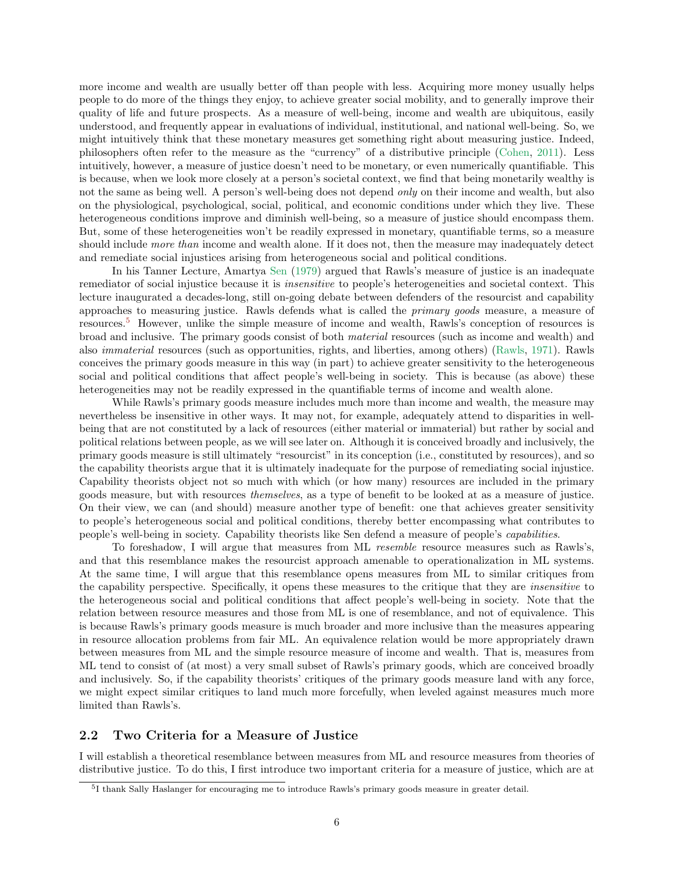more income and wealth are usually better off than people with less. Acquiring more money usually helps people to do more of the things they enjoy, to achieve greater social mobility, and to generally improve their quality of life and future prospects. As a measure of well-being, income and wealth are ubiquitous, easily understood, and frequently appear in evaluations of individual, institutional, and national well-being. So, we might intuitively think that these monetary measures get something right about measuring justice. Indeed, philosophers often refer to the measure as the "currency" of a distributive principle [\(Cohen](#page-29-4), [2011](#page-29-4)). Less intuitively, however, a measure of justice doesn't need to be monetary, or even numerically quantifiable. This is because, when we look more closely at a person's societal context, we find that being monetarily wealthy is not the same as being well. A person's well-being does not depend *only* on their income and wealth, but also on the physiological, psychological, social, political, and economic conditions under which they live. These heterogeneous conditions improve and diminish well-being, so a measure of justice should encompass them. But, some of these heterogeneities won't be readily expressed in monetary, quantifiable terms, so a measure should include *more than* income and wealth alone. If it does not, then the measure may inadequately detect and remediate social injustices arising from heterogeneous social and political conditions.

In his Tanner Lecture, Amartya [Sen](#page-33-3) [\(1979](#page-33-3)) argued that Rawls's measure of justice is an inadequate remediator of social injustice because it is *insensitive* to people's heterogeneities and societal context. This lecture inaugurated a decades-long, still on-going debate between defenders of the resourcist and capability approaches to measuring justice. Rawls defends what is called the *primary goods* measure, a measure of resources.[5](#page-5-1) However, unlike the simple measure of income and wealth, Rawls's conception of resources is broad and inclusive. The primary goods consist of both *material* resources (such as income and wealth) and also *immaterial* resources (such as opportunities, rights, and liberties, among others) [\(Rawls,](#page-32-0) [1971\)](#page-32-0). Rawls conceives the primary goods measure in this way (in part) to achieve greater sensitivity to the heterogeneous social and political conditions that affect people's well-being in society. This is because (as above) these heterogeneities may not be readily expressed in the quantifiable terms of income and wealth alone.

While Rawls's primary goods measure includes much more than income and wealth, the measure may nevertheless be insensitive in other ways. It may not, for example, adequately attend to disparities in wellbeing that are not constituted by a lack of resources (either material or immaterial) but rather by social and political relations between people, as we will see later on. Although it is conceived broadly and inclusively, the primary goods measure is still ultimately "resourcist" in its conception (i.e., constituted by resources), and so the capability theorists argue that it is ultimately inadequate for the purpose of remediating social injustice. Capability theorists object not so much with which (or how many) resources are included in the primary goods measure, but with resources *themselves*, as a type of benefit to be looked at as a measure of justice. On their view, we can (and should) measure another type of benefit: one that achieves greater sensitivity to people's heterogeneous social and political conditions, thereby better encompassing what contributes to people's well-being in society. Capability theorists like Sen defend a measure of people's *capabilities*.

To foreshadow, I will argue that measures from ML *resemble* resource measures such as Rawls's, and that this resemblance makes the resourcist approach amenable to operationalization in ML systems. At the same time, I will argue that this resemblance opens measures from ML to similar critiques from the capability perspective. Specifically, it opens these measures to the critique that they are *insensitive* to the heterogeneous social and political conditions that affect people's well-being in society. Note that the relation between resource measures and those from ML is one of resemblance, and not of equivalence. This is because Rawls's primary goods measure is much broader and more inclusive than the measures appearing in resource allocation problems from fair ML. An equivalence relation would be more appropriately drawn between measures from ML and the simple resource measure of income and wealth. That is, measures from ML tend to consist of (at most) a very small subset of Rawls's primary goods, which are conceived broadly and inclusively. So, if the capability theorists' critiques of the primary goods measure land with any force, we might expect similar critiques to land much more forcefully, when leveled against measures much more limited than Rawls's.

#### <span id="page-5-0"></span>2.2 Two Criteria for a Measure of Justice

I will establish a theoretical resemblance between measures from ML and resource measures from theories of distributive justice. To do this, I first introduce two important criteria for a measure of justice, which are at

<span id="page-5-1"></span><sup>5</sup> I thank Sally Haslanger for encouraging me to introduce Rawls's primary goods measure in greater detail.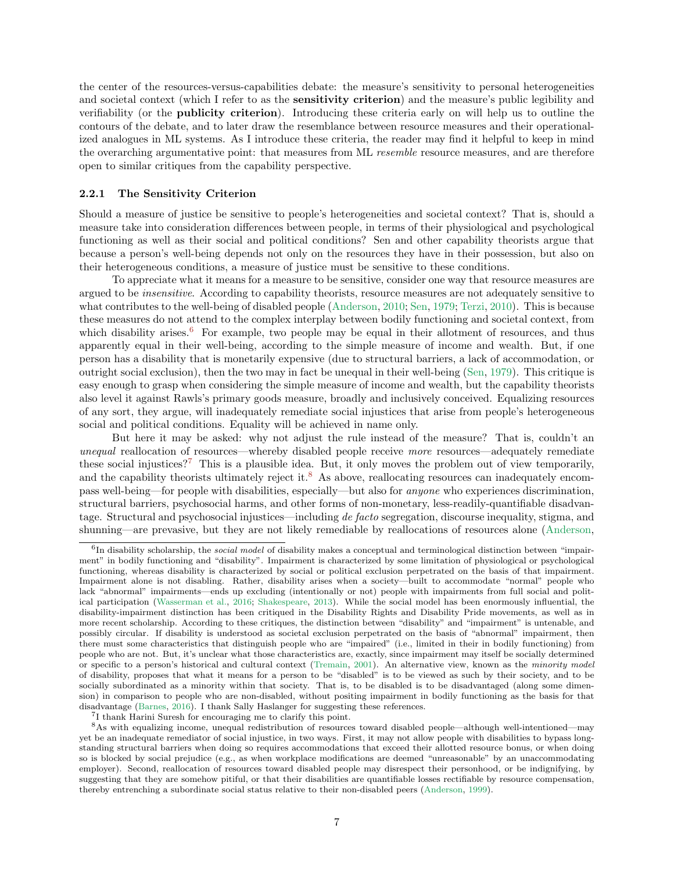the center of the resources-versus-capabilities debate: the measure's sensitivity to personal heterogeneities and societal context (which I refer to as the **sensitivity criterion**) and the measure's public legibility and verifiability (or the publicity criterion). Introducing these criteria early on will help us to outline the contours of the debate, and to later draw the resemblance between resource measures and their operationalized analogues in ML systems. As I introduce these criteria, the reader may find it helpful to keep in mind the overarching argumentative point: that measures from ML *resemble* resource measures, and are therefore open to similar critiques from the capability perspective.

#### <span id="page-6-0"></span>2.2.1 The Sensitivity Criterion

Should a measure of justice be sensitive to people's heterogeneities and societal context? That is, should a measure take into consideration differences between people, in terms of their physiological and psychological functioning as well as their social and political conditions? Sen and other capability theorists argue that because a person's well-being depends not only on the resources they have in their possession, but also on their heterogeneous conditions, a measure of justice must be sensitive to these conditions.

To appreciate what it means for a measure to be sensitive, consider one way that resource measures are argued to be *insensitive*. According to capability theorists, resource measures are not adequately sensitive to what contributes to the well-being of disabled people [\(Anderson](#page-27-2), [2010;](#page-27-2) [Sen](#page-33-3), [1979](#page-33-3); [Terzi](#page-34-1), [2010](#page-34-1)). This is because these measures do not attend to the complex interplay between bodily functioning and societal context, from which disability arises. $6$  For example, two people may be equal in their allotment of resources, and thus apparently equal in their well-being, according to the simple measure of income and wealth. But, if one person has a disability that is monetarily expensive (due to structural barriers, a lack of accommodation, or outright social exclusion), then the two may in fact be unequal in their well-being [\(Sen](#page-33-3), [1979](#page-33-3)). This critique is easy enough to grasp when considering the simple measure of income and wealth, but the capability theorists also level it against Rawls's primary goods measure, broadly and inclusively conceived. Equalizing resources of any sort, they argue, will inadequately remediate social injustices that arise from people's heterogeneous social and political conditions. Equality will be achieved in name only.

But here it may be asked: why not adjust the rule instead of the measure? That is, couldn't an *unequal* reallocation of resources—whereby disabled people receive *more* resources—adequately remediate these social injustices?<sup>[7](#page-6-2)</sup> This is a plausible idea. But, it only moves the problem out of view temporarily, and the capability theorists ultimately reject it.<sup>[8](#page-6-3)</sup> As above, reallocating resources can inadequately encompass well-being—for people with disabilities, especially—but also for *anyone* who experiences discrimination, structural barriers, psychosocial harms, and other forms of non-monetary, less-readily-quantifiable disadvantage. Structural and psychosocial injustices—including *de facto* segregation, discourse inequality, stigma, and shunning—are prevasive, but they are not likely remediable by reallocations of resources alone [\(Anderson](#page-27-2),

<span id="page-6-2"></span>7 I thank Harini Suresh for encouraging me to clarify this point.

<span id="page-6-1"></span><sup>&</sup>lt;sup>6</sup>In disability scholarship, the *social model* of disability makes a conceptual and terminological distinction between "impairment" in bodily functioning and "disability". Impairment is characterized by some limitation of physiological or psychological functioning, whereas disability is characterized by social or political exclusion perpetrated on the basis of that impairment. Impairment alone is not disabling. Rather, disability arises when a society—built to accommodate "normal" people who lack "abnormal" impairments—ends up excluding (intentionally or not) people with impairments from full social and political participation [\(Wasserman et al.,](#page-34-2) [2016;](#page-34-2) [Shakespeare](#page-33-4), [2013](#page-33-4)). While the social model has been enormously influential, the disability-impairment distinction has been critiqued in the Disability Rights and Disability Pride movements, as well as in more recent scholarship. According to these critiques, the distinction between "disability" and "impairment" is untenable, and possibly circular. If disability is understood as societal exclusion perpetrated on the basis of "abnormal" impairment, then there must some characteristics that distinguish people who are "impaired" (i.e., limited in their in bodily functioning) from people who are not. But, it's unclear what those characteristics are, exactly, since impairment may itself be socially determined or specific to a person's historical and cultural context [\(Tremain,](#page-34-3) [2001\)](#page-34-3). An alternative view, known as the minority model of disability, proposes that what it means for a person to be "disabled" is to be viewed as such by their society, and to be socially subordinated as a minority within that society. That is, to be disabled is to be disadvantaged (along some dimension) in comparison to people who are non-disabled, without positing impairment in bodily functioning as the basis for that disadvantage [\(Barnes](#page-28-3), [2016](#page-28-3)). I thank Sally Haslanger for suggesting these references.

<span id="page-6-3"></span><sup>8</sup>As with equalizing income, unequal redistribution of resources toward disabled people—although well-intentioned—may yet be an inadequate remediator of social injustice, in two ways. First, it may not allow people with disabilities to bypass longstanding structural barriers when doing so requires accommodations that exceed their allotted resource bonus, or when doing so is blocked by social prejudice (e.g., as when workplace modifications are deemed "unreasonable" by an unaccommodating employer). Second, reallocation of resources toward disabled people may disrespect their personhood, or be indignifying, by suggesting that they are somehow pitiful, or that their disabilities are quantifiable losses rectifiable by resource compensation, thereby entrenching a subordinate social status relative to their non-disabled peers [\(Anderson,](#page-27-3) [1999\)](#page-27-3).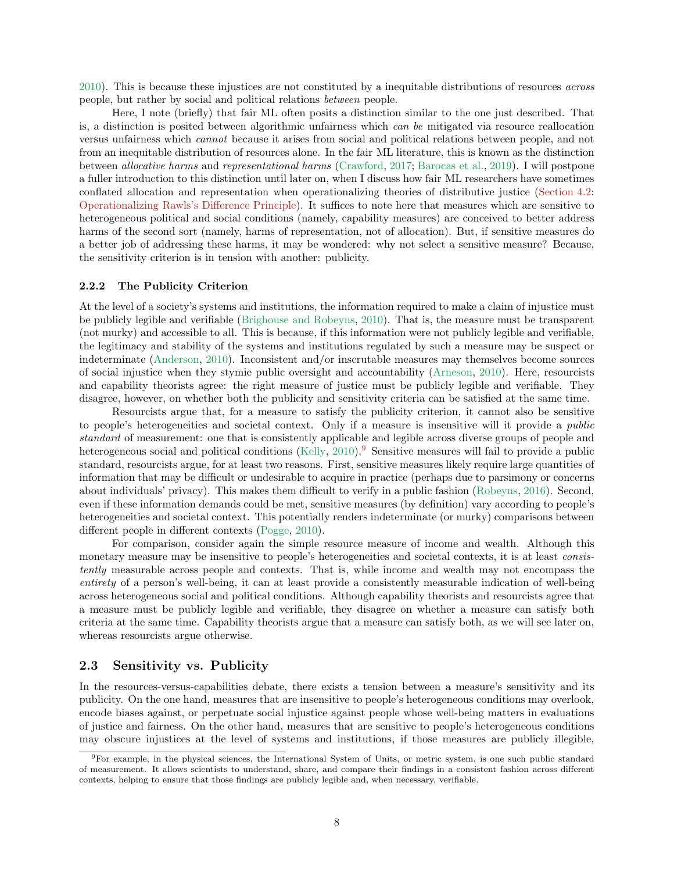[2010\)](#page-27-2). This is because these injustices are not constituted by a inequitable distributions of resources *across* people, but rather by social and political relations *between* people.

Here, I note (briefly) that fair ML often posits a distinction similar to the one just described. That is, a distinction is posited between algorithmic unfairness which *can be* mitigated via resource reallocation versus unfairness which *cannot* because it arises from social and political relations between people, and not from an inequitable distribution of resources alone. In the fair ML literature, this is known as the distinction between *allocative harms* and *representational harms* [\(Crawford,](#page-29-5) [2017](#page-29-5); [Barocas et al.,](#page-28-4) [2019](#page-28-4)). I will postpone a fuller introduction to this distinction until later on, when I discuss how fair ML researchers have sometimes conflated allocation and representation when operationalizing theories of distributive justice [\(Section 4.2:](#page-14-0) [Operationalizing Rawls's Difference Principle\)](#page-14-0). It suffices to note here that measures which are sensitive to heterogeneous political and social conditions (namely, capability measures) are conceived to better address harms of the second sort (namely, harms of representation, not of allocation). But, if sensitive measures do a better job of addressing these harms, it may be wondered: why not select a sensitive measure? Because, the sensitivity criterion is in tension with another: publicity.

## <span id="page-7-0"></span>2.2.2 The Publicity Criterion

At the level of a society's systems and institutions, the information required to make a claim of injustice must be publicly legible and verifiable [\(Brighouse and Robeyns](#page-28-2), [2010](#page-28-2)). That is, the measure must be transparent (not murky) and accessible to all. This is because, if this information were not publicly legible and verifiable, the legitimacy and stability of the systems and institutions regulated by such a measure may be suspect or indeterminate [\(Anderson,](#page-27-2) [2010](#page-27-2)). Inconsistent and/or inscrutable measures may themselves become sources of social injustice when they stymie public oversight and accountability [\(Arneson](#page-28-5), [2010\)](#page-28-5). Here, resourcists and capability theorists agree: the right measure of justice must be publicly legible and verifiable. They disagree, however, on whether both the publicity and sensitivity criteria can be satisfied at the same time.

Resourcists argue that, for a measure to satisfy the publicity criterion, it cannot also be sensitive to people's heterogeneities and societal context. Only if a measure is insensitive will it provide a *public standard* of measurement: one that is consistently applicable and legible across diverse groups of people and heterogeneous social and political conditions [\(Kelly](#page-31-4), [2010](#page-31-4)).<sup>[9](#page-7-2)</sup> Sensitive measures will fail to provide a public standard, resourcists argue, for at least two reasons. First, sensitive measures likely require large quantities of information that may be difficult or undesirable to acquire in practice (perhaps due to parsimony or concerns about individuals' privacy). This makes them difficult to verify in a public fashion [\(Robeyns](#page-33-5), [2016\)](#page-33-5). Second, even if these information demands could be met, sensitive measures (by definition) vary according to people's heterogeneities and societal context. This potentially renders indeterminate (or murky) comparisons between different people in different contexts [\(Pogge,](#page-32-2) [2010\)](#page-32-2).

For comparison, consider again the simple resource measure of income and wealth. Although this monetary measure may be insensitive to people's heterogeneities and societal contexts, it is at least *consistently* measurable across people and contexts. That is, while income and wealth may not encompass the *entirety* of a person's well-being, it can at least provide a consistently measurable indication of well-being across heterogeneous social and political conditions. Although capability theorists and resourcists agree that a measure must be publicly legible and verifiable, they disagree on whether a measure can satisfy both criteria at the same time. Capability theorists argue that a measure can satisfy both, as we will see later on, whereas resourcists argue otherwise.

#### <span id="page-7-1"></span>2.3 Sensitivity vs. Publicity

In the resources-versus-capabilities debate, there exists a tension between a measure's sensitivity and its publicity. On the one hand, measures that are insensitive to people's heterogeneous conditions may overlook, encode biases against, or perpetuate social injustice against people whose well-being matters in evaluations of justice and fairness. On the other hand, measures that are sensitive to people's heterogeneous conditions may obscure injustices at the level of systems and institutions, if those measures are publicly illegible,

<span id="page-7-2"></span><sup>9</sup>For example, in the physical sciences, the International System of Units, or metric system, is one such public standard of measurement. It allows scientists to understand, share, and compare their findings in a consistent fashion across different contexts, helping to ensure that those findings are publicly legible and, when necessary, verifiable.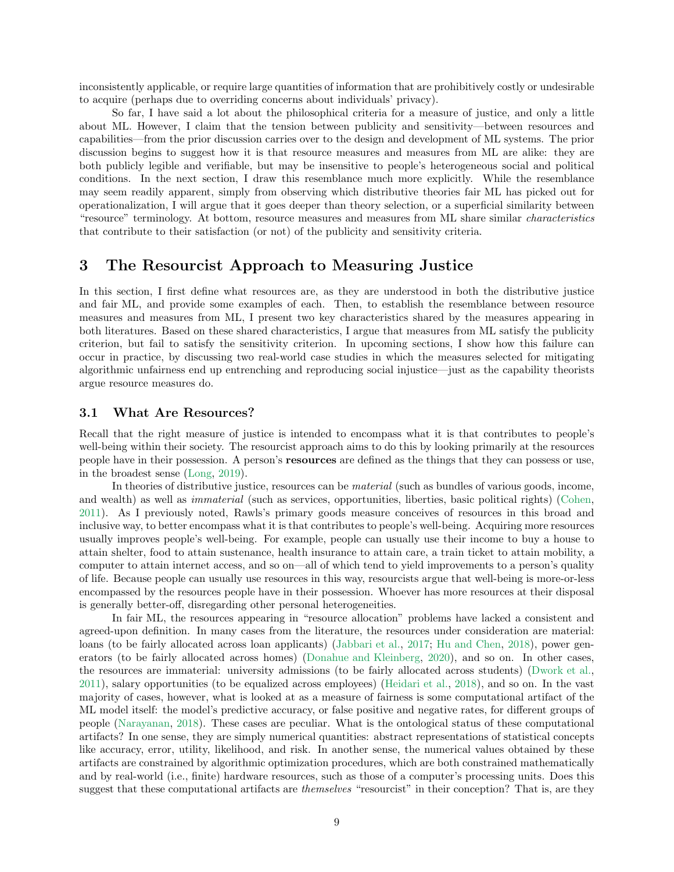inconsistently applicable, or require large quantities of information that are prohibitively costly or undesirable to acquire (perhaps due to overriding concerns about individuals' privacy).

So far, I have said a lot about the philosophical criteria for a measure of justice, and only a little about ML. However, I claim that the tension between publicity and sensitivity—between resources and capabilities—from the prior discussion carries over to the design and development of ML systems. The prior discussion begins to suggest how it is that resource measures and measures from ML are alike: they are both publicly legible and verifiable, but may be insensitive to people's heterogeneous social and political conditions. In the next section, I draw this resemblance much more explicitly. While the resemblance may seem readily apparent, simply from observing which distributive theories fair ML has picked out for operationalization, I will argue that it goes deeper than theory selection, or a superficial similarity between "resource" terminology. At bottom, resource measures and measures from ML share similar *characteristics* that contribute to their satisfaction (or not) of the publicity and sensitivity criteria.

# <span id="page-8-0"></span>3 The Resourcist Approach to Measuring Justice

In this section, I first define what resources are, as they are understood in both the distributive justice and fair ML, and provide some examples of each. Then, to establish the resemblance between resource measures and measures from ML, I present two key characteristics shared by the measures appearing in both literatures. Based on these shared characteristics, I argue that measures from ML satisfy the publicity criterion, but fail to satisfy the sensitivity criterion. In upcoming sections, I show how this failure can occur in practice, by discussing two real-world case studies in which the measures selected for mitigating algorithmic unfairness end up entrenching and reproducing social injustice—just as the capability theorists argue resource measures do.

#### <span id="page-8-1"></span>3.1 What Are Resources?

Recall that the right measure of justice is intended to encompass what it is that contributes to people's well-being within their society. The resourcist approach aims to do this by looking primarily at the resources people have in their possession. A person's resources are defined as the things that they can possess or use, in the broadest sense [\(Long](#page-31-5), [2019](#page-31-5)).

In theories of distributive justice, resources can be *material* (such as bundles of various goods, income, and wealth) as well as *immaterial* (such as services, opportunities, liberties, basic political rights) [\(Cohen](#page-29-4), [2011\)](#page-29-4). As I previously noted, Rawls's primary goods measure conceives of resources in this broad and inclusive way, to better encompass what it is that contributes to people's well-being. Acquiring more resources usually improves people's well-being. For example, people can usually use their income to buy a house to attain shelter, food to attain sustenance, health insurance to attain care, a train ticket to attain mobility, a computer to attain internet access, and so on—all of which tend to yield improvements to a person's quality of life. Because people can usually use resources in this way, resourcists argue that well-being is more-or-less encompassed by the resources people have in their possession. Whoever has more resources at their disposal is generally better-off, disregarding other personal heterogeneities.

In fair ML, the resources appearing in "resource allocation" problems have lacked a consistent and agreed-upon definition. In many cases from the literature, the resources under consideration are material: loans (to be fairly allocated across loan applicants) [\(Jabbari et al.,](#page-30-3) [2017](#page-30-3); [Hu and Chen](#page-30-6), [2018\)](#page-30-6), power generators (to be fairly allocated across homes) [\(Donahue and Kleinberg,](#page-29-1) [2020\)](#page-29-1), and so on. In other cases, the resources are immaterial: university admissions (to be fairly allocated across students) [\(Dwork et al.](#page-29-0), [2011\)](#page-29-0), salary opportunities (to be equalized across employees) [\(Heidari et al.](#page-30-1), [2018](#page-30-1)), and so on. In the vast majority of cases, however, what is looked at as a measure of fairness is some computational artifact of the ML model itself: the model's predictive accuracy, or false positive and negative rates, for different groups of people [\(Narayanan](#page-31-1), [2018](#page-31-1)). These cases are peculiar. What is the ontological status of these computational artifacts? In one sense, they are simply numerical quantities: abstract representations of statistical concepts like accuracy, error, utility, likelihood, and risk. In another sense, the numerical values obtained by these artifacts are constrained by algorithmic optimization procedures, which are both constrained mathematically and by real-world (i.e., finite) hardware resources, such as those of a computer's processing units. Does this suggest that these computational artifacts are *themselves* "resourcist" in their conception? That is, are they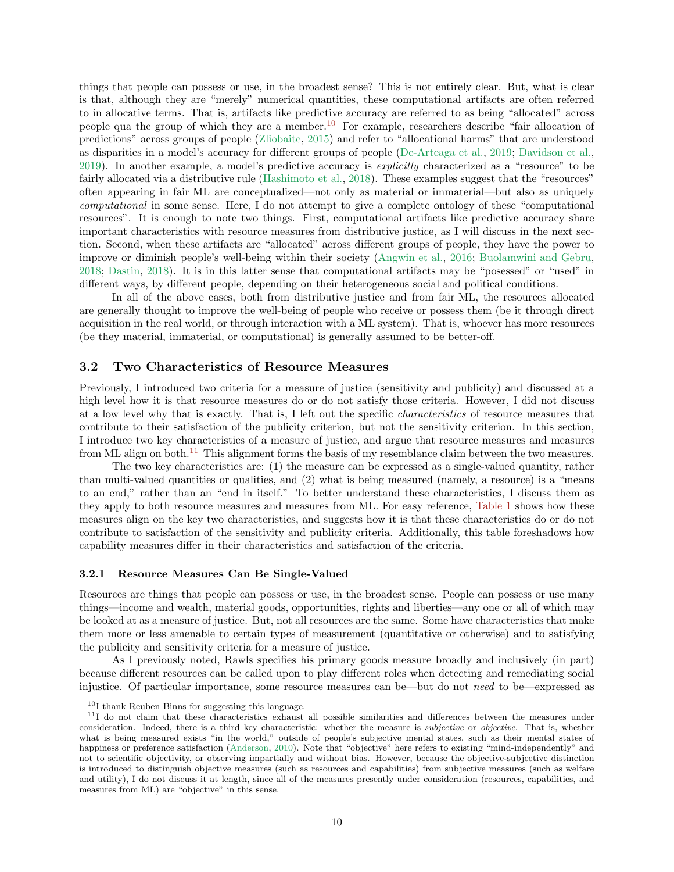things that people can possess or use, in the broadest sense? This is not entirely clear. But, what is clear is that, although they are "merely" numerical quantities, these computational artifacts are often referred to in allocative terms. That is, artifacts like predictive accuracy are referred to as being "allocated" across people qua the group of which they are a member.[10](#page-9-2) For example, researchers describe "fair allocation of predictions" across groups of people [\(Zliobaite](#page-34-4), [2015](#page-34-4)) and refer to "allocational harms" that are understood as disparities in a model's accuracy for different groups of people [\(De-Arteaga et al.](#page-29-6), [2019](#page-29-6); [Davidson et al.](#page-29-7), [2019\)](#page-29-7). In another example, a model's predictive accuracy is *explicitly* characterized as a "resource" to be fairly allocated via a distributive rule [\(Hashimoto et al.](#page-30-2), [2018\)](#page-30-2). These examples suggest that the "resources" often appearing in fair ML are conceptualized—not only as material or immaterial—but also as uniquely *computational* in some sense. Here, I do not attempt to give a complete ontology of these "computational resources". It is enough to note two things. First, computational artifacts like predictive accuracy share important characteristics with resource measures from distributive justice, as I will discuss in the next section. Second, when these artifacts are "allocated" across different groups of people, they have the power to improve or diminish people's well-being within their society [\(Angwin et al.,](#page-27-4) [2016](#page-27-4); [Buolamwini and Gebru](#page-28-6), [2018;](#page-28-6) [Dastin](#page-29-8), [2018](#page-29-8)). It is in this latter sense that computational artifacts may be "posessed" or "used" in different ways, by different people, depending on their heterogeneous social and political conditions.

In all of the above cases, both from distributive justice and from fair ML, the resources allocated are generally thought to improve the well-being of people who receive or possess them (be it through direct acquisition in the real world, or through interaction with a ML system). That is, whoever has more resources (be they material, immaterial, or computational) is generally assumed to be better-off.

### <span id="page-9-0"></span>3.2 Two Characteristics of Resource Measures

Previously, I introduced two criteria for a measure of justice (sensitivity and publicity) and discussed at a high level how it is that resource measures do or do not satisfy those criteria. However, I did not discuss at a low level why that is exactly. That is, I left out the specific *characteristics* of resource measures that contribute to their satisfaction of the publicity criterion, but not the sensitivity criterion. In this section, I introduce two key characteristics of a measure of justice, and argue that resource measures and measures from ML align on both.<sup>[11](#page-9-3)</sup> This alignment forms the basis of my resemblance claim between the two measures.

The two key characteristics are: (1) the measure can be expressed as a single-valued quantity, rather than multi-valued quantities or qualities, and (2) what is being measured (namely, a resource) is a "means to an end," rather than an "end in itself." To better understand these characteristics, I discuss them as they apply to both resource measures and measures from ML. For easy reference, [Table 1](#page-11-1) shows how these measures align on the key two characteristics, and suggests how it is that these characteristics do or do not contribute to satisfaction of the sensitivity and publicity criteria. Additionally, this table foreshadows how capability measures differ in their characteristics and satisfaction of the criteria.

#### <span id="page-9-1"></span>3.2.1 Resource Measures Can Be Single-Valued

Resources are things that people can possess or use, in the broadest sense. People can possess or use many things—income and wealth, material goods, opportunities, rights and liberties—any one or all of which may be looked at as a measure of justice. But, not all resources are the same. Some have characteristics that make them more or less amenable to certain types of measurement (quantitative or otherwise) and to satisfying the publicity and sensitivity criteria for a measure of justice.

As I previously noted, Rawls specifies his primary goods measure broadly and inclusively (in part) because different resources can be called upon to play different roles when detecting and remediating social injustice. Of particular importance, some resource measures can be—but do not *need* to be—expressed as

<span id="page-9-2"></span><sup>10</sup>I thank Reuben Binns for suggesting this language.

<span id="page-9-3"></span><sup>&</sup>lt;sup>11</sup>I do not claim that these characteristics exhaust all possible similarities and differences between the measures under consideration. Indeed, there is a third key characteristic: whether the measure is subjective or objective. That is, whether what is being measured exists "in the world," outside of people's subjective mental states, such as their mental states of happiness or preference satisfaction [\(Anderson](#page-27-2), [2010](#page-27-2)). Note that "objective" here refers to existing "mind-independently" and not to scientific objectivity, or observing impartially and without bias. However, because the objective-subjective distinction is introduced to distinguish objective measures (such as resources and capabilities) from subjective measures (such as welfare and utility), I do not discuss it at length, since all of the measures presently under consideration (resources, capabilities, and measures from ML) are "objective" in this sense.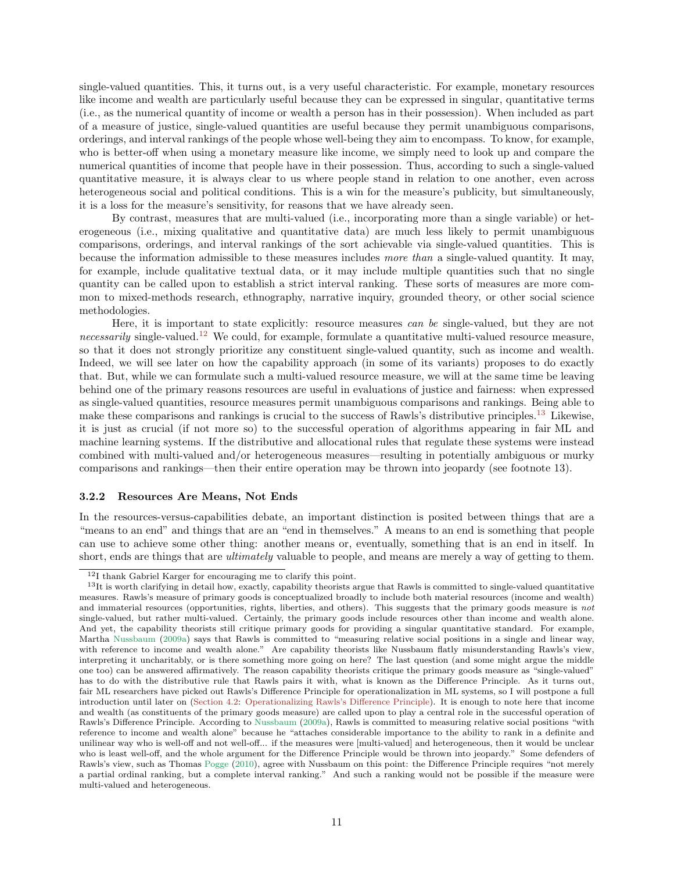single-valued quantities. This, it turns out, is a very useful characteristic. For example, monetary resources like income and wealth are particularly useful because they can be expressed in singular, quantitative terms (i.e., as the numerical quantity of income or wealth a person has in their possession). When included as part of a measure of justice, single-valued quantities are useful because they permit unambiguous comparisons, orderings, and interval rankings of the people whose well-being they aim to encompass. To know, for example, who is better-off when using a monetary measure like income, we simply need to look up and compare the numerical quantities of income that people have in their possession. Thus, according to such a single-valued quantitative measure, it is always clear to us where people stand in relation to one another, even across heterogeneous social and political conditions. This is a win for the measure's publicity, but simultaneously, it is a loss for the measure's sensitivity, for reasons that we have already seen.

By contrast, measures that are multi-valued (i.e., incorporating more than a single variable) or heterogeneous (i.e., mixing qualitative and quantitative data) are much less likely to permit unambiguous comparisons, orderings, and interval rankings of the sort achievable via single-valued quantities. This is because the information admissible to these measures includes *more than* a single-valued quantity. It may, for example, include qualitative textual data, or it may include multiple quantities such that no single quantity can be called upon to establish a strict interval ranking. These sorts of measures are more common to mixed-methods research, ethnography, narrative inquiry, grounded theory, or other social science methodologies.

Here, it is important to state explicitly: resource measures *can be* single-valued, but they are not *necessarily* single-valued.[12](#page-10-1) We could, for example, formulate a quantitative multi-valued resource measure, so that it does not strongly prioritize any constituent single-valued quantity, such as income and wealth. Indeed, we will see later on how the capability approach (in some of its variants) proposes to do exactly that. But, while we can formulate such a multi-valued resource measure, we will at the same time be leaving behind one of the primary reasons resources are useful in evaluations of justice and fairness: when expressed as single-valued quantities, resource measures permit unambiguous comparisons and rankings. Being able to make these comparisons and rankings is crucial to the success of Rawls's distributive principles.<sup>[13](#page-10-2)</sup> Likewise, it is just as crucial (if not more so) to the successful operation of algorithms appearing in fair ML and machine learning systems. If the distributive and allocational rules that regulate these systems were instead combined with multi-valued and/or heterogeneous measures—resulting in potentially ambiguous or murky comparisons and rankings—then their entire operation may be thrown into jeopardy (see footnote 13).

#### <span id="page-10-0"></span>3.2.2 Resources Are Means, Not Ends

In the resources-versus-capabilities debate, an important distinction is posited between things that are a "means to an end" and things that are an "end in themselves." A means to an end is something that people can use to achieve some other thing: another means or, eventually, something that is an end in itself. In short, ends are things that are *ultimately* valuable to people, and means are merely a way of getting to them.

<span id="page-10-1"></span><sup>12</sup>I thank Gabriel Karger for encouraging me to clarify this point.

<span id="page-10-2"></span> $13$ It is worth clarifying in detail how, exactly, capability theorists argue that Rawls is committed to single-valued quantitative measures. Rawls's measure of primary goods is conceptualized broadly to include both material resources (income and wealth) and immaterial resources (opportunities, rights, liberties, and others). This suggests that the primary goods measure is not single-valued, but rather multi-valued. Certainly, the primary goods include resources other than income and wealth alone. And yet, the capability theorists still critique primary goods for providing a singular quantitative standard. For example, Martha [Nussbaum](#page-32-3) [\(2009a](#page-32-3)) says that Rawls is committed to "measuring relative social positions in a single and linear way, with reference to income and wealth alone." Are capability theorists like Nussbaum flatly misunderstanding Rawls's view, interpreting it uncharitably, or is there something more going on here? The last question (and some might argue the middle one too) can be answered affirmatively. The reason capability theorists critique the primary goods measure as "single-valued" has to do with the distributive rule that Rawls pairs it with, what is known as the Difference Principle. As it turns out, fair ML researchers have picked out Rawls's Difference Principle for operationalization in ML systems, so I will postpone a full introduction until later on [\(Section 4.2:](#page-14-0) [Operationalizing Rawls's Difference Principle\)](#page-14-0). It is enough to note here that income and wealth (as constituents of the primary goods measure) are called upon to play a central role in the successful operation of Rawls's Difference Principle. According to [Nussbaum](#page-32-3) [\(2009a\)](#page-32-3), Rawls is committed to measuring relative social positions "with reference to income and wealth alone" because he "attaches considerable importance to the ability to rank in a definite and unilinear way who is well-off and not well-off... if the measures were [multi-valued] and heterogeneous, then it would be unclear who is least well-off, and the whole argument for the Difference Principle would be thrown into jeopardy." Some defenders of Rawls's view, such as Thomas [Pogge](#page-32-2) [\(2010\)](#page-32-2), agree with Nussbaum on this point: the Difference Principle requires "not merely a partial ordinal ranking, but a complete interval ranking." And such a ranking would not be possible if the measure were multi-valued and heterogeneous.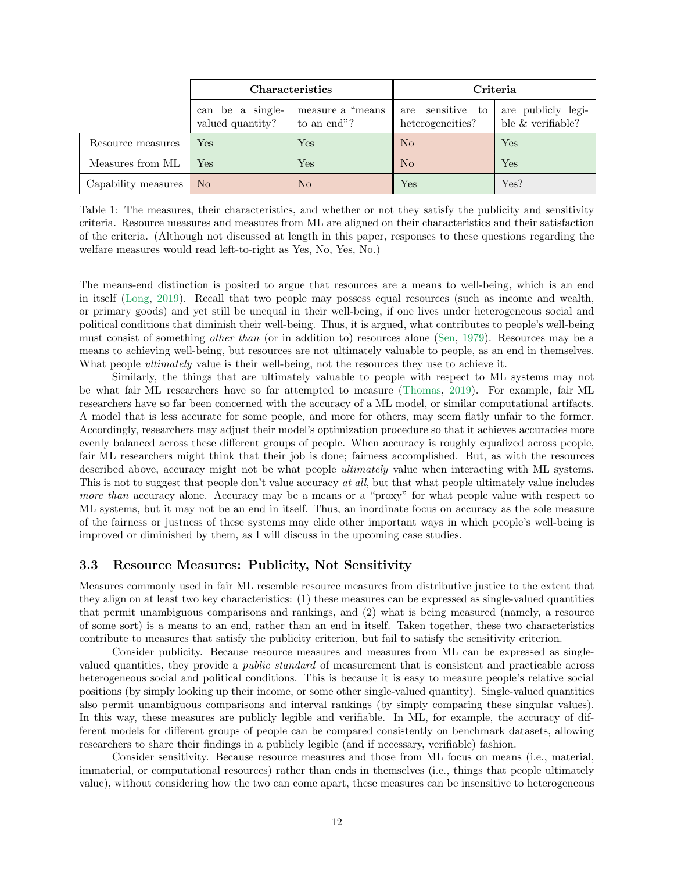|                     | <b>Characteristics</b>               |                                  | Criteria                             |                                         |
|---------------------|--------------------------------------|----------------------------------|--------------------------------------|-----------------------------------------|
|                     | can be a single-<br>valued quantity? | measure a "means"<br>to an end"? | are sensitive to<br>heterogeneities? | are publicly legi-<br>ble & verifiable? |
| Resource measures   | Yes                                  | Yes                              | No                                   | Yes                                     |
| Measures from ML    | Yes                                  | Yes                              | No                                   | Yes                                     |
| Capability measures | N <sub>o</sub>                       | N <sub>o</sub>                   | ${\rm Yes}$                          | Yes?                                    |

<span id="page-11-1"></span>Table 1: The measures, their characteristics, and whether or not they satisfy the publicity and sensitivity criteria. Resource measures and measures from ML are aligned on their characteristics and their satisfaction of the criteria. (Although not discussed at length in this paper, responses to these questions regarding the welfare measures would read left-to-right as Yes, No, Yes, No.)

The means-end distinction is posited to argue that resources are a means to well-being, which is an end in itself [\(Long,](#page-31-5) [2019\)](#page-31-5). Recall that two people may possess equal resources (such as income and wealth, or primary goods) and yet still be unequal in their well-being, if one lives under heterogeneous social and political conditions that diminish their well-being. Thus, it is argued, what contributes to people's well-being must consist of something *other than* (or in addition to) resources alone [\(Sen,](#page-33-3) [1979](#page-33-3)). Resources may be a means to achieving well-being, but resources are not ultimately valuable to people, as an end in themselves. What people *ultimately* value is their well-being, not the resources they use to achieve it.

Similarly, the things that are ultimately valuable to people with respect to ML systems may not be what fair ML researchers have so far attempted to measure [\(Thomas,](#page-34-5) [2019](#page-34-5)). For example, fair ML researchers have so far been concerned with the accuracy of a ML model, or similar computational artifacts. A model that is less accurate for some people, and more for others, may seem flatly unfair to the former. Accordingly, researchers may adjust their model's optimization procedure so that it achieves accuracies more evenly balanced across these different groups of people. When accuracy is roughly equalized across people, fair ML researchers might think that their job is done; fairness accomplished. But, as with the resources described above, accuracy might not be what people *ultimately* value when interacting with ML systems. This is not to suggest that people don't value accuracy *at all*, but that what people ultimately value includes *more than* accuracy alone. Accuracy may be a means or a "proxy" for what people value with respect to ML systems, but it may not be an end in itself. Thus, an inordinate focus on accuracy as the sole measure of the fairness or justness of these systems may elide other important ways in which people's well-being is improved or diminished by them, as I will discuss in the upcoming case studies.

## <span id="page-11-0"></span>3.3 Resource Measures: Publicity, Not Sensitivity

Measures commonly used in fair ML resemble resource measures from distributive justice to the extent that they align on at least two key characteristics: (1) these measures can be expressed as single-valued quantities that permit unambiguous comparisons and rankings, and (2) what is being measured (namely, a resource of some sort) is a means to an end, rather than an end in itself. Taken together, these two characteristics contribute to measures that satisfy the publicity criterion, but fail to satisfy the sensitivity criterion.

Consider publicity. Because resource measures and measures from ML can be expressed as singlevalued quantities, they provide a *public standard* of measurement that is consistent and practicable across heterogeneous social and political conditions. This is because it is easy to measure people's relative social positions (by simply looking up their income, or some other single-valued quantity). Single-valued quantities also permit unambiguous comparisons and interval rankings (by simply comparing these singular values). In this way, these measures are publicly legible and verifiable. In ML, for example, the accuracy of different models for different groups of people can be compared consistently on benchmark datasets, allowing researchers to share their findings in a publicly legible (and if necessary, verifiable) fashion.

Consider sensitivity. Because resource measures and those from ML focus on means (i.e., material, immaterial, or computational resources) rather than ends in themselves (i.e., things that people ultimately value), without considering how the two can come apart, these measures can be insensitive to heterogeneous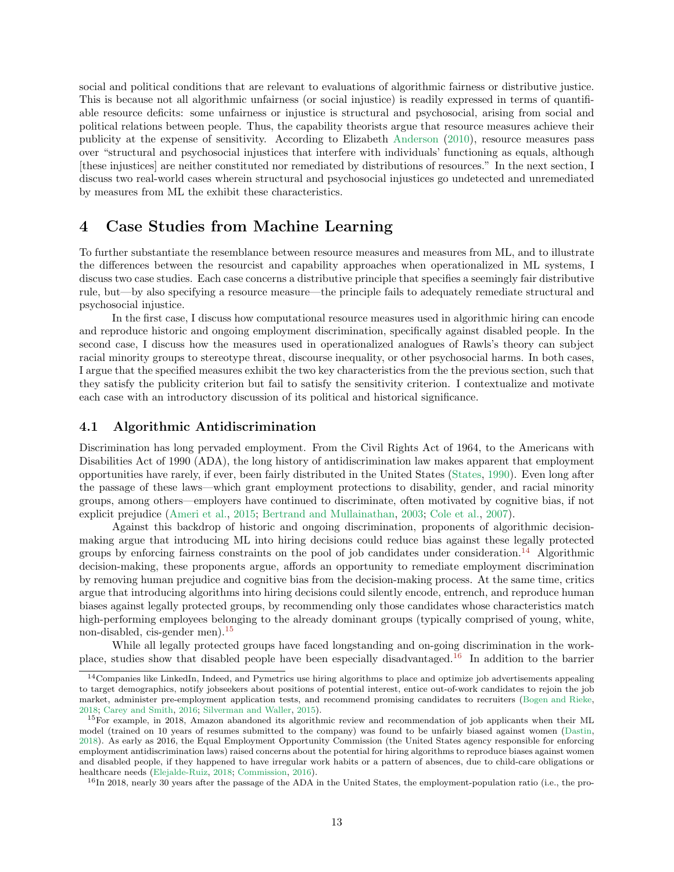social and political conditions that are relevant to evaluations of algorithmic fairness or distributive justice. This is because not all algorithmic unfairness (or social injustice) is readily expressed in terms of quantifiable resource deficits: some unfairness or injustice is structural and psychosocial, arising from social and political relations between people. Thus, the capability theorists argue that resource measures achieve their publicity at the expense of sensitivity. According to Elizabeth [Anderson](#page-27-2) [\(2010\)](#page-27-2), resource measures pass over "structural and psychosocial injustices that interfere with individuals' functioning as equals, although [these injustices] are neither constituted nor remediated by distributions of resources." In the next section, I discuss two real-world cases wherein structural and psychosocial injustices go undetected and unremediated by measures from ML the exhibit these characteristics.

# <span id="page-12-0"></span>4 Case Studies from Machine Learning

To further substantiate the resemblance between resource measures and measures from ML, and to illustrate the differences between the resourcist and capability approaches when operationalized in ML systems, I discuss two case studies. Each case concerns a distributive principle that specifies a seemingly fair distributive rule, but—by also specifying a resource measure—the principle fails to adequately remediate structural and psychosocial injustice.

In the first case, I discuss how computational resource measures used in algorithmic hiring can encode and reproduce historic and ongoing employment discrimination, specifically against disabled people. In the second case, I discuss how the measures used in operationalized analogues of Rawls's theory can subject racial minority groups to stereotype threat, discourse inequality, or other psychosocial harms. In both cases, I argue that the specified measures exhibit the two key characteristics from the the previous section, such that they satisfy the publicity criterion but fail to satisfy the sensitivity criterion. I contextualize and motivate each case with an introductory discussion of its political and historical significance.

## <span id="page-12-1"></span>4.1 Algorithmic Antidiscrimination

Discrimination has long pervaded employment. From the Civil Rights Act of 1964, to the Americans with Disabilities Act of 1990 (ADA), the long history of antidiscrimination law makes apparent that employment opportunities have rarely, if ever, been fairly distributed in the United States [\(States](#page-33-6), [1990](#page-33-6)). Even long after the passage of these laws—which grant employment protections to disability, gender, and racial minority groups, among others—employers have continued to discriminate, often motivated by cognitive bias, if not explicit prejudice [\(Ameri et al.](#page-27-5), [2015](#page-27-5); [Bertrand and Mullainathan,](#page-28-7) [2003;](#page-28-7) [Cole et al.,](#page-29-9) [2007\)](#page-29-9).

Against this backdrop of historic and ongoing discrimination, proponents of algorithmic decisionmaking argue that introducing ML into hiring decisions could reduce bias against these legally protected groups by enforcing fairness constraints on the pool of job candidates under consideration.<sup>[14](#page-12-2)</sup> Algorithmic decision-making, these proponents argue, affords an opportunity to remediate employment discrimination by removing human prejudice and cognitive bias from the decision-making process. At the same time, critics argue that introducing algorithms into hiring decisions could silently encode, entrench, and reproduce human biases against legally protected groups, by recommending only those candidates whose characteristics match high-performing employees belonging to the already dominant groups (typically comprised of young, white, non-disabled, cis-gender men).<sup>[15](#page-12-3)</sup>

While all legally protected groups have faced longstanding and on-going discrimination in the workplace, studies show that disabled people have been especially disadvantaged.[16](#page-12-4) In addition to the barrier

<span id="page-12-2"></span><sup>&</sup>lt;sup>14</sup>Companies like LinkedIn, Indeed, and Pymetrics use hiring algorithms to place and optimize job advertisements appealing to target demographics, notify jobseekers about positions of potential interest, entice out-of-work candidates to rejoin the job market, administer pre-employment application tests, and recommend promising candidates to recruiters [\(Bogen and Rieke,](#page-28-8) [2018;](#page-28-8) [Carey and Smith](#page-28-9), [2016](#page-28-9); [Silverman and Waller,](#page-33-7) [2015\)](#page-33-7).

<span id="page-12-3"></span><sup>15</sup>For example, in 2018, Amazon abandoned its algorithmic review and recommendation of job applicants when their ML model (trained on 10 years of resumes submitted to the company) was found to be unfairly biased against women [\(Dastin,](#page-29-8) [2018\)](#page-29-8). As early as 2016, the Equal Employment Opportunity Commission (the United States agency responsible for enforcing employment antidiscrimination laws) raised concerns about the potential for hiring algorithms to reproduce biases against women and disabled people, if they happened to have irregular work habits or a pattern of absences, due to child-care obligations or healthcare needs [\(Elejalde-Ruiz,](#page-29-10) [2018;](#page-29-10) [Commission,](#page-29-11) [2016\)](#page-29-11).

<span id="page-12-4"></span><sup>16</sup>In 2018, nearly 30 years after the passage of the ADA in the United States, the employment-population ratio (i.e., the pro-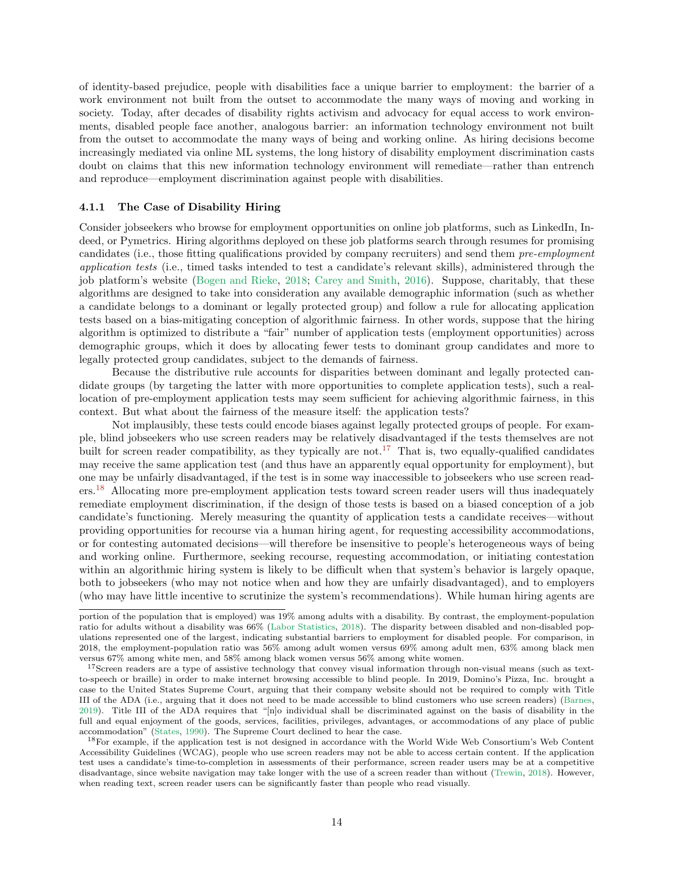of identity-based prejudice, people with disabilities face a unique barrier to employment: the barrier of a work environment not built from the outset to accommodate the many ways of moving and working in society. Today, after decades of disability rights activism and advocacy for equal access to work environments, disabled people face another, analogous barrier: an information technology environment not built from the outset to accommodate the many ways of being and working online. As hiring decisions become increasingly mediated via online ML systems, the long history of disability employment discrimination casts doubt on claims that this new information technology environment will remediate—rather than entrench and reproduce—employment discrimination against people with disabilities.

#### <span id="page-13-0"></span>4.1.1 The Case of Disability Hiring

Consider jobseekers who browse for employment opportunities on online job platforms, such as LinkedIn, Indeed, or Pymetrics. Hiring algorithms deployed on these job platforms search through resumes for promising candidates (i.e., those fitting qualifications provided by company recruiters) and send them *pre-employment application tests* (i.e., timed tasks intended to test a candidate's relevant skills), administered through the job platform's website [\(Bogen and Rieke](#page-28-8), [2018](#page-28-8); [Carey and Smith,](#page-28-9) [2016\)](#page-28-9). Suppose, charitably, that these algorithms are designed to take into consideration any available demographic information (such as whether a candidate belongs to a dominant or legally protected group) and follow a rule for allocating application tests based on a bias-mitigating conception of algorithmic fairness. In other words, suppose that the hiring algorithm is optimized to distribute a "fair" number of application tests (employment opportunities) across demographic groups, which it does by allocating fewer tests to dominant group candidates and more to legally protected group candidates, subject to the demands of fairness.

Because the distributive rule accounts for disparities between dominant and legally protected candidate groups (by targeting the latter with more opportunities to complete application tests), such a reallocation of pre-employment application tests may seem sufficient for achieving algorithmic fairness, in this context. But what about the fairness of the measure itself: the application tests?

Not implausibly, these tests could encode biases against legally protected groups of people. For example, blind jobseekers who use screen readers may be relatively disadvantaged if the tests themselves are not built for screen reader compatibility, as they typically are not.<sup>[17](#page-13-1)</sup> That is, two equally-qualified candidates may receive the same application test (and thus have an apparently equal opportunity for employment), but one may be unfairly disadvantaged, if the test is in some way inaccessible to jobseekers who use screen readers.[18](#page-13-2) Allocating more pre-employment application tests toward screen reader users will thus inadequately remediate employment discrimination, if the design of those tests is based on a biased conception of a job candidate's functioning. Merely measuring the quantity of application tests a candidate receives—without providing opportunities for recourse via a human hiring agent, for requesting accessibility accommodations, or for contesting automated decisions—will therefore be insensitive to people's heterogeneous ways of being and working online. Furthermore, seeking recourse, requesting accommodation, or initiating contestation within an algorithmic hiring system is likely to be difficult when that system's behavior is largely opaque, both to jobseekers (who may not notice when and how they are unfairly disadvantaged), and to employers (who may have little incentive to scrutinize the system's recommendations). While human hiring agents are

portion of the population that is employed) was 19% among adults with a disability. By contrast, the employment-population ratio for adults without a disability was 66% [\(Labor Statistics,](#page-31-6) [2018](#page-31-6)). The disparity between disabled and non-disabled populations represented one of the largest, indicating substantial barriers to employment for disabled people. For comparison, in 2018, the employment-population ratio was 56% among adult women versus 69% among adult men, 63% among black men versus 67% among white men, and 58% among black women versus 56% among white women.

<span id="page-13-1"></span><sup>&</sup>lt;sup>17</sup>Screen readers are a type of assistive technology that convey visual information through non-visual means (such as textto-speech or braille) in order to make internet browsing accessible to blind people. In 2019, Domino's Pizza, Inc. brought a case to the United States Supreme Court, arguing that their company website should not be required to comply with Title III of the ADA (i.e., arguing that it does not need to be made accessible to blind customers who use screen readers) [\(Barnes,](#page-28-10) [2019\)](#page-28-10). Title III of the ADA requires that "[n]o individual shall be discriminated against on the basis of disability in the full and equal enjoyment of the goods, services, facilities, privileges, advantages, or accommodations of any place of public accommodation" [\(States](#page-33-6), [1990](#page-33-6)). The Supreme Court declined to hear the case.

<span id="page-13-2"></span><sup>18</sup>For example, if the application test is not designed in accordance with the World Wide Web Consortium's Web Content Accessibility Guidelines (WCAG), people who use screen readers may not be able to access certain content. If the application test uses a candidate's time-to-completion in assessments of their performance, screen reader users may be at a competitive disadvantage, since website navigation may take longer with the use of a screen reader than without [\(Trewin,](#page-34-6) [2018\)](#page-34-6). However, when reading text, screen reader users can be significantly faster than people who read visually.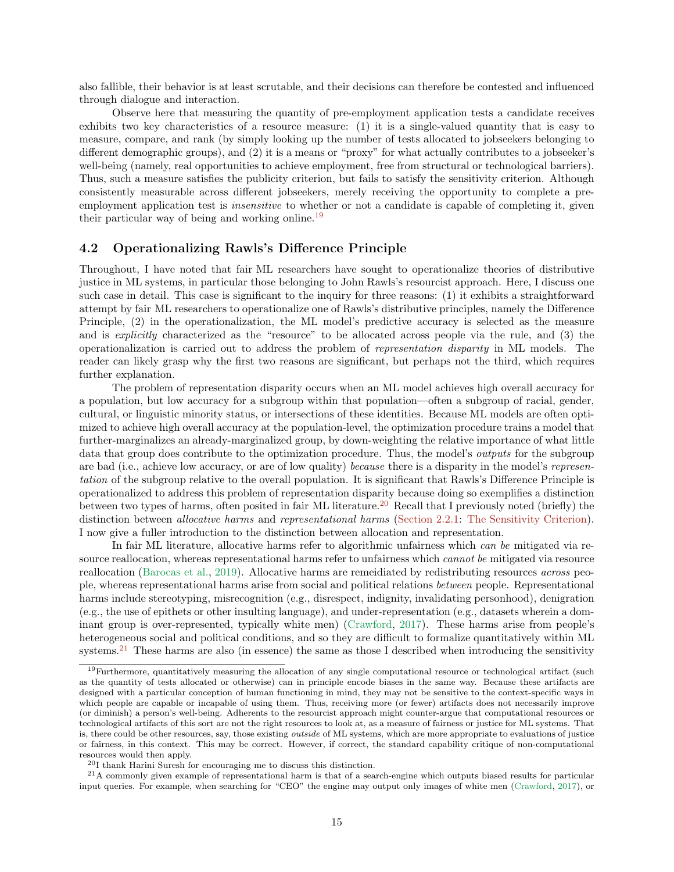also fallible, their behavior is at least scrutable, and their decisions can therefore be contested and influenced through dialogue and interaction.

Observe here that measuring the quantity of pre-employment application tests a candidate receives exhibits two key characteristics of a resource measure: (1) it is a single-valued quantity that is easy to measure, compare, and rank (by simply looking up the number of tests allocated to jobseekers belonging to different demographic groups), and (2) it is a means or "proxy" for what actually contributes to a jobseeker's well-being (namely, real opportunities to achieve employment, free from structural or technological barriers). Thus, such a measure satisfies the publicity criterion, but fails to satisfy the sensitivity criterion. Although consistently measurable across different jobseekers, merely receiving the opportunity to complete a preemployment application test is *insensitive* to whether or not a candidate is capable of completing it, given their particular way of being and working online.[19](#page-14-1)

## <span id="page-14-0"></span>4.2 Operationalizing Rawls's Difference Principle

Throughout, I have noted that fair ML researchers have sought to operationalize theories of distributive justice in ML systems, in particular those belonging to John Rawls's resourcist approach. Here, I discuss one such case in detail. This case is significant to the inquiry for three reasons: (1) it exhibits a straightforward attempt by fair ML researchers to operationalize one of Rawls's distributive principles, namely the Difference Principle, (2) in the operationalization, the ML model's predictive accuracy is selected as the measure and is *explicitly* characterized as the "resource" to be allocated across people via the rule, and (3) the operationalization is carried out to address the problem of *representation disparity* in ML models. The reader can likely grasp why the first two reasons are significant, but perhaps not the third, which requires further explanation.

The problem of representation disparity occurs when an ML model achieves high overall accuracy for a population, but low accuracy for a subgroup within that population—often a subgroup of racial, gender, cultural, or linguistic minority status, or intersections of these identities. Because ML models are often optimized to achieve high overall accuracy at the population-level, the optimization procedure trains a model that further-marginalizes an already-marginalized group, by down-weighting the relative importance of what little data that group does contribute to the optimization procedure. Thus, the model's *outputs* for the subgroup are bad (i.e., achieve low accuracy, or are of low quality) *because* there is a disparity in the model's *representation* of the subgroup relative to the overall population. It is significant that Rawls's Difference Principle is operationalized to address this problem of representation disparity because doing so exemplifies a distinction between two types of harms, often posited in fair ML literature.<sup>[20](#page-14-2)</sup> Recall that I previously noted (briefly) the distinction between *allocative harms* and *representational harms* [\(Section 2.2.1:](#page-6-0) [The Sensitivity Criterion\)](#page-6-0). I now give a fuller introduction to the distinction between allocation and representation.

In fair ML literature, allocative harms refer to algorithmic unfairness which *can be* mitigated via resource reallocation, whereas representational harms refer to unfairness which *cannot be* mitigated via resource reallocation [\(Barocas et al.,](#page-28-4) [2019](#page-28-4)). Allocative harms are remeidiated by redistributing resources *across* people, whereas representational harms arise from social and political relations *between* people. Representational harms include stereotyping, misrecognition (e.g., disrespect, indignity, invalidating personhood), denigration (e.g., the use of epithets or other insulting language), and under-representation (e.g., datasets wherein a dominant group is over-represented, typically white men) [\(Crawford](#page-29-5), [2017](#page-29-5)). These harms arise from people's heterogeneous social and political conditions, and so they are difficult to formalize quantitatively within ML systems.<sup>[21](#page-14-3)</sup> These harms are also (in essence) the same as those I described when introducing the sensitivity

<span id="page-14-1"></span><sup>&</sup>lt;sup>19</sup>Furthermore, quantitatively measuring the allocation of any single computational resource or technological artifact (such as the quantity of tests allocated or otherwise) can in principle encode biases in the same way. Because these artifacts are designed with a particular conception of human functioning in mind, they may not be sensitive to the context-specific ways in which people are capable or incapable of using them. Thus, receiving more (or fewer) artifacts does not necessarily improve (or diminish) a person's well-being. Adherents to the resourcist approach might counter-argue that computational resources or technological artifacts of this sort are not the right resources to look at, as a measure of fairness or justice for ML systems. That is, there could be other resources, say, those existing outside of ML systems, which are more appropriate to evaluations of justice or fairness, in this context. This may be correct. However, if correct, the standard capability critique of non-computational resources would then apply.

<span id="page-14-2"></span><sup>20</sup>I thank Harini Suresh for encouraging me to discuss this distinction.

<span id="page-14-3"></span> $21A$  commonly given example of representational harm is that of a search-engine which outputs biased results for particular input queries. For example, when searching for "CEO" the engine may output only images of white men [\(Crawford,](#page-29-5) [2017\)](#page-29-5), or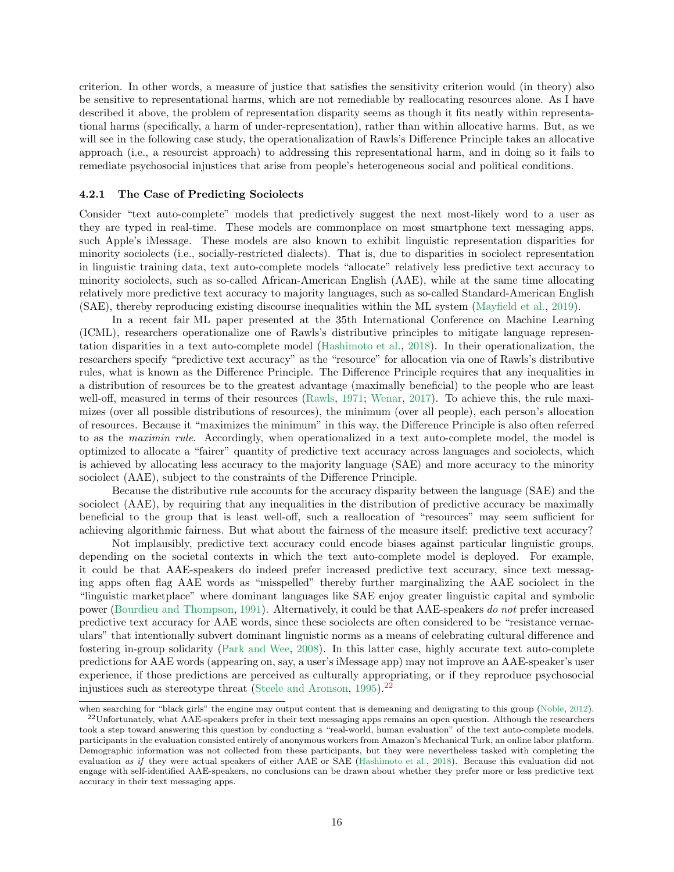criterion. In other words, a measure of justice that satisfies the sensitivity criterion would (in theory) also be sensitive to representational harms, which are not remediable by reallocating resources alone. As I have described it above, the problem of representation disparity seems as though it fits neatly within representational harms (specifically, a harm of under-representation), rather than within allocative harms. But, as we will see in the following case study, the operationalization of Rawls's Difference Principle takes an allocative approach (i.e., a resourcist approach) to addressing this representational harm, and in doing so it fails to remediate psychosocial injustices that arise from people's heterogeneous social and political conditions.

#### <span id="page-15-0"></span>4.2.1 The Case of Predicting Sociolects

Consider "text auto-complete" models that predictively suggest the next most-likely word to a user as they are typed in real-time. These models are commonplace on most smartphone text messaging apps, such Apple's iMessage. These models are also known to exhibit linguistic representation disparities for minority sociolects (i.e., socially-restricted dialects). That is, due to disparities in sociolect representation in linguistic training data, text auto-complete models "allocate" relatively less predictive text accuracy to minority sociolects, such as so-called African-American English (AAE), while at the same time allocating relatively more predictive text accuracy to majority languages, such as so-called Standard-American English (SAE), thereby reproducing existing discourse inequalities within the ML system [\(Mayfield et al.](#page-31-7), [2019](#page-31-7)).

In a recent fair ML paper presented at the 35th International Conference on Machine Learning (ICML), researchers operationalize one of Rawls's distributive principles to mitigate language representation disparities in a text auto-complete model [\(Hashimoto et al.](#page-30-2), [2018\)](#page-30-2). In their operationalization, the researchers specify "predictive text accuracy" as the "resource" for allocation via one of Rawls's distributive rules, what is known as the Difference Principle. The Difference Principle requires that any inequalities in a distribution of resources be to the greatest advantage (maximally beneficial) to the people who are least well-off, measured in terms of their resources [\(Rawls](#page-32-0), [1971](#page-32-0); [Wenar](#page-34-0), [2017\)](#page-34-0). To achieve this, the rule maximizes (over all possible distributions of resources), the minimum (over all people), each person's allocation of resources. Because it "maximizes the minimum" in this way, the Difference Principle is also often referred to as the *maximin rule*. Accordingly, when operationalized in a text auto-complete model, the model is optimized to allocate a "fairer" quantity of predictive text accuracy across languages and sociolects, which is achieved by allocating less accuracy to the majority language (SAE) and more accuracy to the minority sociolect (AAE), subject to the constraints of the Difference Principle.

Because the distributive rule accounts for the accuracy disparity between the language (SAE) and the sociolect (AAE), by requiring that any inequalities in the distribution of predictive accuracy be maximally beneficial to the group that is least well-off, such a reallocation of "resources" may seem sufficient for achieving algorithmic fairness. But what about the fairness of the measure itself: predictive text accuracy?

Not implausibly, predictive text accuracy could encode biases against particular linguistic groups, depending on the societal contexts in which the text auto-complete model is deployed. For example, it could be that AAE-speakers do indeed prefer increased predictive text accuracy, since text messaging apps often flag AAE words as "misspelled" thereby further marginalizing the AAE sociolect in the "linguistic marketplace" where dominant languages like SAE enjoy greater linguistic capital and symbolic power [\(Bourdieu and Thompson](#page-28-11), [1991\)](#page-28-11). Alternatively, it could be that AAE-speakers *do not* prefer increased predictive text accuracy for AAE words, since these sociolects are often considered to be "resistance vernaculars" that intentionally subvert dominant linguistic norms as a means of celebrating cultural difference and fostering in-group solidarity [\(Park and Wee](#page-32-4), [2008\)](#page-32-4). In this latter case, highly accurate text auto-complete predictions for AAE words (appearing on, say, a user's iMessage app) may not improve an AAE-speaker's user experience, if those predictions are perceived as culturally appropriating, or if they reproduce psychosocial injustices such as stereotype threat [\(Steele and Aronson](#page-33-8), [1995](#page-33-8)).<sup>[22](#page-15-1)</sup>

<span id="page-15-1"></span>when searching for "black girls" the engine may output content that is demeaning and denigrating to this group [\(Noble](#page-32-5), [2012](#page-32-5)). <sup>22</sup>Unfortunately, what AAE-speakers prefer in their text messaging apps remains an open question. Although the researchers took a step toward answering this question by conducting a "real-world, human evaluation" of the text auto-complete models, participants in the evaluation consisted entirely of anonymous workers from Amazon's Mechanical Turk, an online labor platform. Demographic information was not collected from these participants, but they were nevertheless tasked with completing the evaluation as if they were actual speakers of either AAE or SAE [\(Hashimoto et al.,](#page-30-2) [2018](#page-30-2)). Because this evaluation did not engage with self-identified AAE-speakers, no conclusions can be drawn about whether they prefer more or less predictive text accuracy in their text messaging apps.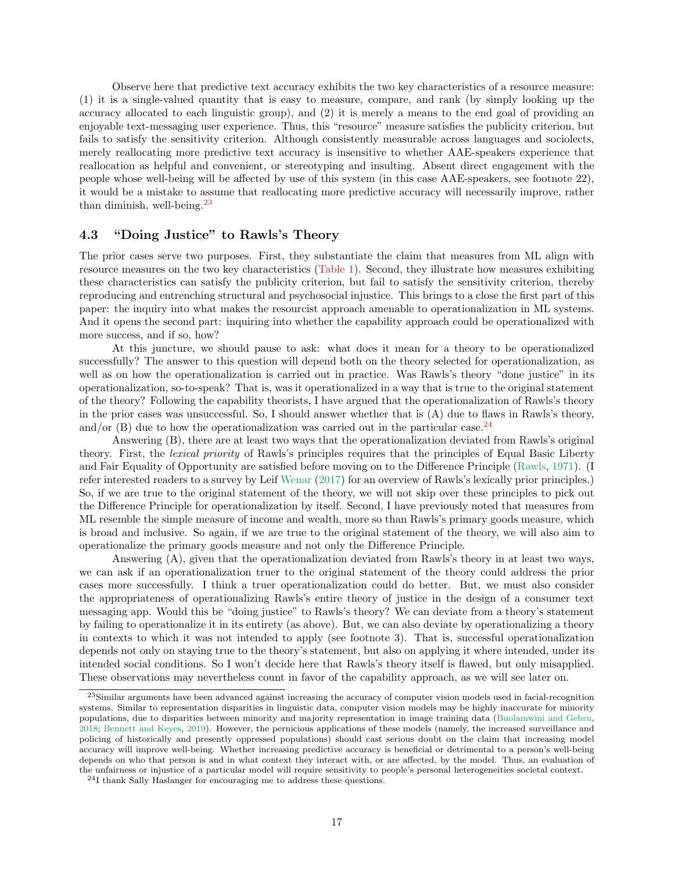Observe here that predictive text accuracy exhibits the two key characteristics of a resource measure: (1) it is a single-valued quantity that is easy to measure, compare, and rank (by simply looking up the accuracy allocated to each linguistic group), and (2) it is merely a means to the end goal of providing an enjoyable text-messaging user experience. Thus, this "resource" measure satisfies the publicity criterion, but fails to satisfy the sensitivity criterion. Although consistently measurable across languages and sociolects, merely reallocating more predictive text accuracy is insensitive to whether AAE-speakers experience that reallocation as helpful and convenient, or stereotyping and insulting. Absent direct engagement with the people whose well-being will be affected by use of this system (in this case AAE-speakers, see footnote 22), it would be a mistake to assume that reallocating more predictive accuracy will necessarily improve, rather than diminish, well-being.[23](#page-16-1)

## <span id="page-16-0"></span>4.3 "Doing Justice" to Rawls's Theory

The prior cases serve two purposes. First, they substantiate the claim that measures from ML align with resource measures on the two key characteristics [\(Table 1\)](#page-11-1). Second, they illustrate how measures exhibiting these characteristics can satisfy the publicity criterion, but fail to satisfy the sensitivity criterion, thereby reproducing and entrenching structural and psychosocial injustice. This brings to a close the first part of this paper: the inquiry into what makes the resourcist approach amenable to operationalization in ML systems. And it opens the second part: inquiring into whether the capability approach could be operationalized with more success, and if so, how?

At this juncture, we should pause to ask: what does it mean for a theory to be operationalized successfully? The answer to this question will depend both on the theory selected for operationalization, as well as on how the operationalization is carried out in practice. Was Rawls's theory "done justice" in its operationalization, so-to-speak? That is, was it operationalized in a way that is true to the original statement of the theory? Following the capability theorists, I have argued that the operationalization of Rawls's theory in the prior cases was unsuccessful. So, I should answer whether that is (A) due to flaws in Rawls's theory, and/or  $(B)$  due to how the operationalization was carried out in the particular case.<sup>[24](#page-16-2)</sup>

Answering (B), there are at least two ways that the operationalization deviated from Rawls's original theory. First, the *lexical priority* of Rawls's principles requires that the principles of Equal Basic Liberty and Fair Equality of Opportunity are satisfied before moving on to the Difference Principle [\(Rawls](#page-32-0), [1971\)](#page-32-0). (I refer interested readers to a survey by Leif [Wenar](#page-34-0) [\(2017\)](#page-34-0) for an overview of Rawls's lexically prior principles.) So, if we are true to the original statement of the theory, we will not skip over these principles to pick out the Difference Principle for operationalization by itself. Second, I have previously noted that measures from ML resemble the simple measure of income and wealth, more so than Rawls's primary goods measure, which is broad and inclusive. So again, if we are true to the original statement of the theory, we will also aim to operationalize the primary goods measure and not only the Difference Principle.

Answering (A), given that the operationalization deviated from Rawls's theory in at least two ways, we can ask if an operationalization truer to the original statement of the theory could address the prior cases more successfully. I think a truer operationalization could do better. But, we must also consider the appropriateness of operationalizing Rawls's entire theory of justice in the design of a consumer text messaging app. Would this be "doing justice" to Rawls's theory? We can deviate from a theory's statement by failing to operationalize it in its entirety (as above). But, we can also deviate by operationalizing a theory in contexts to which it was not intended to apply (see footnote 3). That is, successful operationalization depends not only on staying true to the theory's statement, but also on applying it where intended, under its intended social conditions. So I won't decide here that Rawls's theory itself is flawed, but only misapplied. These observations may nevertheless count in favor of the capability approach, as we will see later on.

<span id="page-16-1"></span><sup>&</sup>lt;sup>23</sup>Similar arguments have been advanced against increasing the accuracy of computer vision models used in facial-recognition systems. Similar to representation disparities in linguistic data, computer vision models may be highly inaccurate for minority populations, due to disparities between minority and majority representation in image training data [\(Buolamwini and Gebru,](#page-28-6) [2018;](#page-28-6) [Bennett and Keyes,](#page-28-12) [2019\)](#page-28-12). However, the pernicious applications of these models (namely, the increased surveillance and policing of historically and presently oppressed populations) should cast serious doubt on the claim that increasing model accuracy will improve well-being. Whether increasing predictive accuracy is beneficial or detrimental to a person's well-being depends on who that person is and in what context they interact with, or are affected, by the model. Thus, an evaluation of the unfairness or injustice of a particular model will require sensitivity to people's personal heterogeneities societal context.

<span id="page-16-2"></span><sup>24</sup>I thank Sally Haslanger for encouraging me to address these questions.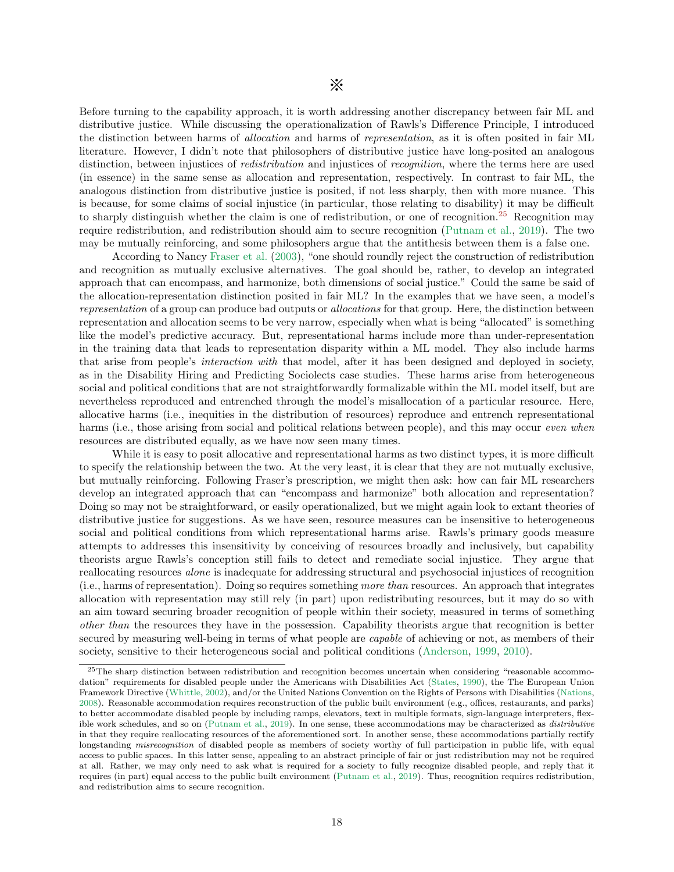Before turning to the capability approach, it is worth addressing another discrepancy between fair ML and distributive justice. While discussing the operationalization of Rawls's Difference Principle, I introduced the distinction between harms of *allocation* and harms of *representation*, as it is often posited in fair ML literature. However, I didn't note that philosophers of distributive justice have long-posited an analogous distinction, between injustices of *redistribution* and injustices of *recognition*, where the terms here are used (in essence) in the same sense as allocation and representation, respectively. In contrast to fair ML, the analogous distinction from distributive justice is posited, if not less sharply, then with more nuance. This is because, for some claims of social injustice (in particular, those relating to disability) it may be difficult to sharply distinguish whether the claim is one of redistribution, or one of recognition.[25](#page-17-0) Recognition may require redistribution, and redistribution should aim to secure recognition [\(Putnam et al.](#page-32-6), [2019\)](#page-32-6). The two may be mutually reinforcing, and some philosophers argue that the antithesis between them is a false one.

According to Nancy [Fraser et al.](#page-30-7) [\(2003\)](#page-30-7), "one should roundly reject the construction of redistribution and recognition as mutually exclusive alternatives. The goal should be, rather, to develop an integrated approach that can encompass, and harmonize, both dimensions of social justice." Could the same be said of the allocation-representation distinction posited in fair ML? In the examples that we have seen, a model's *representation* of a group can produce bad outputs or *allocations* for that group. Here, the distinction between representation and allocation seems to be very narrow, especially when what is being "allocated" is something like the model's predictive accuracy. But, representational harms include more than under-representation in the training data that leads to representation disparity within a ML model. They also include harms that arise from people's *interaction with* that model, after it has been designed and deployed in society, as in the Disability Hiring and Predicting Sociolects case studies. These harms arise from heterogeneous social and political conditions that are not straightforwardly formalizable within the ML model itself, but are nevertheless reproduced and entrenched through the model's misallocation of a particular resource. Here, allocative harms (i.e., inequities in the distribution of resources) reproduce and entrench representational harms (i.e., those arising from social and political relations between people), and this may occur *even when* resources are distributed equally, as we have now seen many times.

While it is easy to posit allocative and representational harms as two distinct types, it is more difficult to specify the relationship between the two. At the very least, it is clear that they are not mutually exclusive, but mutually reinforcing. Following Fraser's prescription, we might then ask: how can fair ML researchers develop an integrated approach that can "encompass and harmonize" both allocation and representation? Doing so may not be straightforward, or easily operationalized, but we might again look to extant theories of distributive justice for suggestions. As we have seen, resource measures can be insensitive to heterogeneous social and political conditions from which representational harms arise. Rawls's primary goods measure attempts to addresses this insensitivity by conceiving of resources broadly and inclusively, but capability theorists argue Rawls's conception still fails to detect and remediate social injustice. They argue that reallocating resources *alone* is inadequate for addressing structural and psychosocial injustices of recognition (i.e., harms of representation). Doing so requires something *more than* resources. An approach that integrates allocation with representation may still rely (in part) upon redistributing resources, but it may do so with an aim toward securing broader recognition of people within their society, measured in terms of something *other than* the resources they have in the possession. Capability theorists argue that recognition is better secured by measuring well-being in terms of what people are *capable* of achieving or not, as members of their society, sensitive to their heterogeneous social and political conditions [\(Anderson](#page-27-3), [1999](#page-27-3), [2010](#page-27-2)).

<span id="page-17-0"></span><sup>&</sup>lt;sup>25</sup>The sharp distinction between redistribution and recognition becomes uncertain when considering "reasonable accommodation" requirements for disabled people under the Americans with Disabilities Act [\(States,](#page-33-6) [1990](#page-33-6)), the The European Union Framework Directive [\(Whittle](#page-34-7), [2002\)](#page-34-7), and/or the United Nations Convention on the Rights of Persons with Disabilities [\(Nations,](#page-32-7) [2008\)](#page-32-7). Reasonable accommodation requires reconstruction of the public built environment (e.g., offices, restaurants, and parks) to better accommodate disabled people by including ramps, elevators, text in multiple formats, sign-language interpreters, flexible work schedules, and so on [\(Putnam et al.,](#page-32-6) [2019\)](#page-32-6). In one sense, these accommodations may be characterized as distributive in that they require reallocating resources of the aforementioned sort. In another sense, these accommodations partially rectify longstanding misrecognition of disabled people as members of society worthy of full participation in public life, with equal access to public spaces. In this latter sense, appealing to an abstract principle of fair or just redistribution may not be required at all. Rather, we may only need to ask what is required for a society to fully recognize disabled people, and reply that it requires (in part) equal access to the public built environment [\(Putnam et al.](#page-32-6), [2019](#page-32-6)). Thus, recognition requires redistribution, and redistribution aims to secure recognition.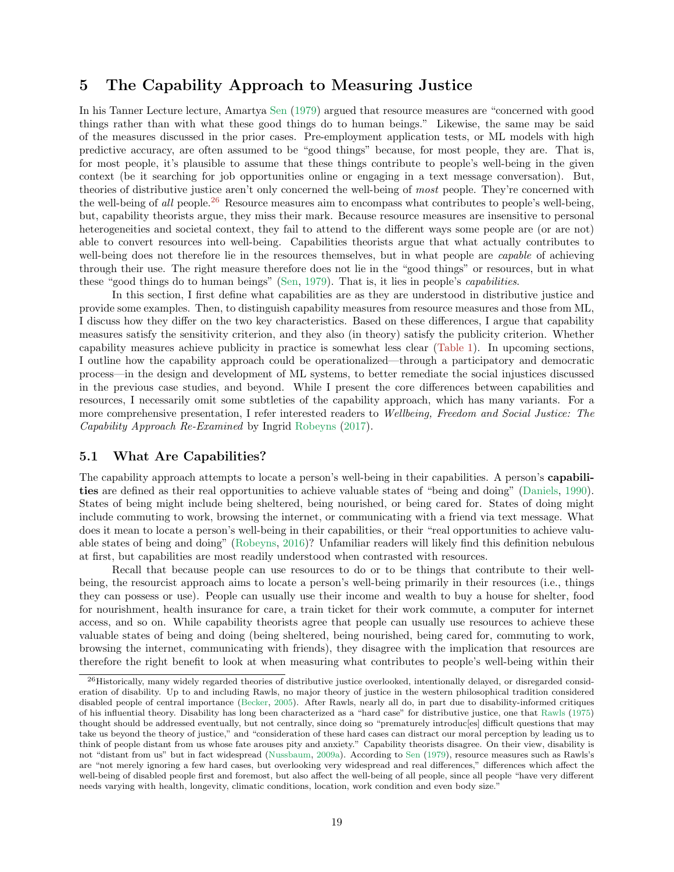# <span id="page-18-0"></span>5 The Capability Approach to Measuring Justice

In his Tanner Lecture lecture, Amartya [Sen](#page-33-3) [\(1979\)](#page-33-3) argued that resource measures are "concerned with good things rather than with what these good things do to human beings." Likewise, the same may be said of the measures discussed in the prior cases. Pre-employment application tests, or ML models with high predictive accuracy, are often assumed to be "good things" because, for most people, they are. That is, for most people, it's plausible to assume that these things contribute to people's well-being in the given context (be it searching for job opportunities online or engaging in a text message conversation). But, theories of distributive justice aren't only concerned the well-being of *most* people. They're concerned with the well-being of *all* people.[26](#page-18-2) Resource measures aim to encompass what contributes to people's well-being, but, capability theorists argue, they miss their mark. Because resource measures are insensitive to personal heterogeneities and societal context, they fail to attend to the different ways some people are (or are not) able to convert resources into well-being. Capabilities theorists argue that what actually contributes to well-being does not therefore lie in the resources themselves, but in what people are *capable* of achieving through their use. The right measure therefore does not lie in the "good things" or resources, but in what these "good things do to human beings" [\(Sen,](#page-33-3) [1979\)](#page-33-3). That is, it lies in people's *capabilities*.

In this section, I first define what capabilities are as they are understood in distributive justice and provide some examples. Then, to distinguish capability measures from resource measures and those from ML, I discuss how they differ on the two key characteristics. Based on these differences, I argue that capability measures satisfy the sensitivity criterion, and they also (in theory) satisfy the publicity criterion. Whether capability measures achieve publicity in practice is somewhat less clear [\(Table 1\)](#page-11-1). In upcoming sections, I outline how the capability approach could be operationalized—through a participatory and democratic process—in the design and development of ML systems, to better remediate the social injustices discussed in the previous case studies, and beyond. While I present the core differences between capabilities and resources, I necessarily omit some subtleties of the capability approach, which has many variants. For a more comprehensive presentation, I refer interested readers to *Wellbeing, Freedom and Social Justice: The Capability Approach Re-Examined* by Ingrid [Robeyns](#page-33-9) [\(2017\)](#page-33-9).

## <span id="page-18-1"></span>5.1 What Are Capabilities?

The capability approach attempts to locate a person's well-being in their capabilities. A person's capabilities are defined as their real opportunities to achieve valuable states of "being and doing" [\(Daniels](#page-29-12), [1990](#page-29-12)). States of being might include being sheltered, being nourished, or being cared for. States of doing might include commuting to work, browsing the internet, or communicating with a friend via text message. What does it mean to locate a person's well-being in their capabilities, or their "real opportunities to achieve valuable states of being and doing" [\(Robeyns](#page-33-5), [2016](#page-33-5))? Unfamiliar readers will likely find this definition nebulous at first, but capabilities are most readily understood when contrasted with resources.

Recall that because people can use resources to do or to be things that contribute to their wellbeing, the resourcist approach aims to locate a person's well-being primarily in their resources (i.e., things they can possess or use). People can usually use their income and wealth to buy a house for shelter, food for nourishment, health insurance for care, a train ticket for their work commute, a computer for internet access, and so on. While capability theorists agree that people can usually use resources to achieve these valuable states of being and doing (being sheltered, being nourished, being cared for, commuting to work, browsing the internet, communicating with friends), they disagree with the implication that resources are therefore the right benefit to look at when measuring what contributes to people's well-being within their

<span id="page-18-2"></span><sup>26</sup>Historically, many widely regarded theories of distributive justice overlooked, intentionally delayed, or disregarded consideration of disability. Up to and including Rawls, no major theory of justice in the western philosophical tradition considered disabled people of central importance [\(Becker,](#page-28-13) [2005](#page-28-13)). After Rawls, nearly all do, in part due to disability-informed critiques of his influential theory. Disability has long been characterized as a "hard case" for distributive justice, one that [Rawls](#page-32-8) [\(1975\)](#page-32-8) thought should be addressed eventually, but not centrally, since doing so "prematurely introduc[es] difficult questions that may take us beyond the theory of justice," and "consideration of these hard cases can distract our moral perception by leading us to think of people distant from us whose fate arouses pity and anxiety." Capability theorists disagree. On their view, disability is not "distant from us" but in fact widespread [\(Nussbaum](#page-32-3), [2009a\)](#page-32-3). According to [Sen](#page-33-3) [\(1979](#page-33-3)), resource measures such as Rawls's are "not merely ignoring a few hard cases, but overlooking very widespread and real differences," differences which affect the well-being of disabled people first and foremost, but also affect the well-being of all people, since all people "have very different needs varying with health, longevity, climatic conditions, location, work condition and even body size."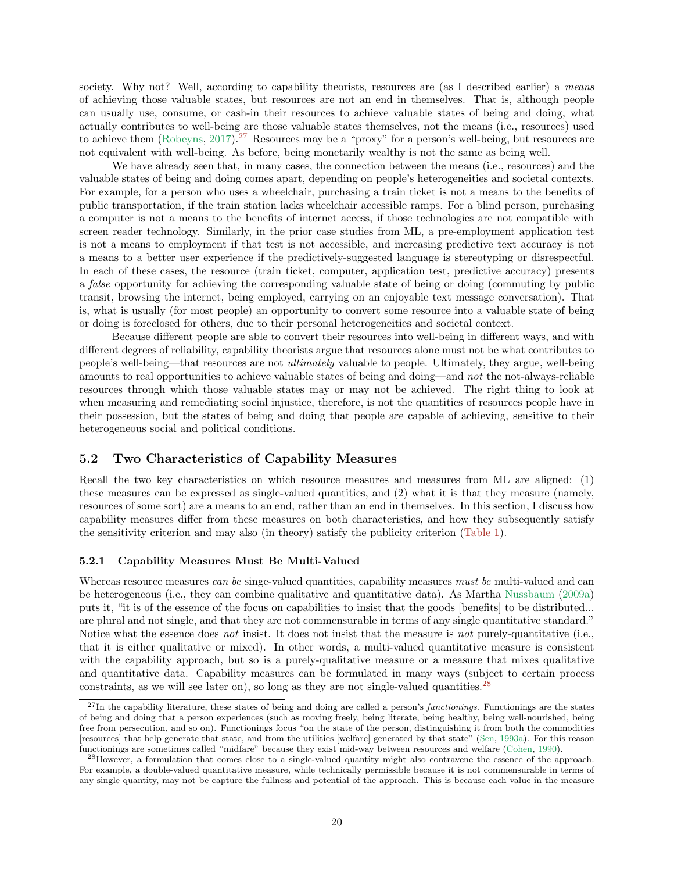society. Why not? Well, according to capability theorists, resources are (as I described earlier) a *means* of achieving those valuable states, but resources are not an end in themselves. That is, although people can usually use, consume, or cash-in their resources to achieve valuable states of being and doing, what actually contributes to well-being are those valuable states themselves, not the means (i.e., resources) used to achieve them [\(Robeyns](#page-33-9), [2017](#page-33-9)).<sup>[27](#page-19-2)</sup> Resources may be a "proxy" for a person's well-being, but resources are not equivalent with well-being. As before, being monetarily wealthy is not the same as being well.

We have already seen that, in many cases, the connection between the means (i.e., resources) and the valuable states of being and doing comes apart, depending on people's heterogeneities and societal contexts. For example, for a person who uses a wheelchair, purchasing a train ticket is not a means to the benefits of public transportation, if the train station lacks wheelchair accessible ramps. For a blind person, purchasing a computer is not a means to the benefits of internet access, if those technologies are not compatible with screen reader technology. Similarly, in the prior case studies from ML, a pre-employment application test is not a means to employment if that test is not accessible, and increasing predictive text accuracy is not a means to a better user experience if the predictively-suggested language is stereotyping or disrespectful. In each of these cases, the resource (train ticket, computer, application test, predictive accuracy) presents a *false* opportunity for achieving the corresponding valuable state of being or doing (commuting by public transit, browsing the internet, being employed, carrying on an enjoyable text message conversation). That is, what is usually (for most people) an opportunity to convert some resource into a valuable state of being or doing is foreclosed for others, due to their personal heterogeneities and societal context.

Because different people are able to convert their resources into well-being in different ways, and with different degrees of reliability, capability theorists argue that resources alone must not be what contributes to people's well-being—that resources are not *ultimately* valuable to people. Ultimately, they argue, well-being amounts to real opportunities to achieve valuable states of being and doing—and *not* the not-always-reliable resources through which those valuable states may or may not be achieved. The right thing to look at when measuring and remediating social injustice, therefore, is not the quantities of resources people have in their possession, but the states of being and doing that people are capable of achieving, sensitive to their heterogeneous social and political conditions.

### <span id="page-19-0"></span>5.2 Two Characteristics of Capability Measures

Recall the two key characteristics on which resource measures and measures from ML are aligned: (1) these measures can be expressed as single-valued quantities, and (2) what it is that they measure (namely, resources of some sort) are a means to an end, rather than an end in themselves. In this section, I discuss how capability measures differ from these measures on both characteristics, and how they subsequently satisfy the sensitivity criterion and may also (in theory) satisfy the publicity criterion [\(Table 1\)](#page-11-1).

#### <span id="page-19-1"></span>5.2.1 Capability Measures Must Be Multi-Valued

Whereas resource measures *can be* singe-valued quantities, capability measures *must be* multi-valued and can be heterogeneous (i.e., they can combine qualitative and quantitative data). As Martha [Nussbaum](#page-32-3) [\(2009a](#page-32-3)) puts it, "it is of the essence of the focus on capabilities to insist that the goods [benefits] to be distributed... are plural and not single, and that they are not commensurable in terms of any single quantitative standard." Notice what the essence does *not* insist. It does not insist that the measure is *not* purely-quantitative (i.e., that it is either qualitative or mixed). In other words, a multi-valued quantitative measure is consistent with the capability approach, but so is a purely-qualitative measure or a measure that mixes qualitative and quantitative data. Capability measures can be formulated in many ways (subject to certain process constraints, as we will see later on), so long as they are not single-valued quantities.<sup>[28](#page-19-3)</sup>

<span id="page-19-2"></span> $^{27}$ In the capability literature, these states of being and doing are called a person's *functionings*. Functionings are the states of being and doing that a person experiences (such as moving freely, being literate, being healthy, being well-nourished, being free from persecution, and so on). Functionings focus "on the state of the person, distinguishing it from both the commodities [resources] that help generate that state, and from the utilities [welfare] generated by that state" [\(Sen](#page-33-10), [1993a](#page-33-10)). For this reason functionings are sometimes called "midfare" because they exist mid-way between resources and welfare [\(Cohen,](#page-29-13) [1990\)](#page-29-13).

<span id="page-19-3"></span> $^{28}$ However, a formulation that comes close to a single-valued quantity might also contravene the essence of the approach. For example, a double-valued quantitative measure, while technically permissible because it is not commensurable in terms of any single quantity, may not be capture the fullness and potential of the approach. This is because each value in the measure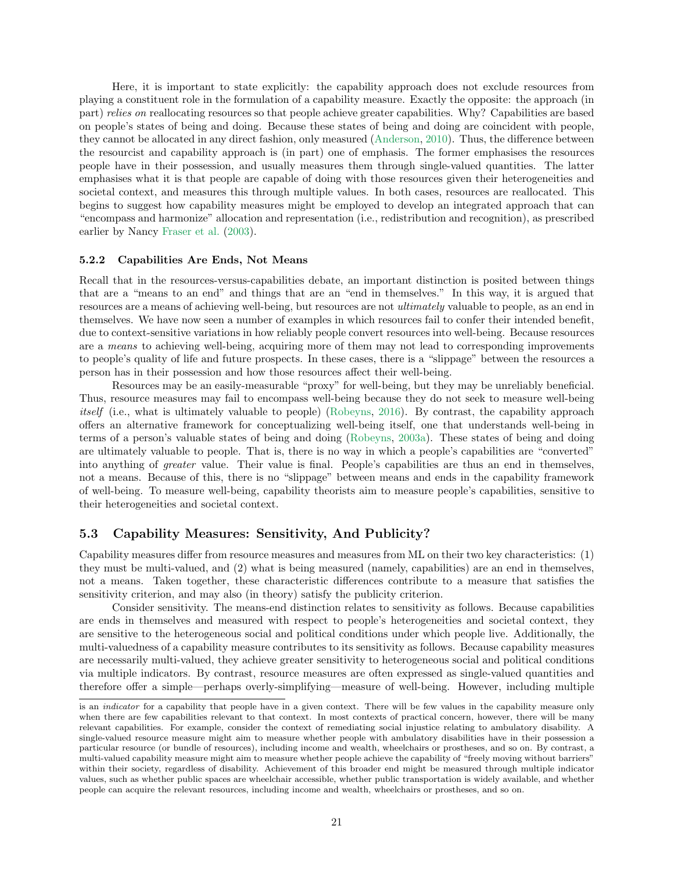Here, it is important to state explicitly: the capability approach does not exclude resources from playing a constituent role in the formulation of a capability measure. Exactly the opposite: the approach (in part) *relies on* reallocating resources so that people achieve greater capabilities. Why? Capabilities are based on people's states of being and doing. Because these states of being and doing are coincident with people, they cannot be allocated in any direct fashion, only measured [\(Anderson,](#page-27-2) [2010\)](#page-27-2). Thus, the difference between the resourcist and capability approach is (in part) one of emphasis. The former emphasises the resources people have in their possession, and usually measures them through single-valued quantities. The latter emphasises what it is that people are capable of doing with those resources given their heterogeneities and societal context, and measures this through multiple values. In both cases, resources are reallocated. This begins to suggest how capability measures might be employed to develop an integrated approach that can "encompass and harmonize" allocation and representation (i.e., redistribution and recognition), as prescribed earlier by Nancy [Fraser et al.](#page-30-7) [\(2003\)](#page-30-7).

#### <span id="page-20-0"></span>5.2.2 Capabilities Are Ends, Not Means

Recall that in the resources-versus-capabilities debate, an important distinction is posited between things that are a "means to an end" and things that are an "end in themselves." In this way, it is argued that resources are a means of achieving well-being, but resources are not *ultimately* valuable to people, as an end in themselves. We have now seen a number of examples in which resources fail to confer their intended benefit, due to context-sensitive variations in how reliably people convert resources into well-being. Because resources are a *means* to achieving well-being, acquiring more of them may not lead to corresponding improvements to people's quality of life and future prospects. In these cases, there is a "slippage" between the resources a person has in their possession and how those resources affect their well-being.

Resources may be an easily-measurable "proxy" for well-being, but they may be unreliably beneficial. Thus, resource measures may fail to encompass well-being because they do not seek to measure well-being *itself* (i.e., what is ultimately valuable to people) [\(Robeyns](#page-33-5), [2016\)](#page-33-5). By contrast, the capability approach offers an alternative framework for conceptualizing well-being itself, one that understands well-being in terms of a person's valuable states of being and doing [\(Robeyns,](#page-33-11) [2003a\)](#page-33-11). These states of being and doing are ultimately valuable to people. That is, there is no way in which a people's capabilities are "converted" into anything of *greater* value. Their value is final. People's capabilities are thus an end in themselves, not a means. Because of this, there is no "slippage" between means and ends in the capability framework of well-being. To measure well-being, capability theorists aim to measure people's capabilities, sensitive to their heterogeneities and societal context.

#### <span id="page-20-1"></span>5.3 Capability Measures: Sensitivity, And Publicity?

Capability measures differ from resource measures and measures from ML on their two key characteristics: (1) they must be multi-valued, and (2) what is being measured (namely, capabilities) are an end in themselves, not a means. Taken together, these characteristic differences contribute to a measure that satisfies the sensitivity criterion, and may also (in theory) satisfy the publicity criterion.

Consider sensitivity. The means-end distinction relates to sensitivity as follows. Because capabilities are ends in themselves and measured with respect to people's heterogeneities and societal context, they are sensitive to the heterogeneous social and political conditions under which people live. Additionally, the multi-valuedness of a capability measure contributes to its sensitivity as follows. Because capability measures are necessarily multi-valued, they achieve greater sensitivity to heterogeneous social and political conditions via multiple indicators. By contrast, resource measures are often expressed as single-valued quantities and therefore offer a simple—perhaps overly-simplifying—measure of well-being. However, including multiple

is an *indicator* for a capability that people have in a given context. There will be few values in the capability measure only when there are few capabilities relevant to that context. In most contexts of practical concern, however, there will be many relevant capabilities. For example, consider the context of remediating social injustice relating to ambulatory disability. A single-valued resource measure might aim to measure whether people with ambulatory disabilities have in their possession a particular resource (or bundle of resources), including income and wealth, wheelchairs or prostheses, and so on. By contrast, a multi-valued capability measure might aim to measure whether people achieve the capability of "freely moving without barriers" within their society, regardless of disability. Achievement of this broader end might be measured through multiple indicator values, such as whether public spaces are wheelchair accessible, whether public transportation is widely available, and whether people can acquire the relevant resources, including income and wealth, wheelchairs or prostheses, and so on.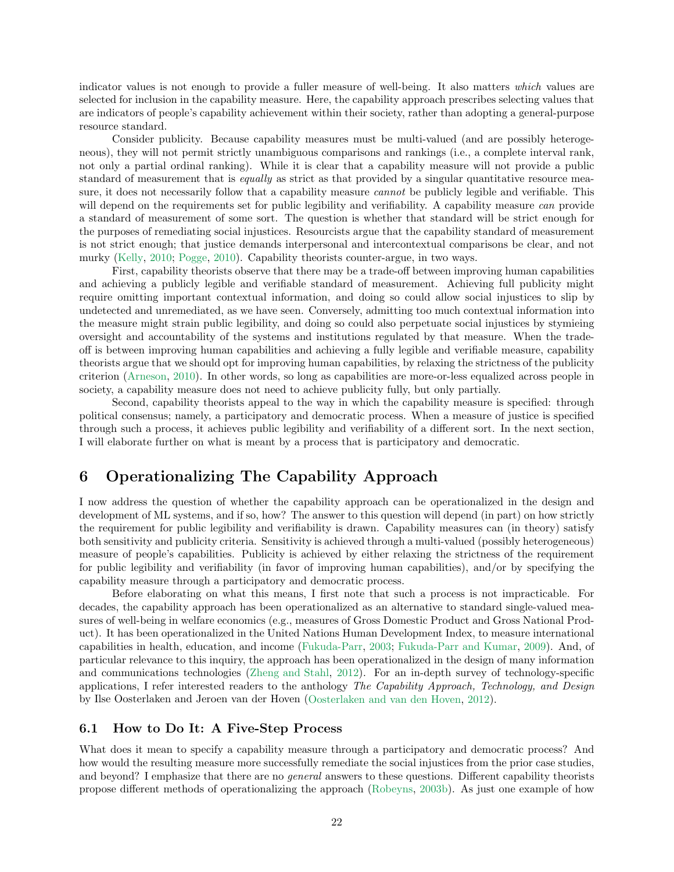indicator values is not enough to provide a fuller measure of well-being. It also matters *which* values are selected for inclusion in the capability measure. Here, the capability approach prescribes selecting values that are indicators of people's capability achievement within their society, rather than adopting a general-purpose resource standard.

Consider publicity. Because capability measures must be multi-valued (and are possibly heterogeneous), they will not permit strictly unambiguous comparisons and rankings (i.e., a complete interval rank, not only a partial ordinal ranking). While it is clear that a capability measure will not provide a public standard of measurement that is *equally* as strict as that provided by a singular quantitative resource measure, it does not necessarily follow that a capability measure *cannot* be publicly legible and verifiable. This will depend on the requirements set for public legibility and verifiability. A capability measure *can* provide a standard of measurement of some sort. The question is whether that standard will be strict enough for the purposes of remediating social injustices. Resourcists argue that the capability standard of measurement is not strict enough; that justice demands interpersonal and intercontextual comparisons be clear, and not murky [\(Kelly](#page-31-4), [2010](#page-31-4); [Pogge](#page-32-2), [2010](#page-32-2)). Capability theorists counter-argue, in two ways.

First, capability theorists observe that there may be a trade-off between improving human capabilities and achieving a publicly legible and verifiable standard of measurement. Achieving full publicity might require omitting important contextual information, and doing so could allow social injustices to slip by undetected and unremediated, as we have seen. Conversely, admitting too much contextual information into the measure might strain public legibility, and doing so could also perpetuate social injustices by stymieing oversight and accountability of the systems and institutions regulated by that measure. When the tradeoff is between improving human capabilities and achieving a fully legible and verifiable measure, capability theorists argue that we should opt for improving human capabilities, by relaxing the strictness of the publicity criterion [\(Arneson](#page-28-5), [2010](#page-28-5)). In other words, so long as capabilities are more-or-less equalized across people in society, a capability measure does not need to achieve publicity fully, but only partially.

Second, capability theorists appeal to the way in which the capability measure is specified: through political consensus; namely, a participatory and democratic process. When a measure of justice is specified through such a process, it achieves public legibility and verifiability of a different sort. In the next section, I will elaborate further on what is meant by a process that is participatory and democratic.

# <span id="page-21-0"></span>6 Operationalizing The Capability Approach

I now address the question of whether the capability approach can be operationalized in the design and development of ML systems, and if so, how? The answer to this question will depend (in part) on how strictly the requirement for public legibility and verifiability is drawn. Capability measures can (in theory) satisfy both sensitivity and publicity criteria. Sensitivity is achieved through a multi-valued (possibly heterogeneous) measure of people's capabilities. Publicity is achieved by either relaxing the strictness of the requirement for public legibility and verifiability (in favor of improving human capabilities), and/or by specifying the capability measure through a participatory and democratic process.

Before elaborating on what this means, I first note that such a process is not impracticable. For decades, the capability approach has been operationalized as an alternative to standard single-valued measures of well-being in welfare economics (e.g., measures of Gross Domestic Product and Gross National Product). It has been operationalized in the United Nations Human Development Index, to measure international capabilities in health, education, and income [\(Fukuda-Parr,](#page-30-8) [2003;](#page-30-8) [Fukuda-Parr and Kumar](#page-30-9), [2009](#page-30-9)). And, of particular relevance to this inquiry, the approach has been operationalized in the design of many information and communications technologies [\(Zheng and Stahl](#page-34-8), [2012](#page-34-8)). For an in-depth survey of technology-specific applications, I refer interested readers to the anthology *The Capability Approach, Technology, and Design* by Ilse Oosterlaken and Jeroen van der Hoven [\(Oosterlaken and van den Hoven,](#page-32-9) [2012\)](#page-32-9).

## <span id="page-21-1"></span>6.1 How to Do It: A Five-Step Process

What does it mean to specify a capability measure through a participatory and democratic process? And how would the resulting measure more successfully remediate the social injustices from the prior case studies, and beyond? I emphasize that there are no *general* answers to these questions. Different capability theorists propose different methods of operationalizing the approach [\(Robeyns](#page-33-12), [2003b\)](#page-33-12). As just one example of how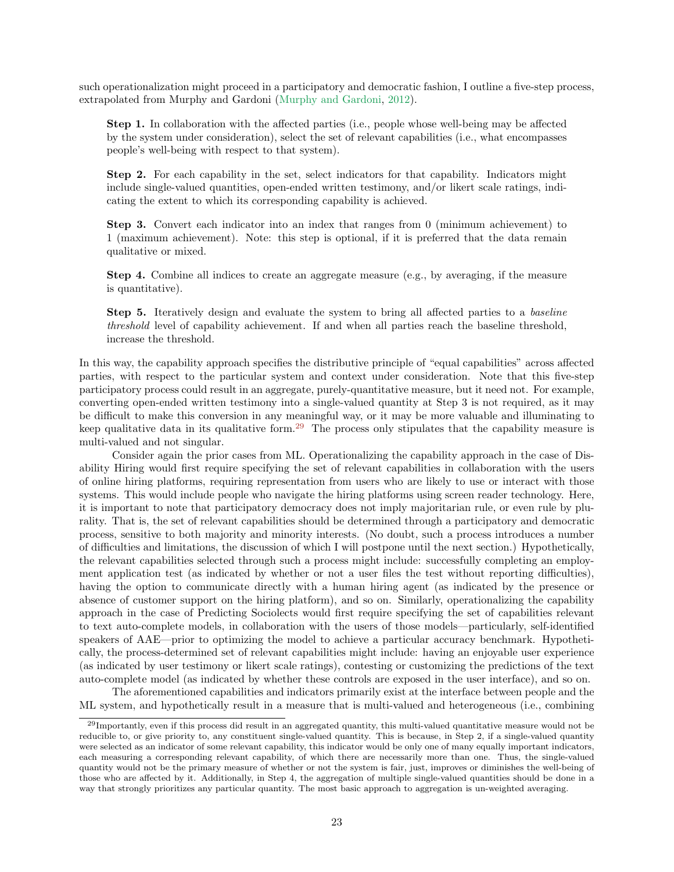such operationalization might proceed in a participatory and democratic fashion, I outline a five-step process, extrapolated from Murphy and Gardoni [\(Murphy and Gardoni,](#page-31-8) [2012\)](#page-31-8).

Step 1. In collaboration with the affected parties (i.e., people whose well-being may be affected by the system under consideration), select the set of relevant capabilities (i.e., what encompasses people's well-being with respect to that system).

Step 2. For each capability in the set, select indicators for that capability. Indicators might include single-valued quantities, open-ended written testimony, and/or likert scale ratings, indicating the extent to which its corresponding capability is achieved.

Step 3. Convert each indicator into an index that ranges from 0 (minimum achievement) to 1 (maximum achievement). Note: this step is optional, if it is preferred that the data remain qualitative or mixed.

Step 4. Combine all indices to create an aggregate measure (e.g., by averaging, if the measure is quantitative).

Step 5. Iteratively design and evaluate the system to bring all affected parties to a *baseline threshold* level of capability achievement. If and when all parties reach the baseline threshold, increase the threshold.

In this way, the capability approach specifies the distributive principle of "equal capabilities" across affected parties, with respect to the particular system and context under consideration. Note that this five-step participatory process could result in an aggregate, purely-quantitative measure, but it need not. For example, converting open-ended written testimony into a single-valued quantity at Step 3 is not required, as it may be difficult to make this conversion in any meaningful way, or it may be more valuable and illuminating to keep qualitative data in its qualitative form.<sup>[29](#page-22-0)</sup> The process only stipulates that the capability measure is multi-valued and not singular.

Consider again the prior cases from ML. Operationalizing the capability approach in the case of Disability Hiring would first require specifying the set of relevant capabilities in collaboration with the users of online hiring platforms, requiring representation from users who are likely to use or interact with those systems. This would include people who navigate the hiring platforms using screen reader technology. Here, it is important to note that participatory democracy does not imply majoritarian rule, or even rule by plurality. That is, the set of relevant capabilities should be determined through a participatory and democratic process, sensitive to both majority and minority interests. (No doubt, such a process introduces a number of difficulties and limitations, the discussion of which I will postpone until the next section.) Hypothetically, the relevant capabilities selected through such a process might include: successfully completing an employment application test (as indicated by whether or not a user files the test without reporting difficulties), having the option to communicate directly with a human hiring agent (as indicated by the presence or absence of customer support on the hiring platform), and so on. Similarly, operationalizing the capability approach in the case of Predicting Sociolects would first require specifying the set of capabilities relevant to text auto-complete models, in collaboration with the users of those models—particularly, self-identified speakers of AAE—prior to optimizing the model to achieve a particular accuracy benchmark. Hypothetically, the process-determined set of relevant capabilities might include: having an enjoyable user experience (as indicated by user testimony or likert scale ratings), contesting or customizing the predictions of the text auto-complete model (as indicated by whether these controls are exposed in the user interface), and so on.

The aforementioned capabilities and indicators primarily exist at the interface between people and the ML system, and hypothetically result in a measure that is multi-valued and heterogeneous (i.e., combining

<span id="page-22-0"></span> $^{29}$ Importantly, even if this process did result in an aggregated quantity, this multi-valued quantitative measure would not be reducible to, or give priority to, any constituent single-valued quantity. This is because, in Step 2, if a single-valued quantity were selected as an indicator of some relevant capability, this indicator would be only one of many equally important indicators, each measuring a corresponding relevant capability, of which there are necessarily more than one. Thus, the single-valued quantity would not be the primary measure of whether or not the system is fair, just, improves or diminishes the well-being of those who are affected by it. Additionally, in Step 4, the aggregation of multiple single-valued quantities should be done in a way that strongly prioritizes any particular quantity. The most basic approach to aggregation is un-weighted averaging.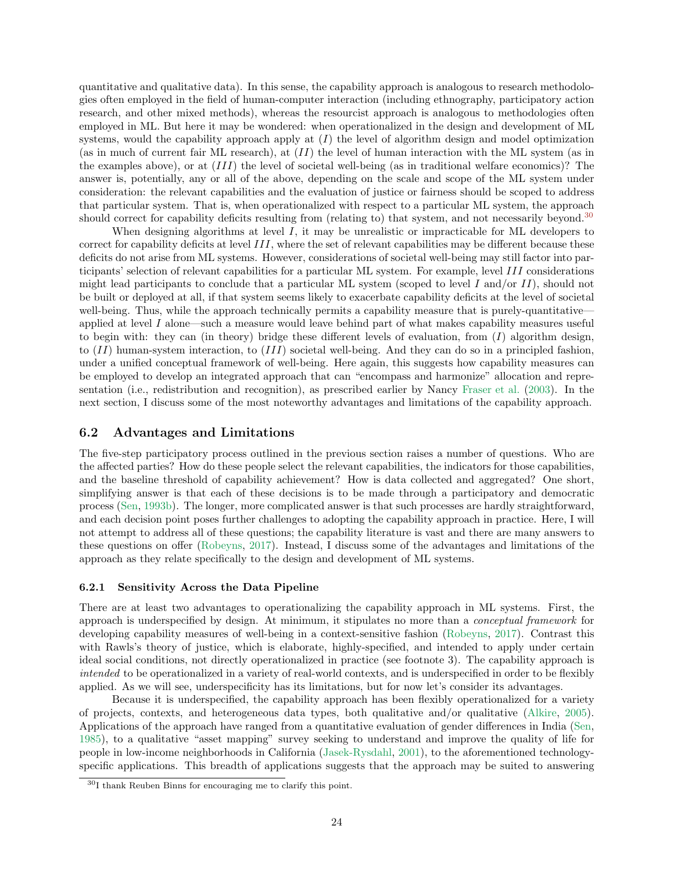quantitative and qualitative data). In this sense, the capability approach is analogous to research methodologies often employed in the field of human-computer interaction (including ethnography, participatory action research, and other mixed methods), whereas the resourcist approach is analogous to methodologies often employed in ML. But here it may be wondered: when operationalized in the design and development of ML systems, would the capability approach apply at  $(I)$  the level of algorithm design and model optimization (as in much of current fair ML research), at  $(II)$  the level of human interaction with the ML system (as in the examples above), or at  $(III)$  the level of societal well-being (as in traditional welfare economics)? The answer is, potentially, any or all of the above, depending on the scale and scope of the ML system under consideration: the relevant capabilities and the evaluation of justice or fairness should be scoped to address that particular system. That is, when operationalized with respect to a particular ML system, the approach should correct for capability deficits resulting from (relating to) that system, and not necessarily beyond.<sup>[30](#page-23-2)</sup>

When designing algorithms at level  $I$ , it may be unrealistic or impracticable for ML developers to correct for capability deficits at level III, where the set of relevant capabilities may be different because these deficits do not arise from ML systems. However, considerations of societal well-being may still factor into participants' selection of relevant capabilities for a particular ML system. For example, level III considerations might lead participants to conclude that a particular ML system (scoped to level I and/or II), should not be built or deployed at all, if that system seems likely to exacerbate capability deficits at the level of societal well-being. Thus, while the approach technically permits a capability measure that is purely-quantitative applied at level I alone—such a measure would leave behind part of what makes capability measures useful to begin with: they can (in theory) bridge these different levels of evaluation, from  $(I)$  algorithm design, to  $(II)$  human-system interaction, to  $(III)$  societal well-being. And they can do so in a principled fashion, under a unified conceptual framework of well-being. Here again, this suggests how capability measures can be employed to develop an integrated approach that can "encompass and harmonize" allocation and representation (i.e., redistribution and recognition), as prescribed earlier by Nancy [Fraser et al.](#page-30-7) [\(2003](#page-30-7)). In the next section, I discuss some of the most noteworthy advantages and limitations of the capability approach.

## <span id="page-23-0"></span>6.2 Advantages and Limitations

The five-step participatory process outlined in the previous section raises a number of questions. Who are the affected parties? How do these people select the relevant capabilities, the indicators for those capabilities, and the baseline threshold of capability achievement? How is data collected and aggregated? One short, simplifying answer is that each of these decisions is to be made through a participatory and democratic process [\(Sen](#page-33-13), [1993b](#page-33-13)). The longer, more complicated answer is that such processes are hardly straightforward, and each decision point poses further challenges to adopting the capability approach in practice. Here, I will not attempt to address all of these questions; the capability literature is vast and there are many answers to these questions on offer [\(Robeyns](#page-33-9), [2017\)](#page-33-9). Instead, I discuss some of the advantages and limitations of the approach as they relate specifically to the design and development of ML systems.

#### <span id="page-23-1"></span>6.2.1 Sensitivity Across the Data Pipeline

There are at least two advantages to operationalizing the capability approach in ML systems. First, the approach is underspecified by design. At minimum, it stipulates no more than a *conceptual framework* for developing capability measures of well-being in a context-sensitive fashion [\(Robeyns](#page-33-9), [2017\)](#page-33-9). Contrast this with Rawls's theory of justice, which is elaborate, highly-specified, and intended to apply under certain ideal social conditions, not directly operationalized in practice (see footnote 3). The capability approach is *intended* to be operationalized in a variety of real-world contexts, and is underspecified in order to be flexibly applied. As we will see, underspecificity has its limitations, but for now let's consider its advantages.

Because it is underspecified, the capability approach has been flexibly operationalized for a variety of projects, contexts, and heterogeneous data types, both qualitative and/or qualitative [\(Alkire,](#page-27-6) [2005](#page-27-6)). Applications of the approach have ranged from a quantitative evaluation of gender differences in India [\(Sen](#page-33-14), [1985\)](#page-33-14), to a qualitative "asset mapping" survey seeking to understand and improve the quality of life for people in low-income neighborhoods in California [\(Jasek-Rysdahl](#page-30-10), [2001\)](#page-30-10), to the aforementioned technologyspecific applications. This breadth of applications suggests that the approach may be suited to answering

<span id="page-23-2"></span><sup>30</sup>I thank Reuben Binns for encouraging me to clarify this point.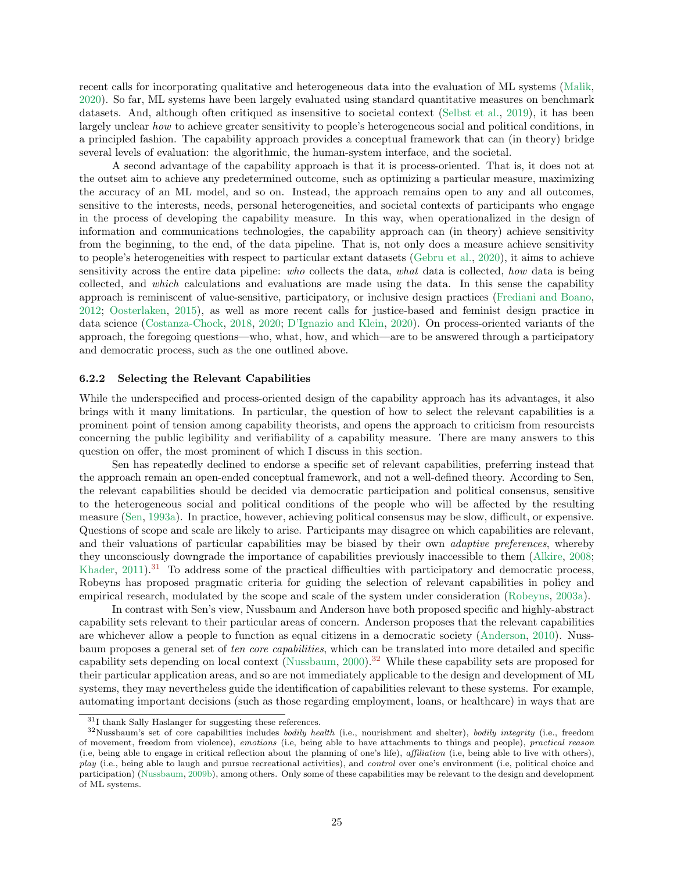recent calls for incorporating qualitative and heterogeneous data into the evaluation of ML systems [\(Malik](#page-31-9), [2020\)](#page-31-9). So far, ML systems have been largely evaluated using standard quantitative measures on benchmark datasets. And, although often critiqued as insensitive to societal context [\(Selbst et al.,](#page-33-15) [2019](#page-33-15)), it has been largely unclear *how* to achieve greater sensitivity to people's heterogeneous social and political conditions, in a principled fashion. The capability approach provides a conceptual framework that can (in theory) bridge several levels of evaluation: the algorithmic, the human-system interface, and the societal.

A second advantage of the capability approach is that it is process-oriented. That is, it does not at the outset aim to achieve any predetermined outcome, such as optimizing a particular measure, maximizing the accuracy of an ML model, and so on. Instead, the approach remains open to any and all outcomes, sensitive to the interests, needs, personal heterogeneities, and societal contexts of participants who engage in the process of developing the capability measure. In this way, when operationalized in the design of information and communications technologies, the capability approach can (in theory) achieve sensitivity from the beginning, to the end, of the data pipeline. That is, not only does a measure achieve sensitivity to people's heterogeneities with respect to particular extant datasets [\(Gebru et al.,](#page-30-11) [2020](#page-30-11)), it aims to achieve sensitivity across the entire data pipeline: *who* collects the data, *what* data is collected, *how* data is being collected, and *which* calculations and evaluations are made using the data. In this sense the capability approach is reminiscent of value-sensitive, participatory, or inclusive design practices [\(Frediani and Boano](#page-30-12), [2012;](#page-30-12) [Oosterlaken](#page-32-10), [2015\)](#page-32-10), as well as more recent calls for justice-based and feminist design practice in data science [\(Costanza-Chock,](#page-29-14) [2018,](#page-29-14) [2020](#page-29-15); [D'Ignazio and Klein,](#page-29-16) [2020](#page-29-16)). On process-oriented variants of the approach, the foregoing questions—who, what, how, and which—are to be answered through a participatory and democratic process, such as the one outlined above.

#### <span id="page-24-0"></span>6.2.2 Selecting the Relevant Capabilities

While the underspecified and process-oriented design of the capability approach has its advantages, it also brings with it many limitations. In particular, the question of how to select the relevant capabilities is a prominent point of tension among capability theorists, and opens the approach to criticism from resourcists concerning the public legibility and verifiability of a capability measure. There are many answers to this question on offer, the most prominent of which I discuss in this section.

Sen has repeatedly declined to endorse a specific set of relevant capabilities, preferring instead that the approach remain an open-ended conceptual framework, and not a well-defined theory. According to Sen, the relevant capabilities should be decided via democratic participation and political consensus, sensitive to the heterogeneous social and political conditions of the people who will be affected by the resulting measure [\(Sen](#page-33-10), [1993a\)](#page-33-10). In practice, however, achieving political consensus may be slow, difficult, or expensive. Questions of scope and scale are likely to arise. Participants may disagree on which capabilities are relevant, and their valuations of particular capabilities may be biased by their own *adaptive preferences*, whereby they unconsciously downgrade the importance of capabilities previously inaccessible to them [\(Alkire](#page-27-7), [2008](#page-27-7); [Khader](#page-31-10),  $2011$ ).<sup>[31](#page-24-1)</sup> To address some of the practical difficulties with participatory and democratic process, Robeyns has proposed pragmatic criteria for guiding the selection of relevant capabilities in policy and empirical research, modulated by the scope and scale of the system under consideration [\(Robeyns](#page-33-11), [2003a](#page-33-11)).

In contrast with Sen's view, Nussbaum and Anderson have both proposed specific and highly-abstract capability sets relevant to their particular areas of concern. Anderson proposes that the relevant capabilities are whichever allow a people to function as equal citizens in a democratic society [\(Anderson,](#page-27-2) [2010](#page-27-2)). Nussbaum proposes a general set of *ten core capabilities*, which can be translated into more detailed and specific capability sets depending on local context [\(Nussbaum,](#page-32-11)  $2000$ ).<sup>[32](#page-24-2)</sup> While these capability sets are proposed for their particular application areas, and so are not immediately applicable to the design and development of ML systems, they may nevertheless guide the identification of capabilities relevant to these systems. For example, automating important decisions (such as those regarding employment, loans, or healthcare) in ways that are

<sup>31</sup>I thank Sally Haslanger for suggesting these references.

<span id="page-24-2"></span><span id="page-24-1"></span> $32$ Nussbaum's set of core capabilities includes bodily health (i.e., nourishment and shelter), bodily integrity (i.e., freedom of movement, freedom from violence), emotions (i.e, being able to have attachments to things and people), practical reason (i.e, being able to engage in critical reflection about the planning of one's life), affiliation (i.e, being able to live with others), play (i.e., being able to laugh and pursue recreational activities), and *control* over one's environment (i.e, political choice and participation) [\(Nussbaum,](#page-32-12) [2009b\)](#page-32-12), among others. Only some of these capabilities may be relevant to the design and development of ML systems.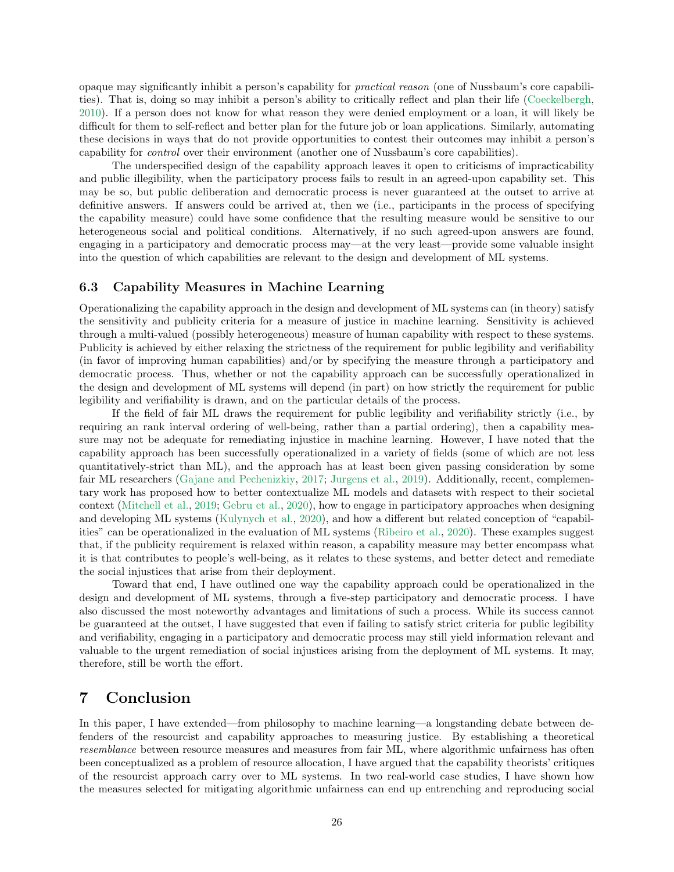opaque may significantly inhibit a person's capability for *practical reason* (one of Nussbaum's core capabilities). That is, doing so may inhibit a person's ability to critically reflect and plan their life [\(Coeckelbergh](#page-28-14), [2010\)](#page-28-14). If a person does not know for what reason they were denied employment or a loan, it will likely be difficult for them to self-reflect and better plan for the future job or loan applications. Similarly, automating these decisions in ways that do not provide opportunities to contest their outcomes may inhibit a person's capability for *control* over their environment (another one of Nussbaum's core capabilities).

The underspecified design of the capability approach leaves it open to criticisms of impracticability and public illegibility, when the participatory process fails to result in an agreed-upon capability set. This may be so, but public deliberation and democratic process is never guaranteed at the outset to arrive at definitive answers. If answers could be arrived at, then we (i.e., participants in the process of specifying the capability measure) could have some confidence that the resulting measure would be sensitive to our heterogeneous social and political conditions. Alternatively, if no such agreed-upon answers are found. engaging in a participatory and democratic process may—at the very least—provide some valuable insight into the question of which capabilities are relevant to the design and development of ML systems.

#### <span id="page-25-0"></span>6.3 Capability Measures in Machine Learning

Operationalizing the capability approach in the design and development of ML systems can (in theory) satisfy the sensitivity and publicity criteria for a measure of justice in machine learning. Sensitivity is achieved through a multi-valued (possibly heterogeneous) measure of human capability with respect to these systems. Publicity is achieved by either relaxing the strictness of the requirement for public legibility and verifiability (in favor of improving human capabilities) and/or by specifying the measure through a participatory and democratic process. Thus, whether or not the capability approach can be successfully operationalized in the design and development of ML systems will depend (in part) on how strictly the requirement for public legibility and verifiability is drawn, and on the particular details of the process.

If the field of fair ML draws the requirement for public legibility and verifiability strictly (i.e., by requiring an rank interval ordering of well-being, rather than a partial ordering), then a capability measure may not be adequate for remediating injustice in machine learning. However, I have noted that the capability approach has been successfully operationalized in a variety of fields (some of which are not less quantitatively-strict than ML), and the approach has at least been given passing consideration by some fair ML researchers [\(Gajane and Pechenizkiy](#page-30-13), [2017](#page-30-13); [Jurgens et al.](#page-31-11), [2019](#page-31-11)). Additionally, recent, complementary work has proposed how to better contextualize ML models and datasets with respect to their societal context [\(Mitchell et al.](#page-31-12), [2019;](#page-31-12) [Gebru et al.,](#page-30-11) [2020](#page-30-11)), how to engage in participatory approaches when designing and developing ML systems [\(Kulynych et al.](#page-31-13), [2020](#page-31-13)), and how a different but related conception of "capabilities" can be operationalized in the evaluation of ML systems [\(Ribeiro et al.,](#page-32-13) [2020](#page-32-13)). These examples suggest that, if the publicity requirement is relaxed within reason, a capability measure may better encompass what it is that contributes to people's well-being, as it relates to these systems, and better detect and remediate the social injustices that arise from their deployment.

Toward that end, I have outlined one way the capability approach could be operationalized in the design and development of ML systems, through a five-step participatory and democratic process. I have also discussed the most noteworthy advantages and limitations of such a process. While its success cannot be guaranteed at the outset, I have suggested that even if failing to satisfy strict criteria for public legibility and verifiability, engaging in a participatory and democratic process may still yield information relevant and valuable to the urgent remediation of social injustices arising from the deployment of ML systems. It may, therefore, still be worth the effort.

# <span id="page-25-1"></span>7 Conclusion

In this paper, I have extended—from philosophy to machine learning—a longstanding debate between defenders of the resourcist and capability approaches to measuring justice. By establishing a theoretical *resemblance* between resource measures and measures from fair ML, where algorithmic unfairness has often been conceptualized as a problem of resource allocation, I have argued that the capability theorists' critiques of the resourcist approach carry over to ML systems. In two real-world case studies, I have shown how the measures selected for mitigating algorithmic unfairness can end up entrenching and reproducing social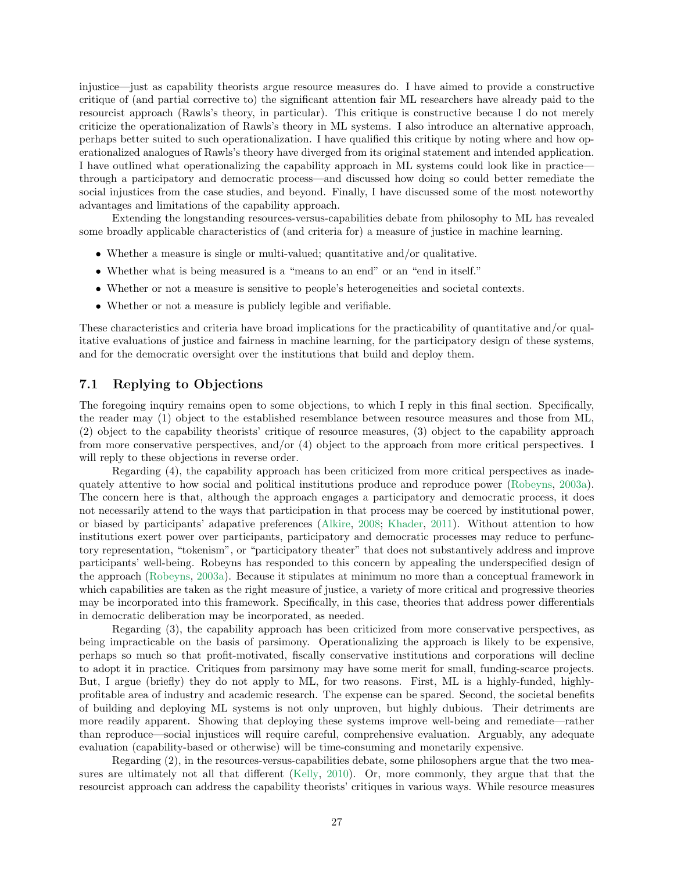injustice—just as capability theorists argue resource measures do. I have aimed to provide a constructive critique of (and partial corrective to) the significant attention fair ML researchers have already paid to the resourcist approach (Rawls's theory, in particular). This critique is constructive because I do not merely criticize the operationalization of Rawls's theory in ML systems. I also introduce an alternative approach, perhaps better suited to such operationalization. I have qualified this critique by noting where and how operationalized analogues of Rawls's theory have diverged from its original statement and intended application. I have outlined what operationalizing the capability approach in ML systems could look like in practice through a participatory and democratic process—and discussed how doing so could better remediate the social injustices from the case studies, and beyond. Finally, I have discussed some of the most noteworthy advantages and limitations of the capability approach.

Extending the longstanding resources-versus-capabilities debate from philosophy to ML has revealed some broadly applicable characteristics of (and criteria for) a measure of justice in machine learning.

- Whether a measure is single or multi-valued; quantitative and/or qualitative.
- Whether what is being measured is a "means to an end" or an "end in itself."
- Whether or not a measure is sensitive to people's heterogeneities and societal contexts.
- Whether or not a measure is publicly legible and verifiable.

These characteristics and criteria have broad implications for the practicability of quantitative and/or qualitative evaluations of justice and fairness in machine learning, for the participatory design of these systems, and for the democratic oversight over the institutions that build and deploy them.

## <span id="page-26-0"></span>7.1 Replying to Objections

The foregoing inquiry remains open to some objections, to which I reply in this final section. Specifically, the reader may (1) object to the established resemblance between resource measures and those from ML, (2) object to the capability theorists' critique of resource measures, (3) object to the capability approach from more conservative perspectives, and/or (4) object to the approach from more critical perspectives. I will reply to these objections in reverse order.

Regarding (4), the capability approach has been criticized from more critical perspectives as inadequately attentive to how social and political institutions produce and reproduce power [\(Robeyns,](#page-33-11) [2003a](#page-33-11)). The concern here is that, although the approach engages a participatory and democratic process, it does not necessarily attend to the ways that participation in that process may be coerced by institutional power, or biased by participants' adapative preferences [\(Alkire,](#page-27-7) [2008](#page-27-7); [Khader](#page-31-10), [2011](#page-31-10)). Without attention to how institutions exert power over participants, participatory and democratic processes may reduce to perfunctory representation, "tokenism", or "participatory theater" that does not substantively address and improve participants' well-being. Robeyns has responded to this concern by appealing the underspecified design of the approach [\(Robeyns,](#page-33-11) [2003a\)](#page-33-11). Because it stipulates at minimum no more than a conceptual framework in which capabilities are taken as the right measure of justice, a variety of more critical and progressive theories may be incorporated into this framework. Specifically, in this case, theories that address power differentials in democratic deliberation may be incorporated, as needed.

Regarding (3), the capability approach has been criticized from more conservative perspectives, as being impracticable on the basis of parsimony. Operationalizing the approach is likely to be expensive, perhaps so much so that profit-motivated, fiscally conservative institutions and corporations will decline to adopt it in practice. Critiques from parsimony may have some merit for small, funding-scarce projects. But, I argue (briefly) they do not apply to ML, for two reasons. First, ML is a highly-funded, highlyprofitable area of industry and academic research. The expense can be spared. Second, the societal benefits of building and deploying ML systems is not only unproven, but highly dubious. Their detriments are more readily apparent. Showing that deploying these systems improve well-being and remediate—rather than reproduce—social injustices will require careful, comprehensive evaluation. Arguably, any adequate evaluation (capability-based or otherwise) will be time-consuming and monetarily expensive.

Regarding (2), in the resources-versus-capabilities debate, some philosophers argue that the two measures are ultimately not all that different [\(Kelly,](#page-31-4) [2010\)](#page-31-4). Or, more commonly, they argue that that the resourcist approach can address the capability theorists' critiques in various ways. While resource measures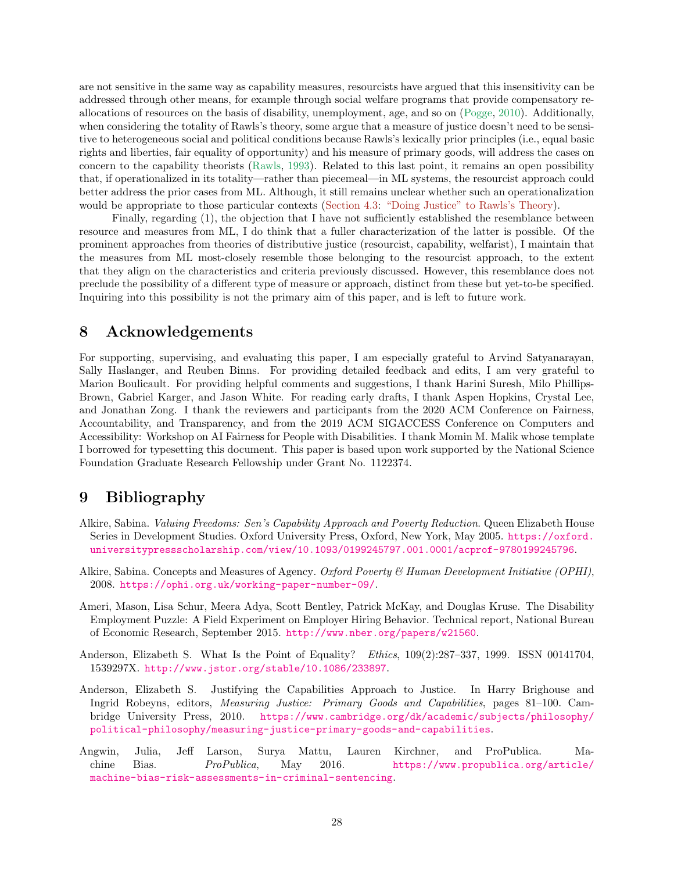are not sensitive in the same way as capability measures, resourcists have argued that this insensitivity can be addressed through other means, for example through social welfare programs that provide compensatory reallocations of resources on the basis of disability, unemployment, age, and so on [\(Pogge](#page-32-2), [2010\)](#page-32-2). Additionally, when considering the totality of Rawls's theory, some argue that a measure of justice doesn't need to be sensitive to heterogeneous social and political conditions because Rawls's lexically prior principles (i.e., equal basic rights and liberties, fair equality of opportunity) and his measure of primary goods, will address the cases on concern to the capability theorists [\(Rawls](#page-32-14), [1993](#page-32-14)). Related to this last point, it remains an open possibility that, if operationalized in its totality—rather than piecemeal—in ML systems, the resourcist approach could better address the prior cases from ML. Although, it still remains unclear whether such an operationalization would be appropriate to those particular contexts [\(Section 4.3:](#page-16-0) ["Doing Justice" to Rawls's Theory\)](#page-16-0).

Finally, regarding (1), the objection that I have not sufficiently established the resemblance between resource and measures from ML, I do think that a fuller characterization of the latter is possible. Of the prominent approaches from theories of distributive justice (resourcist, capability, welfarist), I maintain that the measures from ML most-closely resemble those belonging to the resourcist approach, to the extent that they align on the characteristics and criteria previously discussed. However, this resemblance does not preclude the possibility of a different type of measure or approach, distinct from these but yet-to-be specified. Inquiring into this possibility is not the primary aim of this paper, and is left to future work.

# <span id="page-27-0"></span>8 Acknowledgements

For supporting, supervising, and evaluating this paper, I am especially grateful to Arvind Satyanarayan, Sally Haslanger, and Reuben Binns. For providing detailed feedback and edits, I am very grateful to Marion Boulicault. For providing helpful comments and suggestions, I thank Harini Suresh, Milo Phillips-Brown, Gabriel Karger, and Jason White. For reading early drafts, I thank Aspen Hopkins, Crystal Lee, and Jonathan Zong. I thank the reviewers and participants from the 2020 ACM Conference on Fairness, Accountability, and Transparency, and from the 2019 ACM SIGACCESS Conference on Computers and Accessibility: Workshop on AI Fairness for People with Disabilities. I thank Momin M. Malik whose template I borrowed for typesetting this document. This paper is based upon work supported by the National Science Foundation Graduate Research Fellowship under Grant No. 1122374.

# <span id="page-27-1"></span>9 Bibliography

- <span id="page-27-6"></span>Alkire, Sabina. *Valuing Freedoms: Sen's Capability Approach and Poverty Reduction*. Queen Elizabeth House Series in Development Studies. Oxford University Press, Oxford, New York, May 2005. [https://oxford.](https://oxford.universitypressscholarship.com/view/10.1093/0199245797.001.0001/acprof-9780199245796) [universitypressscholarship.com/view/10.1093/0199245797.001.0001/acprof-9780199245796](https://oxford.universitypressscholarship.com/view/10.1093/0199245797.001.0001/acprof-9780199245796).
- <span id="page-27-7"></span>Alkire, Sabina. Concepts and Measures of Agency. *Oxford Poverty & Human Development Initiative (OPHI)*, 2008. <https://ophi.org.uk/working-paper-number-09/>.
- <span id="page-27-5"></span>Ameri, Mason, Lisa Schur, Meera Adya, Scott Bentley, Patrick McKay, and Douglas Kruse. The Disability Employment Puzzle: A Field Experiment on Employer Hiring Behavior. Technical report, National Bureau of Economic Research, September 2015. <http://www.nber.org/papers/w21560>.
- <span id="page-27-3"></span>Anderson, Elizabeth S. What Is the Point of Equality? *Ethics*, 109(2):287–337, 1999. ISSN 00141704, 1539297X. <http://www.jstor.org/stable/10.1086/233897>.
- <span id="page-27-2"></span>Anderson, Elizabeth S. Justifying the Capabilities Approach to Justice. In Harry Brighouse and Ingrid Robeyns, editors, *Measuring Justice: Primary Goods and Capabilities*, pages 81–100. Cambridge University Press, 2010. [https://www.cambridge.org/dk/academic/subjects/philosophy/](https://www.cambridge.org/dk/academic/subjects/philosophy/political-philosophy/measuring-justice-primary-goods-and-capabilities) [political-philosophy/measuring-justice-primary-goods-and-capabilities](https://www.cambridge.org/dk/academic/subjects/philosophy/political-philosophy/measuring-justice-primary-goods-and-capabilities).
- <span id="page-27-4"></span>Angwin, Julia, Jeff Larson, Surya Mattu, Lauren Kirchner, and ProPublica. Machine Bias. *ProPublica*, May 2016. [https://www.propublica.org/article/](https://www.propublica.org/article/machine-bias-risk-assessments-in-criminal-sentencing) [machine-bias-risk-assessments-in-criminal-sentencing](https://www.propublica.org/article/machine-bias-risk-assessments-in-criminal-sentencing).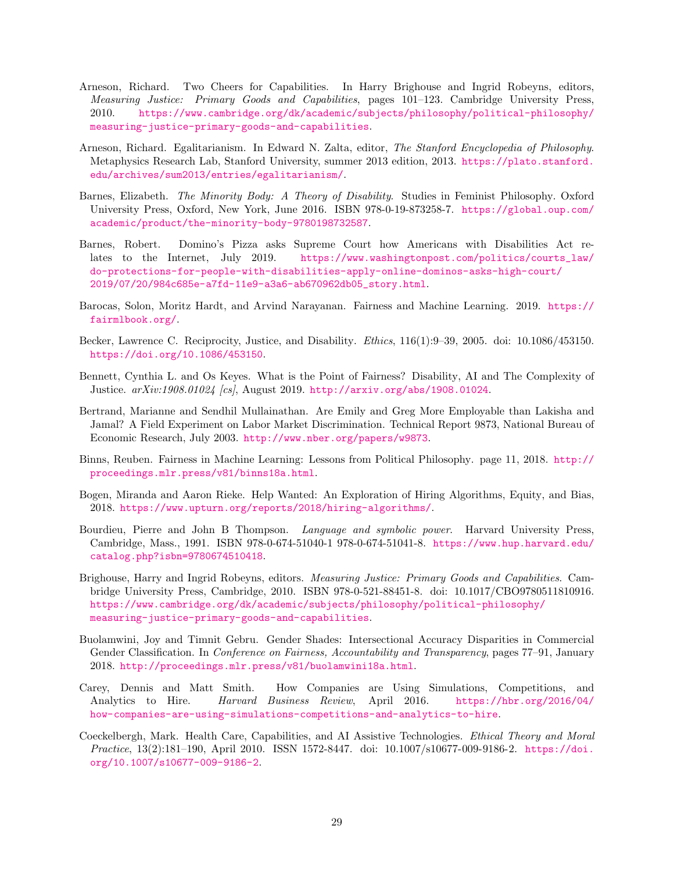- <span id="page-28-5"></span>Arneson, Richard. Two Cheers for Capabilities. In Harry Brighouse and Ingrid Robeyns, editors, *Measuring Justice: Primary Goods and Capabilities*, pages 101–123. Cambridge University Press, 2010. [https://www.cambridge.org/dk/academic/subjects/philosophy/political-philosophy/](https://www.cambridge.org/dk/academic/subjects/philosophy/political-philosophy/measuring-justice-primary-goods-and-capabilities) [measuring-justice-primary-goods-and-capabilities](https://www.cambridge.org/dk/academic/subjects/philosophy/political-philosophy/measuring-justice-primary-goods-and-capabilities).
- <span id="page-28-1"></span>Arneson, Richard. Egalitarianism. In Edward N. Zalta, editor, *The Stanford Encyclopedia of Philosophy*. Metaphysics Research Lab, Stanford University, summer 2013 edition, 2013. [https://plato.stanford.](https://plato.stanford.edu/archives/sum2013/entries/egalitarianism/) [edu/archives/sum2013/entries/egalitarianism/](https://plato.stanford.edu/archives/sum2013/entries/egalitarianism/).
- <span id="page-28-3"></span>Barnes, Elizabeth. *The Minority Body: A Theory of Disability*. Studies in Feminist Philosophy. Oxford University Press, Oxford, New York, June 2016. ISBN 978-0-19-873258-7. [https://global.oup.com/](https://global.oup.com/academic/product/the-minority-body-9780198732587) [academic/product/the-minority-body-9780198732587](https://global.oup.com/academic/product/the-minority-body-9780198732587).
- <span id="page-28-10"></span>Barnes, Robert. Domino's Pizza asks Supreme Court how Americans with Disabilities Act relates to the Internet, July 2019. [https://www.washingtonpost.com/politics/courts\\_law/](https://www.washingtonpost.com/politics/courts_law/do-protections-for-people-with-disabilities-apply-online-dominos-asks-high-court/2019/07/20/984c685e-a7fd-11e9-a3a6-ab670962db05_story.html) [do-protections-for-people-with-disabilities-apply-online-dominos-asks-high-court/](https://www.washingtonpost.com/politics/courts_law/do-protections-for-people-with-disabilities-apply-online-dominos-asks-high-court/2019/07/20/984c685e-a7fd-11e9-a3a6-ab670962db05_story.html) [2019/07/20/984c685e-a7fd-11e9-a3a6-ab670962db05\\_story.html](https://www.washingtonpost.com/politics/courts_law/do-protections-for-people-with-disabilities-apply-online-dominos-asks-high-court/2019/07/20/984c685e-a7fd-11e9-a3a6-ab670962db05_story.html).
- <span id="page-28-4"></span>Barocas, Solon, Moritz Hardt, and Arvind Narayanan. Fairness and Machine Learning. 2019. [https://](https://fairmlbook.org/) [fairmlbook.org/](https://fairmlbook.org/).
- <span id="page-28-13"></span>Becker, Lawrence C. Reciprocity, Justice, and Disability. *Ethics*, 116(1):9–39, 2005. doi: 10.1086/453150. <https://doi.org/10.1086/453150>.
- <span id="page-28-12"></span>Bennett, Cynthia L. and Os Keyes. What is the Point of Fairness? Disability, AI and The Complexity of Justice. *arXiv:1908.01024 [cs]*, August 2019. <http://arxiv.org/abs/1908.01024>.
- <span id="page-28-7"></span>Bertrand, Marianne and Sendhil Mullainathan. Are Emily and Greg More Employable than Lakisha and Jamal? A Field Experiment on Labor Market Discrimination. Technical Report 9873, National Bureau of Economic Research, July 2003. <http://www.nber.org/papers/w9873>.
- <span id="page-28-0"></span>Binns, Reuben. Fairness in Machine Learning: Lessons from Political Philosophy. page 11, 2018. [http://](http://proceedings.mlr.press/v81/binns18a.html) [proceedings.mlr.press/v81/binns18a.html](http://proceedings.mlr.press/v81/binns18a.html).
- <span id="page-28-8"></span>Bogen, Miranda and Aaron Rieke. Help Wanted: An Exploration of Hiring Algorithms, Equity, and Bias, 2018. <https://www.upturn.org/reports/2018/hiring-algorithms/>.
- <span id="page-28-11"></span>Bourdieu, Pierre and John B Thompson. *Language and symbolic power*. Harvard University Press, Cambridge, Mass., 1991. ISBN 978-0-674-51040-1 978-0-674-51041-8. [https://www.hup.harvard.edu/](https://www.hup.harvard.edu/catalog.php?isbn=9780674510418) [catalog.php?isbn=9780674510418](https://www.hup.harvard.edu/catalog.php?isbn=9780674510418).
- <span id="page-28-2"></span>Brighouse, Harry and Ingrid Robeyns, editors. *Measuring Justice: Primary Goods and Capabilities*. Cambridge University Press, Cambridge, 2010. ISBN 978-0-521-88451-8. doi: 10.1017/CBO9780511810916. [https://www.cambridge.org/dk/academic/subjects/philosophy/political-philosophy/](https://www.cambridge.org/dk/academic/subjects/philosophy/political-philosophy/measuring-justice-primary-goods-and-capabilities) [measuring-justice-primary-goods-and-capabilities](https://www.cambridge.org/dk/academic/subjects/philosophy/political-philosophy/measuring-justice-primary-goods-and-capabilities).
- <span id="page-28-6"></span>Buolamwini, Joy and Timnit Gebru. Gender Shades: Intersectional Accuracy Disparities in Commercial Gender Classification. In *Conference on Fairness, Accountability and Transparency*, pages 77–91, January 2018. <http://proceedings.mlr.press/v81/buolamwini18a.html>.
- <span id="page-28-9"></span>Carey, Dennis and Matt Smith. How Companies are Using Simulations, Competitions, and Analytics to Hire. *Harvard Business Review*, April 2016. [https://hbr.org/2016/04/](https://hbr.org/2016/04/how-companies-are-using-simulations-competitions-and-analytics-to-hire) [how-companies-are-using-simulations-competitions-and-analytics-to-hire](https://hbr.org/2016/04/how-companies-are-using-simulations-competitions-and-analytics-to-hire).
- <span id="page-28-14"></span>Coeckelbergh, Mark. Health Care, Capabilities, and AI Assistive Technologies. *Ethical Theory and Moral Practice*, 13(2):181–190, April 2010. ISSN 1572-8447. doi: 10.1007/s10677-009-9186-2. [https://doi.](https://doi.org/10.1007/s10677-009-9186-2) [org/10.1007/s10677-009-9186-2](https://doi.org/10.1007/s10677-009-9186-2).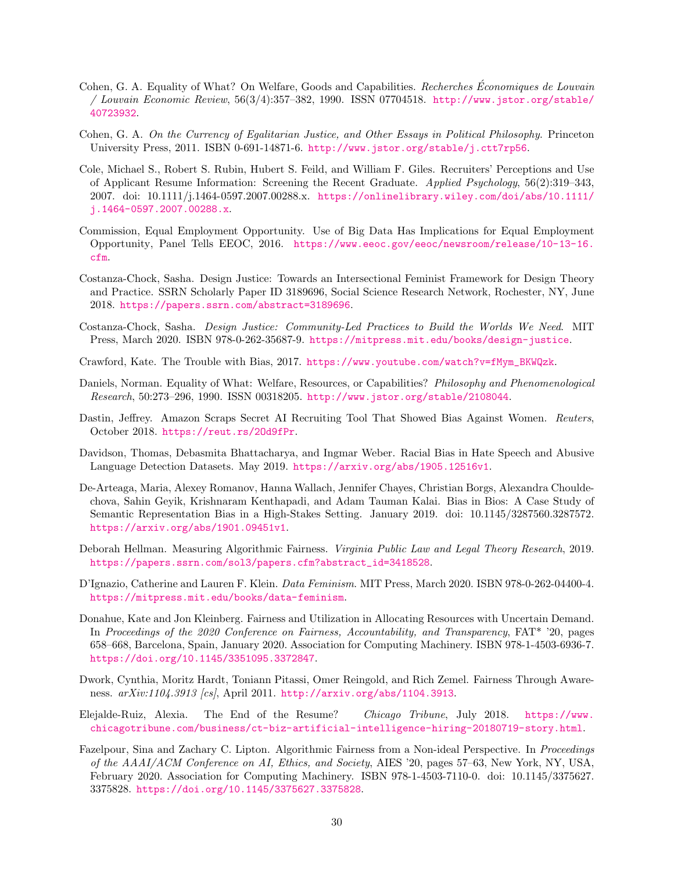- <span id="page-29-13"></span>Cohen, G. A. Equality of What? On Welfare, Goods and Capabilities. *Recherches Economiques de Louvain ´ / Louvain Economic Review*, 56(3/4):357–382, 1990. ISSN 07704518. [http://www.jstor.org/stable/](http://www.jstor.org/stable/40723932) [40723932](http://www.jstor.org/stable/40723932).
- <span id="page-29-4"></span>Cohen, G. A. *On the Currency of Egalitarian Justice, and Other Essays in Political Philosophy*. Princeton University Press, 2011. ISBN 0-691-14871-6. <http://www.jstor.org/stable/j.ctt7rp56>.
- <span id="page-29-9"></span>Cole, Michael S., Robert S. Rubin, Hubert S. Feild, and William F. Giles. Recruiters' Perceptions and Use of Applicant Resume Information: Screening the Recent Graduate. *Applied Psychology*, 56(2):319–343, 2007. doi: 10.1111/j.1464-0597.2007.00288.x. [https://onlinelibrary.wiley.com/doi/abs/10.1111/](https://onlinelibrary.wiley.com/doi/abs/10.1111/j.1464-0597.2007.00288.x) [j.1464-0597.2007.00288.x](https://onlinelibrary.wiley.com/doi/abs/10.1111/j.1464-0597.2007.00288.x).
- <span id="page-29-11"></span>Commission, Equal Employment Opportunity. Use of Big Data Has Implications for Equal Employment Opportunity, Panel Tells EEOC, 2016. [https://www.eeoc.gov/eeoc/newsroom/release/10-13-16.](https://www.eeoc.gov/eeoc/newsroom/release/10-13-16.cfm) [cfm](https://www.eeoc.gov/eeoc/newsroom/release/10-13-16.cfm).
- <span id="page-29-14"></span>Costanza-Chock, Sasha. Design Justice: Towards an Intersectional Feminist Framework for Design Theory and Practice. SSRN Scholarly Paper ID 3189696, Social Science Research Network, Rochester, NY, June 2018. <https://papers.ssrn.com/abstract=3189696>.
- <span id="page-29-15"></span>Costanza-Chock, Sasha. *Design Justice: Community-Led Practices to Build the Worlds We Need*. MIT Press, March 2020. ISBN 978-0-262-35687-9. <https://mitpress.mit.edu/books/design-justice>.
- <span id="page-29-5"></span>Crawford, Kate. The Trouble with Bias, 2017. [https://www.youtube.com/watch?v=fMym\\_BKWQzk](https://www.youtube.com/watch?v=fMym_BKWQzk).
- <span id="page-29-12"></span>Daniels, Norman. Equality of What: Welfare, Resources, or Capabilities? *Philosophy and Phenomenological Research*, 50:273–296, 1990. ISSN 00318205. <http://www.jstor.org/stable/2108044>.
- <span id="page-29-8"></span>Dastin, Jeffrey. Amazon Scraps Secret AI Recruiting Tool That Showed Bias Against Women. *Reuters*, October 2018. <https://reut.rs/2Od9fPr>.
- <span id="page-29-7"></span>Davidson, Thomas, Debasmita Bhattacharya, and Ingmar Weber. Racial Bias in Hate Speech and Abusive Language Detection Datasets. May 2019. <https://arxiv.org/abs/1905.12516v1>.
- <span id="page-29-6"></span>De-Arteaga, Maria, Alexey Romanov, Hanna Wallach, Jennifer Chayes, Christian Borgs, Alexandra Chouldechova, Sahin Geyik, Krishnaram Kenthapadi, and Adam Tauman Kalai. Bias in Bios: A Case Study of Semantic Representation Bias in a High-Stakes Setting. January 2019. doi: 10.1145/3287560.3287572. <https://arxiv.org/abs/1901.09451v1>.
- <span id="page-29-2"></span>Deborah Hellman. Measuring Algorithmic Fairness. *Virginia Public Law and Legal Theory Research*, 2019. [https://papers.ssrn.com/sol3/papers.cfm?abstract\\_id=3418528](https://papers.ssrn.com/sol3/papers.cfm?abstract_id=3418528).
- <span id="page-29-16"></span>D'Ignazio, Catherine and Lauren F. Klein. *Data Feminism*. MIT Press, March 2020. ISBN 978-0-262-04400-4. <https://mitpress.mit.edu/books/data-feminism>.
- <span id="page-29-1"></span>Donahue, Kate and Jon Kleinberg. Fairness and Utilization in Allocating Resources with Uncertain Demand. In *Proceedings of the 2020 Conference on Fairness, Accountability, and Transparency*, FAT\* '20, pages 658–668, Barcelona, Spain, January 2020. Association for Computing Machinery. ISBN 978-1-4503-6936-7. <https://doi.org/10.1145/3351095.3372847>.
- <span id="page-29-0"></span>Dwork, Cynthia, Moritz Hardt, Toniann Pitassi, Omer Reingold, and Rich Zemel. Fairness Through Awareness. *arXiv:1104.3913 [cs]*, April 2011. <http://arxiv.org/abs/1104.3913>.
- <span id="page-29-10"></span>Elejalde-Ruiz, Alexia. The End of the Resume? *Chicago Tribune*, July 2018. [https://www.](https://www.chicagotribune.com/business/ct-biz-artificial-intelligence-hiring-20180719-story.html) [chicagotribune.com/business/ct-biz-artificial-intelligence-hiring-20180719-story.html](https://www.chicagotribune.com/business/ct-biz-artificial-intelligence-hiring-20180719-story.html).
- <span id="page-29-3"></span>Fazelpour, Sina and Zachary C. Lipton. Algorithmic Fairness from a Non-ideal Perspective. In *Proceedings of the AAAI/ACM Conference on AI, Ethics, and Society*, AIES '20, pages 57–63, New York, NY, USA, February 2020. Association for Computing Machinery. ISBN 978-1-4503-7110-0. doi: 10.1145/3375627. 3375828. <https://doi.org/10.1145/3375627.3375828>.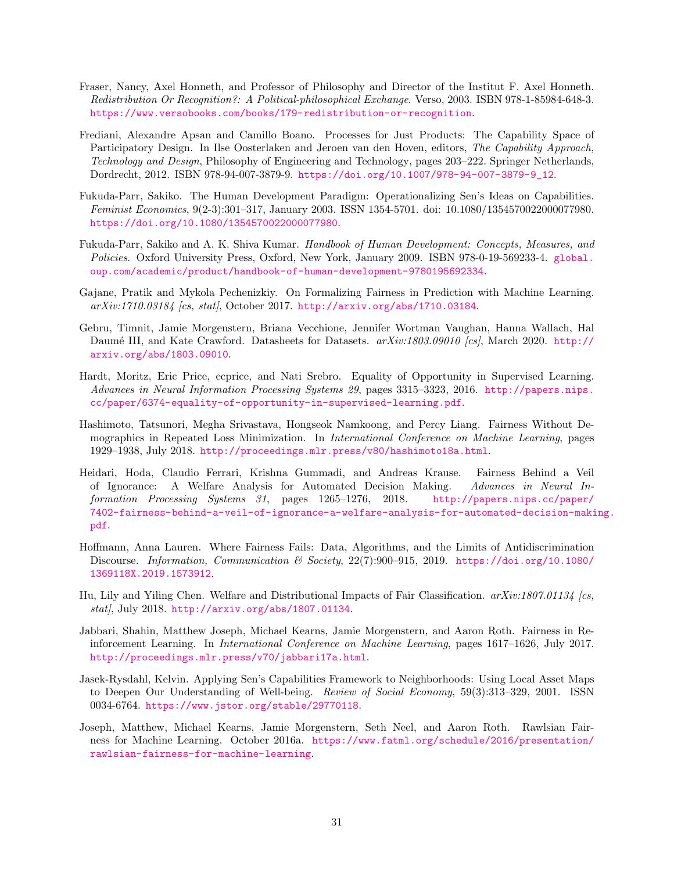- <span id="page-30-7"></span>Fraser, Nancy, Axel Honneth, and Professor of Philosophy and Director of the Institut F. Axel Honneth. *Redistribution Or Recognition?: A Political-philosophical Exchange*. Verso, 2003. ISBN 978-1-85984-648-3. <https://www.versobooks.com/books/179-redistribution-or-recognition>.
- <span id="page-30-12"></span>Frediani, Alexandre Apsan and Camillo Boano. Processes for Just Products: The Capability Space of Participatory Design. In Ilse Oosterlaken and Jeroen van den Hoven, editors, *The Capability Approach, Technology and Design*, Philosophy of Engineering and Technology, pages 203–222. Springer Netherlands, Dordrecht, 2012. ISBN 978-94-007-3879-9. [https://doi.org/10.1007/978-94-007-3879-9\\_12](https://doi.org/10.1007/978-94-007-3879-9_12).
- <span id="page-30-8"></span>Fukuda-Parr, Sakiko. The Human Development Paradigm: Operationalizing Sen's Ideas on Capabilities. *Feminist Economics*, 9(2-3):301–317, January 2003. ISSN 1354-5701. doi: 10.1080/1354570022000077980. <https://doi.org/10.1080/1354570022000077980>.
- <span id="page-30-9"></span>Fukuda-Parr, Sakiko and A. K. Shiva Kumar. *Handbook of Human Development: Concepts, Measures, and Policies*. Oxford University Press, Oxford, New York, January 2009. ISBN 978-0-19-569233-4. [global.](global.oup.com/academic/product/handbook-of-human-development-9780195692334) [oup.com/academic/product/handbook-of-human-development-9780195692334](global.oup.com/academic/product/handbook-of-human-development-9780195692334).
- <span id="page-30-13"></span>Gajane, Pratik and Mykola Pechenizkiy. On Formalizing Fairness in Prediction with Machine Learning. *arXiv:1710.03184 [cs, stat]*, October 2017. <http://arxiv.org/abs/1710.03184>.
- <span id="page-30-11"></span>Gebru, Timnit, Jamie Morgenstern, Briana Vecchione, Jennifer Wortman Vaughan, Hanna Wallach, Hal Daum´e III, and Kate Crawford. Datasheets for Datasets. *arXiv:1803.09010 [cs]*, March 2020. [http://](http://arxiv.org/abs/1803.09010) [arxiv.org/abs/1803.09010](http://arxiv.org/abs/1803.09010).
- <span id="page-30-0"></span>Hardt, Moritz, Eric Price, ecprice, and Nati Srebro. Equality of Opportunity in Supervised Learning. *Advances in Neural Information Processing Systems 29*, pages 3315–3323, 2016. [http://papers.nips.](http://papers.nips.cc/paper/6374-equality-of-opportunity-in-supervised-learning.pdf) [cc/paper/6374-equality-of-opportunity-in-supervised-learning.pdf](http://papers.nips.cc/paper/6374-equality-of-opportunity-in-supervised-learning.pdf).
- <span id="page-30-2"></span>Hashimoto, Tatsunori, Megha Srivastava, Hongseok Namkoong, and Percy Liang. Fairness Without Demographics in Repeated Loss Minimization. In *International Conference on Machine Learning*, pages 1929–1938, July 2018. <http://proceedings.mlr.press/v80/hashimoto18a.html>.
- <span id="page-30-1"></span>Heidari, Hoda, Claudio Ferrari, Krishna Gummadi, and Andreas Krause. Fairness Behind a Veil of Ignorance: A Welfare Analysis for Automated Decision Making. *Advances in Neural Information Processing Systems 31*, pages 1265–1276, 2018. [http://papers.nips.cc/paper/](http://papers.nips.cc/paper/7402-fairness-behind-a-veil-of-ignorance-a-welfare-analysis-for-automated-decision-making.pdf) [7402-fairness-behind-a-veil-of-ignorance-a-welfare-analysis-for-automated-decision-making.](http://papers.nips.cc/paper/7402-fairness-behind-a-veil-of-ignorance-a-welfare-analysis-for-automated-decision-making.pdf) [pdf](http://papers.nips.cc/paper/7402-fairness-behind-a-veil-of-ignorance-a-welfare-analysis-for-automated-decision-making.pdf).
- <span id="page-30-5"></span>Hoffmann, Anna Lauren. Where Fairness Fails: Data, Algorithms, and the Limits of Antidiscrimination Discourse. *Information, Communication & Society*, 22(7):900–915, 2019. [https://doi.org/10.1080/](https://doi.org/10.1080/1369118X.2019.1573912) [1369118X.2019.1573912](https://doi.org/10.1080/1369118X.2019.1573912).
- <span id="page-30-6"></span>Hu, Lily and Yiling Chen. Welfare and Distributional Impacts of Fair Classification. *arXiv:1807.01134 [cs, stat]*, July 2018. <http://arxiv.org/abs/1807.01134>.
- <span id="page-30-3"></span>Jabbari, Shahin, Matthew Joseph, Michael Kearns, Jamie Morgenstern, and Aaron Roth. Fairness in Reinforcement Learning. In *International Conference on Machine Learning*, pages 1617–1626, July 2017. <http://proceedings.mlr.press/v70/jabbari17a.html>.
- <span id="page-30-10"></span>Jasek-Rysdahl, Kelvin. Applying Sen's Capabilities Framework to Neighborhoods: Using Local Asset Maps to Deepen Our Understanding of Well-being. *Review of Social Economy*, 59(3):313–329, 2001. ISSN 0034-6764. <https://www.jstor.org/stable/29770118>.
- <span id="page-30-4"></span>Joseph, Matthew, Michael Kearns, Jamie Morgenstern, Seth Neel, and Aaron Roth. Rawlsian Fairness for Machine Learning. October 2016a. [https://www.fatml.org/schedule/2016/presentation/](https://www.fatml.org/schedule/2016/presentation/rawlsian-fairness-for-machine-learning) [rawlsian-fairness-for-machine-learning](https://www.fatml.org/schedule/2016/presentation/rawlsian-fairness-for-machine-learning).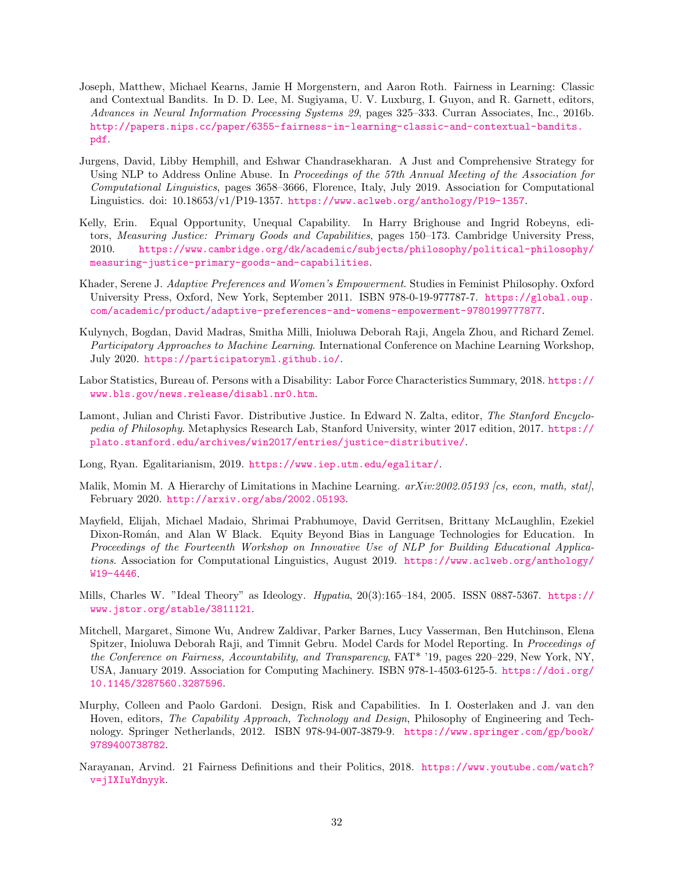- <span id="page-31-0"></span>Joseph, Matthew, Michael Kearns, Jamie H Morgenstern, and Aaron Roth. Fairness in Learning: Classic and Contextual Bandits. In D. D. Lee, M. Sugiyama, U. V. Luxburg, I. Guyon, and R. Garnett, editors, *Advances in Neural Information Processing Systems 29*, pages 325–333. Curran Associates, Inc., 2016b. [http://papers.nips.cc/paper/6355-fairness-in-learning-classic-and-contextual-bandits.](http://papers.nips.cc/paper/6355-fairness-in-learning-classic-and-contextual-bandits.pdf) [pdf](http://papers.nips.cc/paper/6355-fairness-in-learning-classic-and-contextual-bandits.pdf).
- <span id="page-31-11"></span>Jurgens, David, Libby Hemphill, and Eshwar Chandrasekharan. A Just and Comprehensive Strategy for Using NLP to Address Online Abuse. In *Proceedings of the 57th Annual Meeting of the Association for Computational Linguistics*, pages 3658–3666, Florence, Italy, July 2019. Association for Computational Linguistics. doi: 10.18653/v1/P19-1357. <https://www.aclweb.org/anthology/P19-1357>.
- <span id="page-31-4"></span>Kelly, Erin. Equal Opportunity, Unequal Capability. In Harry Brighouse and Ingrid Robeyns, editors, *Measuring Justice: Primary Goods and Capabilities*, pages 150–173. Cambridge University Press, 2010. [https://www.cambridge.org/dk/academic/subjects/philosophy/political-philosophy/](https://www.cambridge.org/dk/academic/subjects/philosophy/political-philosophy/measuring-justice-primary-goods-and-capabilities) [measuring-justice-primary-goods-and-capabilities](https://www.cambridge.org/dk/academic/subjects/philosophy/political-philosophy/measuring-justice-primary-goods-and-capabilities).
- <span id="page-31-10"></span>Khader, Serene J. *Adaptive Preferences and Women's Empowerment*. Studies in Feminist Philosophy. Oxford University Press, Oxford, New York, September 2011. ISBN 978-0-19-977787-7. [https://global.oup.](https://global.oup.com/academic/product/adaptive-preferences-and-womens-empowerment-9780199777877) [com/academic/product/adaptive-preferences-and-womens-empowerment-9780199777877](https://global.oup.com/academic/product/adaptive-preferences-and-womens-empowerment-9780199777877).
- <span id="page-31-13"></span>Kulynych, Bogdan, David Madras, Smitha Milli, Inioluwa Deborah Raji, Angela Zhou, and Richard Zemel. *Participatory Approaches to Machine Learning*. International Conference on Machine Learning Workshop, July 2020. <https://participatoryml.github.io/>.
- <span id="page-31-6"></span>Labor Statistics, Bureau of. Persons with a Disability: Labor Force Characteristics Summary, 2018. [https://](https://www.bls.gov/news.release/disabl.nr0.htm) [www.bls.gov/news.release/disabl.nr0.htm](https://www.bls.gov/news.release/disabl.nr0.htm).
- <span id="page-31-2"></span>Lamont, Julian and Christi Favor. Distributive Justice. In Edward N. Zalta, editor, *The Stanford Encyclopedia of Philosophy*. Metaphysics Research Lab, Stanford University, winter 2017 edition, 2017. [https://](https://plato.stanford.edu/archives/win2017/entries/justice-distributive/) [plato.stanford.edu/archives/win2017/entries/justice-distributive/](https://plato.stanford.edu/archives/win2017/entries/justice-distributive/).
- <span id="page-31-5"></span>Long, Ryan. Egalitarianism, 2019. <https://www.iep.utm.edu/egalitar/>.
- <span id="page-31-9"></span>Malik, Momin M. A Hierarchy of Limitations in Machine Learning. *arXiv:2002.05193 [cs, econ, math, stat]*, February 2020. <http://arxiv.org/abs/2002.05193>.
- <span id="page-31-7"></span>Mayfield, Elijah, Michael Madaio, Shrimai Prabhumoye, David Gerritsen, Brittany McLaughlin, Ezekiel Dixon-Román, and Alan W Black. Equity Beyond Bias in Language Technologies for Education. In *Proceedings of the Fourteenth Workshop on Innovative Use of NLP for Building Educational Applications*. Association for Computational Linguistics, August 2019. [https://www.aclweb.org/anthology/](https://www.aclweb.org/anthology/W19-4446) [W19-4446](https://www.aclweb.org/anthology/W19-4446).
- <span id="page-31-3"></span>Mills, Charles W. "Ideal Theory" as Ideology. *Hypatia*, 20(3):165–184, 2005. ISSN 0887-5367. [https://](https://www.jstor.org/stable/3811121) [www.jstor.org/stable/3811121](https://www.jstor.org/stable/3811121).
- <span id="page-31-12"></span>Mitchell, Margaret, Simone Wu, Andrew Zaldivar, Parker Barnes, Lucy Vasserman, Ben Hutchinson, Elena Spitzer, Inioluwa Deborah Raji, and Timnit Gebru. Model Cards for Model Reporting. In *Proceedings of the Conference on Fairness, Accountability, and Transparency*, FAT\* '19, pages 220–229, New York, NY, USA, January 2019. Association for Computing Machinery. ISBN 978-1-4503-6125-5. [https://doi.org/](https://doi.org/10.1145/3287560.3287596) [10.1145/3287560.3287596](https://doi.org/10.1145/3287560.3287596).
- <span id="page-31-8"></span>Murphy, Colleen and Paolo Gardoni. Design, Risk and Capabilities. In I. Oosterlaken and J. van den Hoven, editors, *The Capability Approach, Technology and Design*, Philosophy of Engineering and Technology. Springer Netherlands, 2012. ISBN 978-94-007-3879-9. [https://www.springer.com/gp/book/](https://www.springer.com/gp/book/9789400738782) [9789400738782](https://www.springer.com/gp/book/9789400738782).
- <span id="page-31-1"></span>Narayanan, Arvind. 21 Fairness Definitions and their Politics, 2018. [https://www.youtube.com/watch?](https://www.youtube.com/watch?v=jIXIuYdnyyk) [v=jIXIuYdnyyk](https://www.youtube.com/watch?v=jIXIuYdnyyk).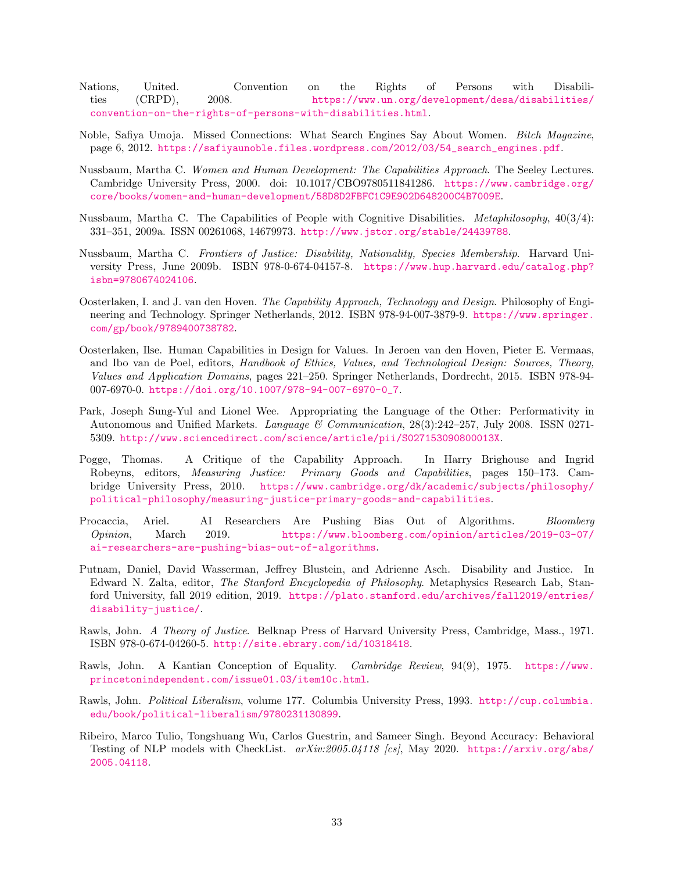<span id="page-32-7"></span>Nations, United. Convention on the Rights of Persons with Disabilities (CRPD), 2008. [https://www.un.org/development/desa/disabilities/](https://www.un.org/development/desa/disabilities/convention-on-the-rights-of-persons-with-disabilities.html) [convention-on-the-rights-of-persons-with-disabilities.html](https://www.un.org/development/desa/disabilities/convention-on-the-rights-of-persons-with-disabilities.html).

- <span id="page-32-5"></span>Noble, Safiya Umoja. Missed Connections: What Search Engines Say About Women. *Bitch Magazine*, page 6, 2012. [https://safiyaunoble.files.wordpress.com/2012/03/54\\_search\\_engines.pdf](https://safiyaunoble.files.wordpress.com/2012/03/54_search_engines.pdf).
- <span id="page-32-11"></span>Nussbaum, Martha C. *Women and Human Development: The Capabilities Approach*. The Seeley Lectures. Cambridge University Press, 2000. doi: 10.1017/CBO9780511841286. [https://www.cambridge.org/](https://www.cambridge.org/core/books/women-and-human-development/58D8D2FBFC1C9E902D648200C4B7009E) [core/books/women-and-human-development/58D8D2FBFC1C9E902D648200C4B7009E](https://www.cambridge.org/core/books/women-and-human-development/58D8D2FBFC1C9E902D648200C4B7009E).
- <span id="page-32-3"></span>Nussbaum, Martha C. The Capabilities of People with Cognitive Disabilities. *Metaphilosophy*, 40(3/4): 331–351, 2009a. ISSN 00261068, 14679973. <http://www.jstor.org/stable/24439788>.
- <span id="page-32-12"></span>Nussbaum, Martha C. *Frontiers of Justice: Disability, Nationality, Species Membership*. Harvard University Press, June 2009b. ISBN 978-0-674-04157-8. [https://www.hup.harvard.edu/catalog.php?](https://www.hup.harvard.edu/catalog.php?isbn=9780674024106) [isbn=9780674024106](https://www.hup.harvard.edu/catalog.php?isbn=9780674024106).
- <span id="page-32-9"></span>Oosterlaken, I. and J. van den Hoven. *The Capability Approach, Technology and Design*. Philosophy of Engineering and Technology. Springer Netherlands, 2012. ISBN 978-94-007-3879-9. [https://www.springer.](https://www.springer.com/gp/book/9789400738782) [com/gp/book/9789400738782](https://www.springer.com/gp/book/9789400738782).
- <span id="page-32-10"></span>Oosterlaken, Ilse. Human Capabilities in Design for Values. In Jeroen van den Hoven, Pieter E. Vermaas, and Ibo van de Poel, editors, *Handbook of Ethics, Values, and Technological Design: Sources, Theory, Values and Application Domains*, pages 221–250. Springer Netherlands, Dordrecht, 2015. ISBN 978-94- 007-6970-0. [https://doi.org/10.1007/978-94-007-6970-0\\_7](https://doi.org/10.1007/978-94-007-6970-0_7).
- <span id="page-32-4"></span>Park, Joseph Sung-Yul and Lionel Wee. Appropriating the Language of the Other: Performativity in Autonomous and Unified Markets. *Language & Communication*, 28(3):242–257, July 2008. ISSN 0271- 5309. <http://www.sciencedirect.com/science/article/pii/S027153090800013X>.
- <span id="page-32-2"></span>Pogge, Thomas. A Critique of the Capability Approach. In Harry Brighouse and Ingrid Robeyns, editors, *Measuring Justice: Primary Goods and Capabilities*, pages 150–173. Cambridge University Press, 2010. [https://www.cambridge.org/dk/academic/subjects/philosophy/](https://www.cambridge.org/dk/academic/subjects/philosophy/political-philosophy/measuring-justice-primary-goods-and-capabilities) [political-philosophy/measuring-justice-primary-goods-and-capabilities](https://www.cambridge.org/dk/academic/subjects/philosophy/political-philosophy/measuring-justice-primary-goods-and-capabilities).
- <span id="page-32-1"></span>Procaccia, Ariel. AI Researchers Are Pushing Bias Out of Algorithms. *Bloomberg Opinion*, March 2019. [https://www.bloomberg.com/opinion/articles/2019-03-07/](https://www.bloomberg.com/opinion/articles/2019-03-07/ai-researchers-are-pushing-bias-out-of-algorithms) [ai-researchers-are-pushing-bias-out-of-algorithms](https://www.bloomberg.com/opinion/articles/2019-03-07/ai-researchers-are-pushing-bias-out-of-algorithms).
- <span id="page-32-6"></span>Putnam, Daniel, David Wasserman, Jeffrey Blustein, and Adrienne Asch. Disability and Justice. In Edward N. Zalta, editor, *The Stanford Encyclopedia of Philosophy*. Metaphysics Research Lab, Stanford University, fall 2019 edition, 2019. [https://plato.stanford.edu/archives/fall2019/entries/](https://plato.stanford.edu/archives/fall2019/entries/disability-justice/) [disability-justice/](https://plato.stanford.edu/archives/fall2019/entries/disability-justice/).
- <span id="page-32-0"></span>Rawls, John. *A Theory of Justice*. Belknap Press of Harvard University Press, Cambridge, Mass., 1971. ISBN 978-0-674-04260-5. <http://site.ebrary.com/id/10318418>.
- <span id="page-32-8"></span>Rawls, John. A Kantian Conception of Equality. *Cambridge Review*, 94(9), 1975. [https://www.](https://www.princetonindependent.com/issue01.03/item10c.html) [princetonindependent.com/issue01.03/item10c.html](https://www.princetonindependent.com/issue01.03/item10c.html).
- <span id="page-32-14"></span>Rawls, John. *Political Liberalism*, volume 177. Columbia University Press, 1993. [http://cup.columbia.](http://cup.columbia.edu/book/political-liberalism/9780231130899) [edu/book/political-liberalism/9780231130899](http://cup.columbia.edu/book/political-liberalism/9780231130899).
- <span id="page-32-13"></span>Ribeiro, Marco Tulio, Tongshuang Wu, Carlos Guestrin, and Sameer Singh. Beyond Accuracy: Behavioral Testing of NLP models with CheckList. *arXiv:2005.04118 [cs]*, May 2020. [https://arxiv.org/abs/](https://arxiv.org/abs/2005.04118) [2005.04118](https://arxiv.org/abs/2005.04118).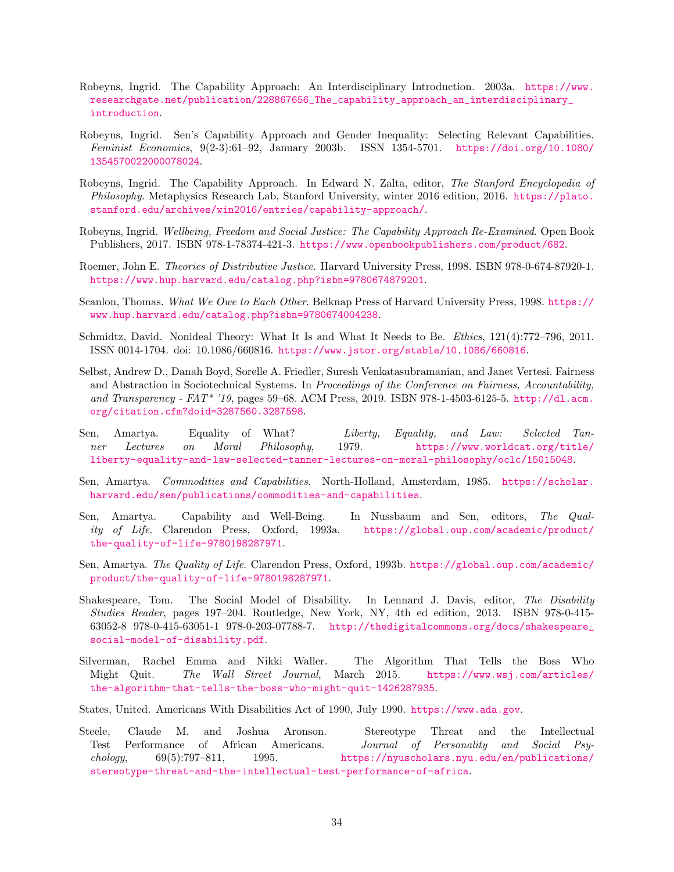- <span id="page-33-11"></span>Robeyns, Ingrid. The Capability Approach: An Interdisciplinary Introduction. 2003a. [https://www.](https://www.researchgate.net/publication/228867656_The_capability_approach_an_interdisciplinary_introduction) [researchgate.net/publication/228867656\\_The\\_capability\\_approach\\_an\\_interdisciplinary\\_](https://www.researchgate.net/publication/228867656_The_capability_approach_an_interdisciplinary_introduction) [introduction](https://www.researchgate.net/publication/228867656_The_capability_approach_an_interdisciplinary_introduction).
- <span id="page-33-12"></span>Robeyns, Ingrid. Sen's Capability Approach and Gender Inequality: Selecting Relevant Capabilities. *Feminist Economics*, 9(2-3):61–92, January 2003b. ISSN 1354-5701. [https://doi.org/10.1080/](https://doi.org/10.1080/1354570022000078024) [1354570022000078024](https://doi.org/10.1080/1354570022000078024).
- <span id="page-33-5"></span>Robeyns, Ingrid. The Capability Approach. In Edward N. Zalta, editor, *The Stanford Encyclopedia of Philosophy*. Metaphysics Research Lab, Stanford University, winter 2016 edition, 2016. [https://plato.](https://plato.stanford.edu/archives/win2016/entries/capability-approach/) [stanford.edu/archives/win2016/entries/capability-approach/](https://plato.stanford.edu/archives/win2016/entries/capability-approach/).
- <span id="page-33-9"></span>Robeyns, Ingrid. *Wellbeing, Freedom and Social Justice: The Capability Approach Re-Examined*. Open Book Publishers, 2017. ISBN 978-1-78374-421-3. <https://www.openbookpublishers.com/product/682>.
- <span id="page-33-0"></span>Roemer, John E. *Theories of Distributive Justice*. Harvard University Press, 1998. ISBN 978-0-674-87920-1. <https://www.hup.harvard.edu/catalog.php?isbn=9780674879201>.
- <span id="page-33-2"></span>Scanlon, Thomas. *What We Owe to Each Other*. Belknap Press of Harvard University Press, 1998. [https://](https://www.hup.harvard.edu/catalog.php?isbn=9780674004238) [www.hup.harvard.edu/catalog.php?isbn=9780674004238](https://www.hup.harvard.edu/catalog.php?isbn=9780674004238).
- <span id="page-33-1"></span>Schmidtz, David. Nonideal Theory: What It Is and What It Needs to Be. *Ethics*, 121(4):772–796, 2011. ISSN 0014-1704. doi: 10.1086/660816. <https://www.jstor.org/stable/10.1086/660816>.
- <span id="page-33-15"></span>Selbst, Andrew D., Danah Boyd, Sorelle A. Friedler, Suresh Venkatasubramanian, and Janet Vertesi. Fairness and Abstraction in Sociotechnical Systems. In *Proceedings of the Conference on Fairness, Accountability, and Transparency - FAT\* '19*, pages 59–68. ACM Press, 2019. ISBN 978-1-4503-6125-5. [http://dl.acm.](http://dl.acm.org/citation.cfm?doid=3287560.3287598) [org/citation.cfm?doid=3287560.3287598](http://dl.acm.org/citation.cfm?doid=3287560.3287598).
- <span id="page-33-3"></span>Sen, Amartya. Equality of What? *Liberty, Equality, and Law: Selected Tanner Lectures on Moral Philosophy*, 1979. [https://www.worldcat.org/title/](https://www.worldcat.org/title/liberty-equality-and-law-selected-tanner-lectures-on-moral-philosophy/oclc/15015048) [liberty-equality-and-law-selected-tanner-lectures-on-moral-philosophy/oclc/15015048](https://www.worldcat.org/title/liberty-equality-and-law-selected-tanner-lectures-on-moral-philosophy/oclc/15015048).
- <span id="page-33-14"></span>Sen, Amartya. *Commodities and Capabilities*. North-Holland, Amsterdam, 1985. [https://scholar.](https://scholar.harvard.edu/sen/publications/commodities-and-capabilities) [harvard.edu/sen/publications/commodities-and-capabilities](https://scholar.harvard.edu/sen/publications/commodities-and-capabilities).
- <span id="page-33-10"></span>Sen, Amartya. Capability and Well-Being. In Nussbaum and Sen, editors, *The Quality of Life*. Clarendon Press, Oxford, 1993a. [https://global.oup.com/academic/product/](https://global.oup.com/academic/product/the-quality-of-life-9780198287971) [the-quality-of-life-9780198287971](https://global.oup.com/academic/product/the-quality-of-life-9780198287971).
- <span id="page-33-13"></span>Sen, Amartya. *The Quality of Life*. Clarendon Press, Oxford, 1993b. [https://global.oup.com/academic/](https://global.oup.com/academic/product/the-quality-of-life-9780198287971) [product/the-quality-of-life-9780198287971](https://global.oup.com/academic/product/the-quality-of-life-9780198287971).
- <span id="page-33-4"></span>Shakespeare, Tom. The Social Model of Disability. In Lennard J. Davis, editor, *The Disability Studies Reader*, pages 197–204. Routledge, New York, NY, 4th ed edition, 2013. ISBN 978-0-415- 63052-8 978-0-415-63051-1 978-0-203-07788-7. [http://thedigitalcommons.org/docs/shakespeare\\_](http://thedigitalcommons.org/docs/shakespeare_social-model-of-disability.pdf) [social-model-of-disability.pdf](http://thedigitalcommons.org/docs/shakespeare_social-model-of-disability.pdf).
- <span id="page-33-7"></span>Silverman, Rachel Emma and Nikki Waller. The Algorithm That Tells the Boss Who Might Quit. *The Wall Street Journal*, March 2015. [https://www.wsj.com/articles/](https://www.wsj.com/articles/the-algorithm-that-tells-the-boss-who-might-quit-1426287935) [the-algorithm-that-tells-the-boss-who-might-quit-1426287935](https://www.wsj.com/articles/the-algorithm-that-tells-the-boss-who-might-quit-1426287935).

<span id="page-33-6"></span>States, United. Americans With Disabilities Act of 1990, July 1990. <https://www.ada.gov>.

<span id="page-33-8"></span>Steele, Claude M. and Joshua Aronson. Stereotype Threat and the Intellectual Test Performance of African Americans. *Journal of Personality and Social Psychology*, 69(5):797–811, 1995. [https://nyuscholars.nyu.edu/en/publications/](https://nyuscholars.nyu.edu/en/publications/stereotype-threat-and-the-intellectual-test-performance-of-africa) [stereotype-threat-and-the-intellectual-test-performance-of-africa](https://nyuscholars.nyu.edu/en/publications/stereotype-threat-and-the-intellectual-test-performance-of-africa).